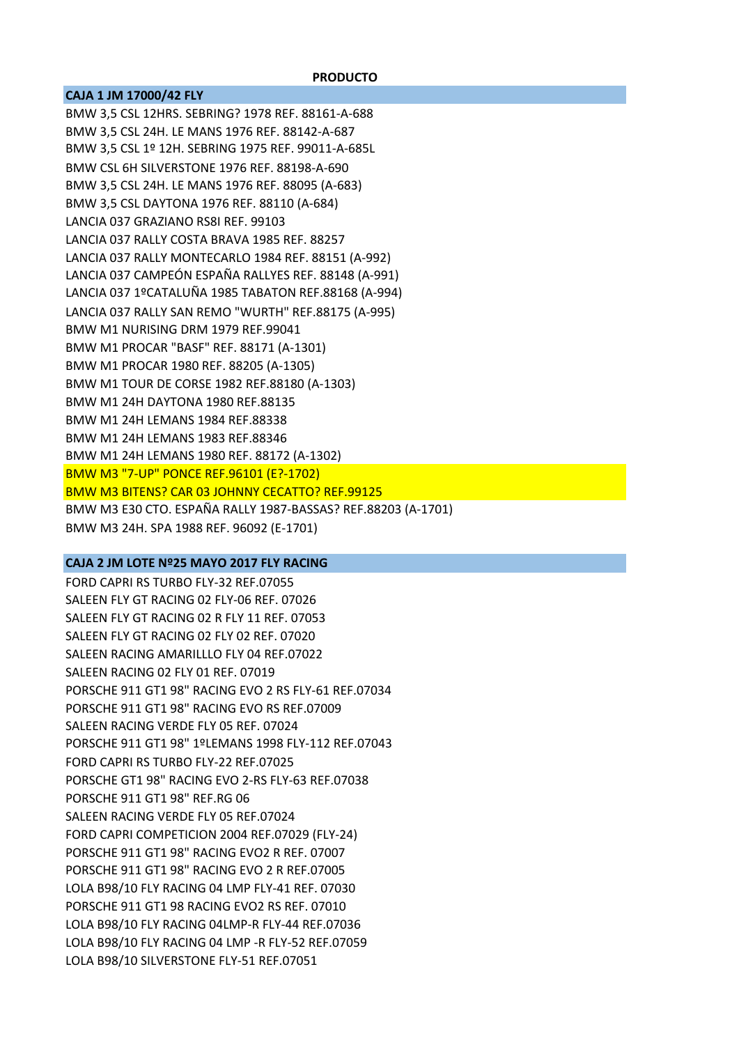## **CAJA 1 JM 17000/42 FLY**

BMW 3,5 CSL 12HRS. SEBRING? 1978 REF. 88161‐A‐688 BMW 3,5 CSL 24H. LE MANS 1976 REF. 88142‐A‐687 BMW 3,5 CSL 1º 12H. SEBRING 1975 REF. 99011‐A‐685L BMW CSL 6H SILVERSTONE 1976 REF. 88198‐A‐690 BMW 3,5 CSL 24H. LE MANS 1976 REF. 88095 (A‐683) BMW 3,5 CSL DAYTONA 1976 REF. 88110 (A‐684) LANCIA 037 GRAZIANO RS8I REF. 99103 LANCIA 037 RALLY COSTA BRAVA 1985 REF. 88257 LANCIA 037 RALLY MONTECARLO 1984 REF. 88151 (A‐992) LANCIA 037 CAMPEÓN ESPAÑA RALLYES REF. 88148 (A‐991) LANCIA 037 1ºCATALUÑA 1985 TABATON REF.88168 (A‐994) LANCIA 037 RALLY SAN REMO "WURTH" REF.88175 (A‐995) BMW M1 NURISING DRM 1979 REF.99041 BMW M1 PROCAR "BASF" REF. 88171 (A‐1301) BMW M1 PROCAR 1980 REF. 88205 (A‐1305) BMW M1 TOUR DE CORSE 1982 REF.88180 (A‐1303) BMW M1 24H DAYTONA 1980 REF.88135 BMW M1 24H LEMANS 1984 REF.88338 BMW M1 24H LEMANS 1983 REF.88346 BMW M1 24H LEMANS 1980 REF. 88172 (A‐1302) BMW M3 "7‐UP" PONCE REF.96101 (E?‐1702) BMW M3 BITENS? CAR 03 JOHNNY CECATTO? REF.99125 BMW M3 E30 CTO. ESPAÑA RALLY 1987‐BASSAS? REF.88203 (A‐1701) BMW M3 24H. SPA 1988 REF. 96092 (E‐1701)

### **CAJA 2 JM LOTE Nº25 MAYO 2017 FLY RACING**

FORD CAPRI RS TURBO FLY‐32 REF.07055 SALEEN FLY GT RACING 02 FLY‐06 REF. 07026 SALEEN FLY GT RACING 02 R FLY 11 REF. 07053 SALEEN FLY GT RACING 02 FLY 02 REF. 07020 SALEEN RACING AMARILLLO FLY 04 REF.07022 SALEEN RACING 02 FLY 01 REF. 07019 PORSCHE 911 GT1 98" RACING EVO 2 RS FLY‐61 REF.07034 PORSCHE 911 GT1 98" RACING EVO RS REF.07009 SALEEN RACING VERDE FLY 05 REF. 07024 PORSCHE 911 GT1 98" 1ºLEMANS 1998 FLY‐112 REF.07043 FORD CAPRI RS TURBO FLY‐22 REF.07025 PORSCHE GT1 98" RACING EVO 2‐RS FLY‐63 REF.07038 PORSCHE 911 GT1 98" REF.RG 06 SALEEN RACING VERDE FLY 05 REF.07024 FORD CAPRI COMPETICION 2004 REF.07029 (FLY‐24) PORSCHE 911 GT1 98" RACING EVO2 R REF. 07007 PORSCHE 911 GT1 98" RACING EVO 2 R REF.07005 LOLA B98/10 FLY RACING 04 LMP FLY‐41 REF. 07030 PORSCHE 911 GT1 98 RACING EVO2 RS REF. 07010 LOLA B98/10 FLY RACING 04LMP‐R FLY‐44 REF.07036 LOLA B98/10 FLY RACING 04 LMP ‐R FLY‐52 REF.07059 LOLA B98/10 SILVERSTONE FLY‐51 REF.07051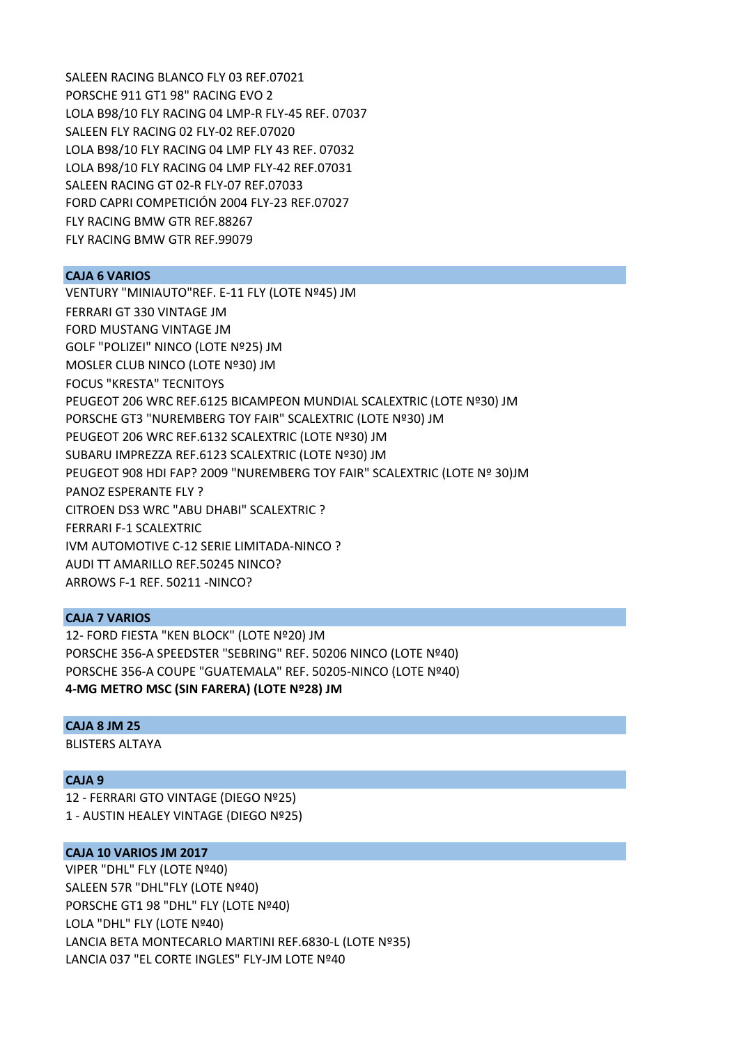SALEEN RACING BLANCO FLY 03 REF.07021 PORSCHE 911 GT1 98" RACING EVO 2 LOLA B98/10 FLY RACING 04 LMP‐R FLY‐45 REF. 07037 SALEEN FLY RACING 02 FLY‐02 REF.07020 LOLA B98/10 FLY RACING 04 LMP FLY 43 REF. 07032 LOLA B98/10 FLY RACING 04 LMP FLY‐42 REF.07031 SALEEN RACING GT 02‐R FLY‐07 REF.07033 FORD CAPRI COMPETICIÓN 2004 FLY‐23 REF.07027 FLY RACING BMW GTR REF.88267 FLY RACING BMW GTR REF.99079

## **CAJA 6 VARIOS**

VENTURY "MINIAUTO"REF. E‐11 FLY (LOTE Nº45) JM FERRARI GT 330 VINTAGE JM FORD MUSTANG VINTAGE JM GOLF "POLIZEI" NINCO (LOTE Nº25) JM MOSLER CLUB NINCO (LOTE Nº30) JM FOCUS "KRESTA" TECNITOYS PEUGEOT 206 WRC REF.6125 BICAMPEON MUNDIAL SCALEXTRIC (LOTE Nº30) JM PORSCHE GT3 "NUREMBERG TOY FAIR" SCALEXTRIC (LOTE Nº30) JM PEUGEOT 206 WRC REF.6132 SCALEXTRIC (LOTE Nº30) JM SUBARU IMPREZZA REF.6123 SCALEXTRIC (LOTE Nº30) JM PEUGEOT 908 HDI FAP? 2009 "NUREMBERG TOY FAIR" SCALEXTRIC (LOTE Nº 30)JM PANOZ ESPERANTE FLY ? CITROEN DS3 WRC "ABU DHABI" SCALEXTRIC ? FERRARI F‐1 SCALEXTRIC IVM AUTOMOTIVE C‐12 SERIE LIMITADA‐NINCO ? AUDI TT AMARILLO REF.50245 NINCO? ARROWS F‐1 REF. 50211 ‐NINCO?

# **CAJA 7 VARIOS**

12‐ FORD FIESTA "KEN BLOCK" (LOTE Nº20) JM PORSCHE 356‐A SPEEDSTER "SEBRING" REF. 50206 NINCO (LOTE Nº40) PORSCHE 356‐A COUPE "GUATEMALA" REF. 50205‐NINCO (LOTE Nº40) **4‐MG METRO MSC (SIN FARERA) (LOTE Nº28) JM**

## **CAJA 8 JM 25**

BLISTERS ALTAYA

# **CAJA 9**

12 ‐ FERRARI GTO VINTAGE (DIEGO Nº25) 1 ‐ AUSTIN HEALEY VINTAGE (DIEGO Nº25)

## **CAJA 10 VARIOS JM 2017**

VIPER "DHL" FLY (LOTE Nº40) SALEEN 57R "DHL"FLY (LOTE Nº40) PORSCHE GT1 98 "DHL" FLY (LOTE Nº40) LOLA "DHL" FLY (LOTE Nº40) LANCIA BETA MONTECARLO MARTINI REF.6830‐L (LOTE Nº35) LANCIA 037 "EL CORTE INGLES" FLY‐JM LOTE Nº40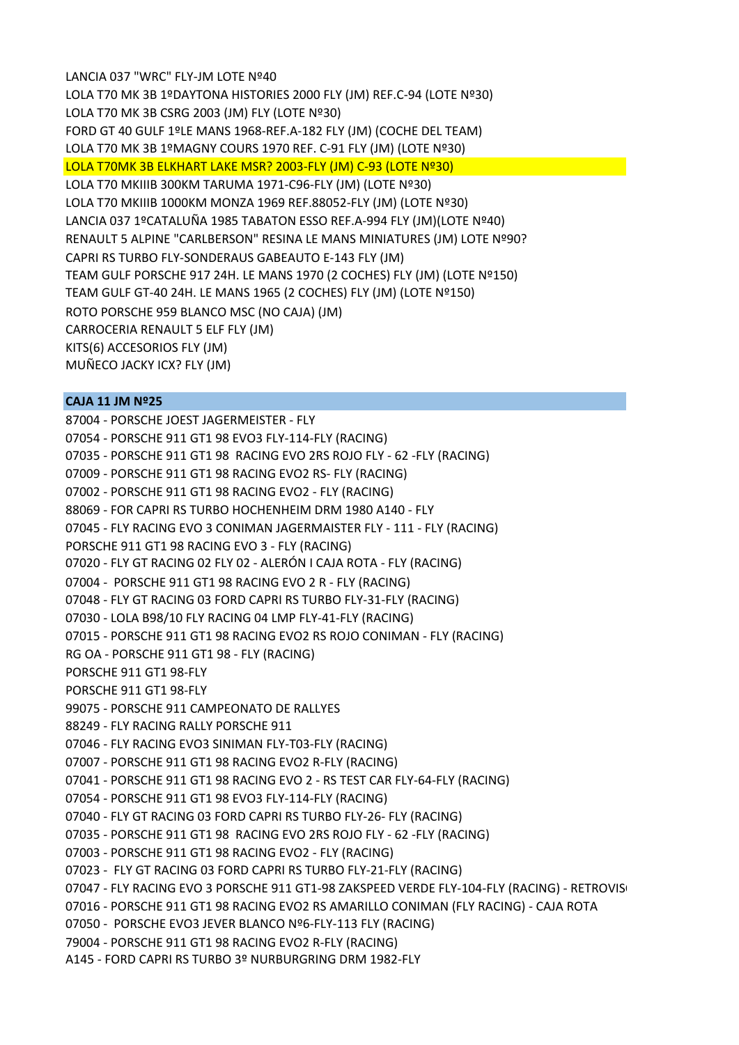LANCIA 037 "WRC" FLY‐JM LOTE Nº40 LOLA T70 MK 3B 1ºDAYTONA HISTORIES 2000 FLY (JM) REF.C‐94 (LOTE Nº30) LOLA T70 MK 3B CSRG 2003 (JM) FLY (LOTE Nº30) FORD GT 40 GULF 1ºLE MANS 1968‐REF.A‐182 FLY (JM) (COCHE DEL TEAM) LOLA T70 MK 3B 1ºMAGNY COURS 1970 REF. C‐91 FLY (JM) (LOTE Nº30) LOLA T70MK 3B ELKHART LAKE MSR? 2003‐FLY (JM) C‐93 (LOTE Nº30) LOLA T70 MKIIIB 300KM TARUMA 1971‐C96‐FLY (JM) (LOTE Nº30) LOLA T70 MKIIIB 1000KM MONZA 1969 REF.88052‐FLY (JM) (LOTE Nº30) LANCIA 037 1ºCATALUÑA 1985 TABATON ESSO REF.A‐994 FLY (JM)(LOTE Nº40) RENAULT 5 ALPINE "CARLBERSON" RESINA LE MANS MINIATURES (JM) LOTE Nº90? CAPRI RS TURBO FLY‐SONDERAUS GABEAUTO E‐143 FLY (JM) TEAM GULF PORSCHE 917 24H. LE MANS 1970 (2 COCHES) FLY (JM) (LOTE Nº150) TEAM GULF GT‐40 24H. LE MANS 1965 (2 COCHES) FLY (JM) (LOTE Nº150) ROTO PORSCHE 959 BLANCO MSC (NO CAJA) (JM) CARROCERIA RENAULT 5 ELF FLY (JM) KITS(6) ACCESORIOS FLY (JM) MUÑECO JACKY ICX? FLY (JM)

# **CAJA 11 JM Nº25**

87004 ‐ PORSCHE JOEST JAGERMEISTER ‐ FLY 07054 ‐ PORSCHE 911 GT1 98 EVO3 FLY‐114‐FLY (RACING) 07035 ‐ PORSCHE 911 GT1 98 RACING EVO 2RS ROJO FLY ‐ 62 ‐FLY (RACING) 07009 ‐ PORSCHE 911 GT1 98 RACING EVO2 RS‐ FLY (RACING) 07002 ‐ PORSCHE 911 GT1 98 RACING EVO2 ‐ FLY (RACING) 88069 ‐ FOR CAPRI RS TURBO HOCHENHEIM DRM 1980 A140 ‐ FLY 07045 ‐ FLY RACING EVO 3 CONIMAN JAGERMAISTER FLY ‐ 111 ‐ FLY (RACING) PORSCHE 911 GT1 98 RACING EVO 3 ‐ FLY (RACING) 07020 ‐ FLY GT RACING 02 FLY 02 ‐ ALERÓN I CAJA ROTA ‐ FLY (RACING) 07004 ‐ PORSCHE 911 GT1 98 RACING EVO 2 R ‐ FLY (RACING) 07048 ‐ FLY GT RACING 03 FORD CAPRI RS TURBO FLY‐31‐FLY (RACING) 07030 ‐ LOLA B98/10 FLY RACING 04 LMP FLY‐41‐FLY (RACING) 07015 ‐ PORSCHE 911 GT1 98 RACING EVO2 RS ROJO CONIMAN ‐ FLY (RACING) RG OA ‐ PORSCHE 911 GT1 98 ‐ FLY (RACING) PORSCHE 911 GT1 98‐FLY PORSCHE 911 GT1 98‐FLY 99075 ‐ PORSCHE 911 CAMPEONATO DE RALLYES 88249 ‐ FLY RACING RALLY PORSCHE 911 07046 ‐ FLY RACING EVO3 SINIMAN FLY‐T03‐FLY (RACING) 07007 ‐ PORSCHE 911 GT1 98 RACING EVO2 R‐FLY (RACING) 07041 ‐ PORSCHE 911 GT1 98 RACING EVO 2 ‐ RS TEST CAR FLY‐64‐FLY (RACING) 07054 ‐ PORSCHE 911 GT1 98 EVO3 FLY‐114‐FLY (RACING) 07040 ‐ FLY GT RACING 03 FORD CAPRI RS TURBO FLY‐26‐ FLY (RACING) 07035 ‐ PORSCHE 911 GT1 98 RACING EVO 2RS ROJO FLY ‐ 62 ‐FLY (RACING) 07003 ‐ PORSCHE 911 GT1 98 RACING EVO2 ‐ FLY (RACING) 07023 ‐ FLY GT RACING 03 FORD CAPRI RS TURBO FLY‐21‐FLY (RACING) 07047 - FLY RACING EVO 3 PORSCHE 911 GT1-98 ZAKSPEED VERDE FLY-104-FLY (RACING) - RETROVIS 07016 ‐ PORSCHE 911 GT1 98 RACING EVO2 RS AMARILLO CONIMAN (FLY RACING) ‐ CAJA ROTA 07050 ‐ PORSCHE EVO3 JEVER BLANCO Nº6‐FLY‐113 FLY (RACING) 79004 ‐ PORSCHE 911 GT1 98 RACING EVO2 R‐FLY (RACING)

A145 ‐ FORD CAPRI RS TURBO 3º NURBURGRING DRM 1982‐FLY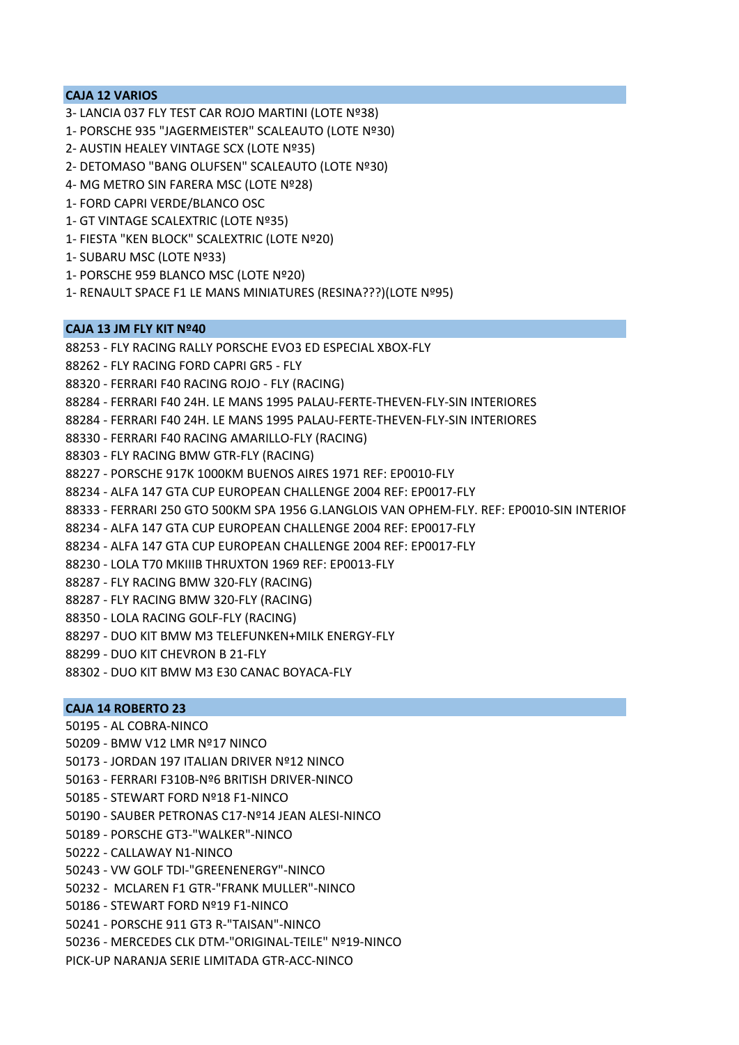# **CAJA 12 VARIOS**

- 3‐ LANCIA 037 FLY TEST CAR ROJO MARTINI (LOTE Nº38)
- 1‐ PORSCHE 935 "JAGERMEISTER" SCALEAUTO (LOTE Nº30)
- 2‐ AUSTIN HEALEY VINTAGE SCX (LOTE Nº35)
- 2‐ DETOMASO "BANG OLUFSEN" SCALEAUTO (LOTE Nº30)
- 4‐ MG METRO SIN FARERA MSC (LOTE Nº28)
- 1‐ FORD CAPRI VERDE/BLANCO OSC
- 1‐ GT VINTAGE SCALEXTRIC (LOTE Nº35)
- 1‐ FIESTA "KEN BLOCK" SCALEXTRIC (LOTE Nº20)
- 1‐ SUBARU MSC (LOTE Nº33)
- 1‐ PORSCHE 959 BLANCO MSC (LOTE Nº20)
- 1‐ RENAULT SPACE F1 LE MANS MINIATURES (RESINA???)(LOTE Nº95)

## **CAJA 13 JM FLY KIT Nº40**

- 88253 ‐ FLY RACING RALLY PORSCHE EVO3 ED ESPECIAL XBOX‐FLY
- 88262 ‐ FLY RACING FORD CAPRI GR5 ‐ FLY
- 88320 ‐ FERRARI F40 RACING ROJO ‐ FLY (RACING)
- 88284 ‐ FERRARI F40 24H. LE MANS 1995 PALAU‐FERTE‐THEVEN‐FLY‐SIN INTERIORES
- 88284 ‐ FERRARI F40 24H. LE MANS 1995 PALAU‐FERTE‐THEVEN‐FLY‐SIN INTERIORES
- 88330 ‐ FERRARI F40 RACING AMARILLO‐FLY (RACING)
- 88303 ‐ FLY RACING BMW GTR‐FLY (RACING)
- 88227 ‐ PORSCHE 917K 1000KM BUENOS AIRES 1971 REF: EP0010‐FLY
- 88234 ‐ ALFA 147 GTA CUP EUROPEAN CHALLENGE 2004 REF: EP0017‐FLY
- 88333 ‐ FERRARI 250 GTO 500KM SPA 1956 G.LANGLOIS VAN OPHEM‐FLY. REF: EP0010‐SIN INTERIOR
- 88234 ‐ ALFA 147 GTA CUP EUROPEAN CHALLENGE 2004 REF: EP0017‐FLY
- 88234 ‐ ALFA 147 GTA CUP EUROPEAN CHALLENGE 2004 REF: EP0017‐FLY
- 88230 ‐ LOLA T70 MKIIIB THRUXTON 1969 REF: EP0013‐FLY
- 88287 ‐ FLY RACING BMW 320‐FLY (RACING)
- 88287 ‐ FLY RACING BMW 320‐FLY (RACING)
- 88350 ‐ LOLA RACING GOLF‐FLY (RACING)
- 88297 ‐ DUO KIT BMW M3 TELEFUNKEN+MILK ENERGY‐FLY
- 88299 ‐ DUO KIT CHEVRON B 21‐FLY
- 88302 ‐ DUO KIT BMW M3 E30 CANAC BOYACA‐FLY

# **CAJA 14 ROBERTO 23**

- 50195 ‐ AL COBRA‐NINCO 50209 ‐ BMW V12 LMR Nº17 NINCO 50173 ‐ JORDAN 197 ITALIAN DRIVER Nº12 NINCO 50163 ‐ FERRARI F310B‐Nº6 BRITISH DRIVER‐NINCO 50185 ‐ STEWART FORD Nº18 F1‐NINCO
- 50190 ‐ SAUBER PETRONAS C17‐Nº14 JEAN ALESI‐NINCO
- 50189 ‐ PORSCHE GT3‐"WALKER"‐NINCO
- 50222 ‐ CALLAWAY N1‐NINCO
- 50243 ‐ VW GOLF TDI‐"GREENENERGY"‐NINCO
- 50232 ‐ MCLAREN F1 GTR‐"FRANK MULLER"‐NINCO
- 50186 ‐ STEWART FORD Nº19 F1‐NINCO
- 50241 ‐ PORSCHE 911 GT3 R‐"TAISAN"‐NINCO
- 50236 ‐ MERCEDES CLK DTM‐"ORIGINAL‐TEILE" Nº19‐NINCO
- PICK‐UP NARANJA SERIE LIMITADA GTR‐ACC‐NINCO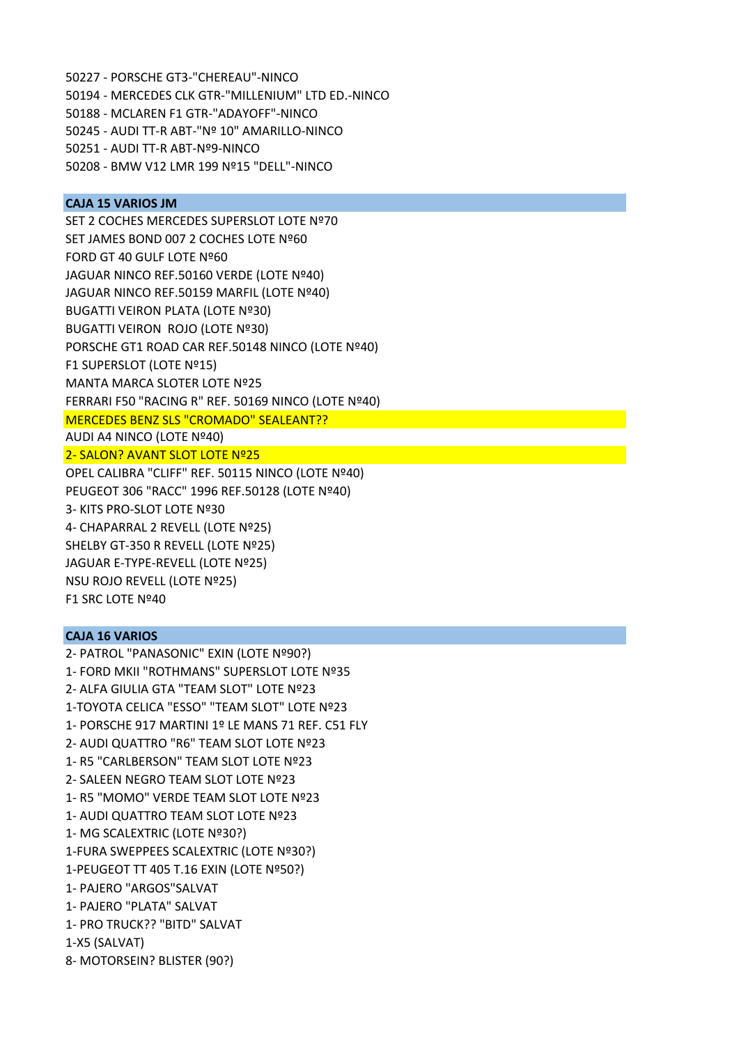- 50227 ‐ PORSCHE GT3‐"CHEREAU"‐NINCO
- 50194 ‐ MERCEDES CLK GTR‐"MILLENIUM" LTD ED.‐NINCO
- 50188 ‐ MCLAREN F1 GTR‐"ADAYOFF"‐NINCO
- 50245 ‐ AUDI TT‐R ABT‐"Nº 10" AMARILLO‐NINCO
- 50251 ‐ AUDI TT‐R ABT‐Nº9‐NINCO
- 50208 ‐ BMW V12 LMR 199 Nº15 "DELL"‐NINCO

# **CAJA 15 VARIOS JM**

SET 2 COCHES MERCEDES SUPERSLOT LOTE Nº70 SET JAMES BOND 007 2 COCHES LOTE Nº60 FORD GT 40 GULF LOTE Nº60 JAGUAR NINCO REF.50160 VERDE (LOTE Nº40) JAGUAR NINCO REF.50159 MARFIL (LOTE Nº40) BUGATTI VEIRON PLATA (LOTE Nº30) BUGATTI VEIRON ROJO (LOTE Nº30) PORSCHE GT1 ROAD CAR REF.50148 NINCO (LOTE Nº40) F1 SUPERSLOT (LOTE Nº15) MANTA MARCA SLOTER LOTE Nº25 FERRARI F50 "RACING R" REF. 50169 NINCO (LOTE Nº40) MERCEDES BENZ SLS "CROMADO" SEALEANT?? AUDI A4 NINCO (LOTE Nº40)

2‐ SALON? AVANT SLOT LOTE Nº25

OPEL CALIBRA "CLIFF" REF. 50115 NINCO (LOTE Nº40) PEUGEOT 306 "RACC" 1996 REF.50128 (LOTE Nº40) 3‐ KITS PRO‐SLOT LOTE Nº30 4‐ CHAPARRAL 2 REVELL (LOTE Nº25) SHELBY GT‐350 R REVELL (LOTE Nº25) JAGUAR E‐TYPE‐REVELL (LOTE Nº25) NSU ROJO REVELL (LOTE Nº25) F1 SRC LOTE Nº40

## **CAJA 16 VARIOS**

2‐ PATROL "PANASONIC" EXIN (LOTE Nº90?) 1‐ FORD MKII "ROTHMANS" SUPERSLOT LOTE Nº35 2‐ ALFA GIULIA GTA "TEAM SLOT" LOTE Nº23 1‐TOYOTA CELICA "ESSO" "TEAM SLOT" LOTE Nº23 1‐ PORSCHE 917 MARTINI 1º LE MANS 71 REF. C51 FLY 2‐ AUDI QUATTRO "R6" TEAM SLOT LOTE Nº23 1‐ R5 "CARLBERSON" TEAM SLOT LOTE Nº23 2‐ SALEEN NEGRO TEAM SLOT LOTE Nº23 1‐ R5 "MOMO" VERDE TEAM SLOT LOTE Nº23 1‐ AUDI QUATTRO TEAM SLOT LOTE Nº23 1‐ MG SCALEXTRIC (LOTE Nº30?) 1‐FURA SWEPPEES SCALEXTRIC (LOTE Nº30?) 1‐PEUGEOT TT 405 T.16 EXIN (LOTE Nº50?) 1‐ PAJERO "ARGOS"SALVAT 1‐ PAJERO "PLATA" SALVAT 1‐ PRO TRUCK?? "BITD" SALVAT 1‐X5 (SALVAT) 8‐ MOTORSEIN? BLISTER (90?)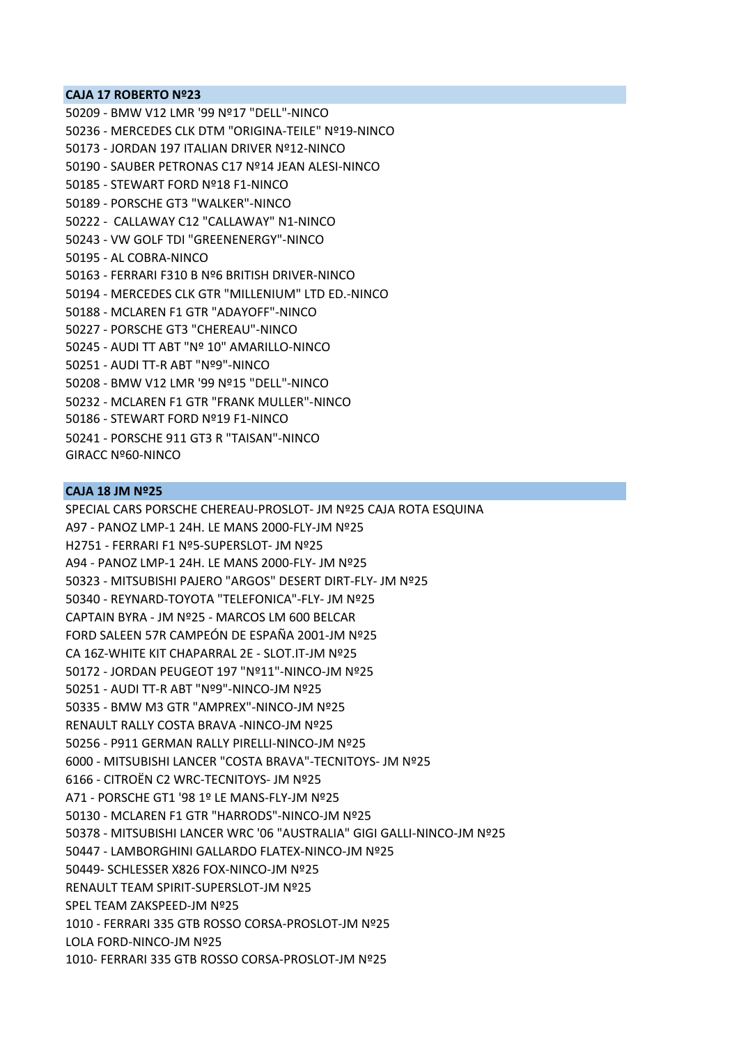#### **CAJA 17 ROBERTO Nº23**

50209 ‐ BMW V12 LMR '99 Nº17 "DELL"‐NINCO 50236 ‐ MERCEDES CLK DTM "ORIGINA‐TEILE" Nº19‐NINCO 50173 ‐ JORDAN 197 ITALIAN DRIVER Nº12‐NINCO 50190 ‐ SAUBER PETRONAS C17 Nº14 JEAN ALESI‐NINCO 50185 ‐ STEWART FORD Nº18 F1‐NINCO 50189 ‐ PORSCHE GT3 "WALKER"‐NINCO 50222 ‐ CALLAWAY C12 "CALLAWAY" N1‐NINCO 50243 ‐ VW GOLF TDI "GREENENERGY"‐NINCO 50195 ‐ AL COBRA‐NINCO 50163 ‐ FERRARI F310 B Nº6 BRITISH DRIVER‐NINCO 50194 ‐ MERCEDES CLK GTR "MILLENIUM" LTD ED.‐NINCO 50188 ‐ MCLAREN F1 GTR "ADAYOFF"‐NINCO 50227 ‐ PORSCHE GT3 "CHEREAU"‐NINCO 50245 ‐ AUDI TT ABT "Nº 10" AMARILLO‐NINCO 50251 ‐ AUDI TT‐R ABT "Nº9"‐NINCO 50208 ‐ BMW V12 LMR '99 Nº15 "DELL"‐NINCO 50232 ‐ MCLAREN F1 GTR "FRANK MULLER"‐NINCO 50186 ‐ STEWART FORD Nº19 F1‐NINCO 50241 ‐ PORSCHE 911 GT3 R "TAISAN"‐NINCO GIRACC Nº60‐NINCO

#### **CAJA 18 JM Nº25**

SPECIAL CARS PORSCHE CHEREAU‐PROSLOT‐ JM Nº25 CAJA ROTA ESQUINA A97 ‐ PANOZ LMP‐1 24H. LE MANS 2000‐FLY‐JM Nº25 H2751 ‐ FERRARI F1 Nº5‐SUPERSLOT‐ JM Nº25 A94 ‐ PANOZ LMP‐1 24H. LE MANS 2000‐FLY‐ JM Nº25 50323 ‐ MITSUBISHI PAJERO "ARGOS" DESERT DIRT‐FLY‐ JM Nº25 50340 ‐ REYNARD‐TOYOTA "TELEFONICA"‐FLY‐ JM Nº25 CAPTAIN BYRA ‐ JM Nº25 ‐ MARCOS LM 600 BELCAR FORD SALEEN 57R CAMPEÓN DE ESPAÑA 2001‐JM Nº25 CA 16Z‐WHITE KIT CHAPARRAL 2E ‐ SLOT.IT‐JM Nº25 50172 ‐ JORDAN PEUGEOT 197 "Nº11"‐NINCO‐JM Nº25 50251 ‐ AUDI TT‐R ABT "Nº9"‐NINCO‐JM Nº25 50335 ‐ BMW M3 GTR "AMPREX"‐NINCO‐JM Nº25 RENAULT RALLY COSTA BRAVA ‐NINCO‐JM Nº25 50256 ‐ P911 GERMAN RALLY PIRELLI‐NINCO‐JM Nº25 6000 ‐ MITSUBISHI LANCER "COSTA BRAVA"‐TECNITOYS‐ JM Nº25 6166 ‐ CITROËN C2 WRC‐TECNITOYS‐ JM Nº25 A71 ‐ PORSCHE GT1 '98 1º LE MANS‐FLY‐JM Nº25 50130 ‐ MCLAREN F1 GTR "HARRODS"‐NINCO‐JM Nº25 50378 ‐ MITSUBISHI LANCER WRC '06 "AUSTRALIA" GIGI GALLI‐NINCO‐JM Nº25 50447 ‐ LAMBORGHINI GALLARDO FLATEX‐NINCO‐JM Nº25 50449‐ SCHLESSER X826 FOX‐NINCO‐JM Nº25 RENAULT TEAM SPIRIT‐SUPERSLOT‐JM Nº25 SPEL TEAM ZAKSPEED‐JM Nº25 1010 ‐ FERRARI 335 GTB ROSSO CORSA‐PROSLOT‐JM Nº25 LOLA FORD‐NINCO‐JM Nº25 1010‐ FERRARI 335 GTB ROSSO CORSA‐PROSLOT‐JM Nº25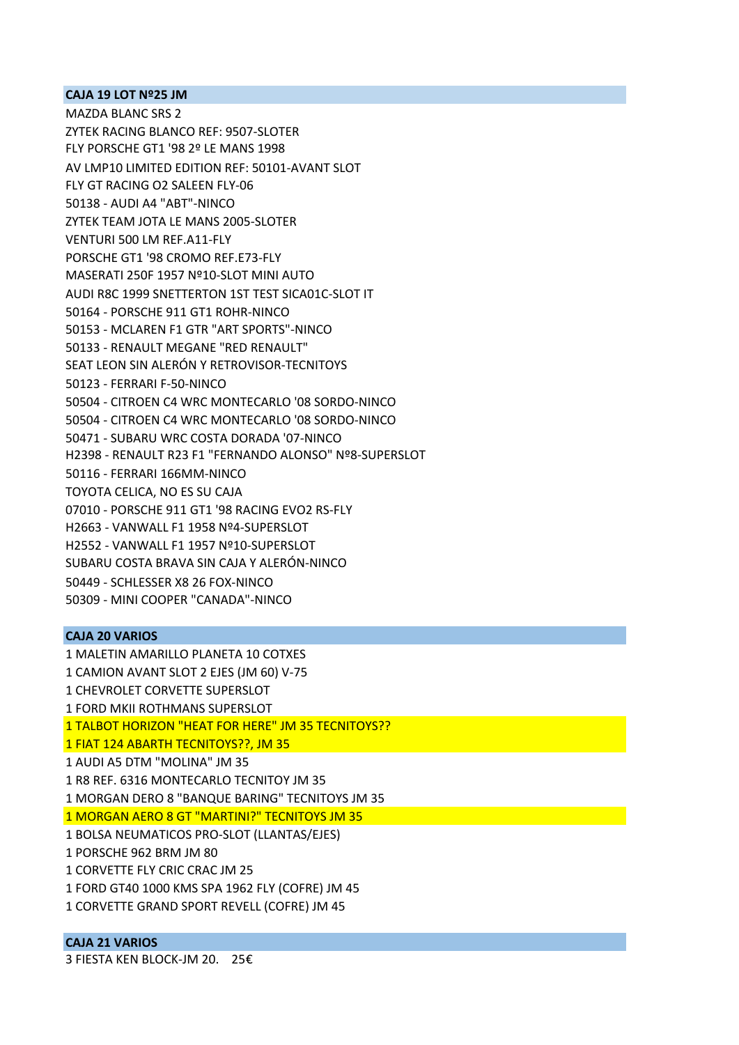### **CAJA 19 LOT Nº25 JM**

MAZDA BLANC SRS 2 ZYTEK RACING BLANCO REF: 9507‐SLOTER FLY PORSCHE GT1 '98 2º LE MANS 1998 AV LMP10 LIMITED EDITION REF: 50101‐AVANT SLOT FLY GT RACING O2 SALEEN FLY‐06 50138 ‐ AUDI A4 "ABT"‐NINCO ZYTEK TEAM JOTA LE MANS 2005‐SLOTER VENTURI 500 LM REF.A11‐FLY PORSCHE GT1 '98 CROMO REF.E73‐FLY MASERATI 250F 1957 Nº10‐SLOT MINI AUTO AUDI R8C 1999 SNETTERTON 1ST TEST SICA01C‐SLOT IT 50164 ‐ PORSCHE 911 GT1 ROHR‐NINCO 50153 ‐ MCLAREN F1 GTR "ART SPORTS"‐NINCO 50133 ‐ RENAULT MEGANE "RED RENAULT" SEAT LEON SIN ALERÓN Y RETROVISOR‐TECNITOYS 50123 ‐ FERRARI F‐50‐NINCO 50504 ‐ CITROEN C4 WRC MONTECARLO '08 SORDO‐NINCO 50504 ‐ CITROEN C4 WRC MONTECARLO '08 SORDO‐NINCO 50471 ‐ SUBARU WRC COSTA DORADA '07‐NINCO H2398 ‐ RENAULT R23 F1 "FERNANDO ALONSO" Nº8‐SUPERSLOT 50116 ‐ FERRARI 166MM‐NINCO TOYOTA CELICA, NO ES SU CAJA 07010 ‐ PORSCHE 911 GT1 '98 RACING EVO2 RS‐FLY H2663 ‐ VANWALL F1 1958 Nº4‐SUPERSLOT H2552 ‐ VANWALL F1 1957 Nº10‐SUPERSLOT SUBARU COSTA BRAVA SIN CAJA Y ALERÓN‐NINCO 50449 ‐ SCHLESSER X8 26 FOX‐NINCO 50309 ‐ MINI COOPER "CANADA"‐NINCO

### **CAJA 20 VARIOS**

1 MALETIN AMARILLO PLANETA 10 COTXES

1 CAMION AVANT SLOT 2 EJES (JM 60) V‐75

1 CHEVROLET CORVETTE SUPERSLOT

1 FORD MKII ROTHMANS SUPERSLOT

1 TALBOT HORIZON "HEAT FOR HERE" JM 35 TECNITOYS??

1 FIAT 124 ABARTH TECNITOYS??, JM 35

1 AUDI A5 DTM "MOLINA" JM 35

1 R8 REF. 6316 MONTECARLO TECNITOY JM 35

1 MORGAN DERO 8 "BANQUE BARING" TECNITOYS JM 35

1 MORGAN AERO 8 GT "MARTINI?" TECNITOYS JM 35

1 BOLSA NEUMATICOS PRO‐SLOT (LLANTAS/EJES)

1 PORSCHE 962 BRM JM 80

1 CORVETTE FLY CRIC CRAC JM 25

1 FORD GT40 1000 KMS SPA 1962 FLY (COFRE) JM 45

1 CORVETTE GRAND SPORT REVELL (COFRE) JM 45

# **CAJA 21 VARIOS**

3 FIESTA KEN BLOCK‐JM 20. 25€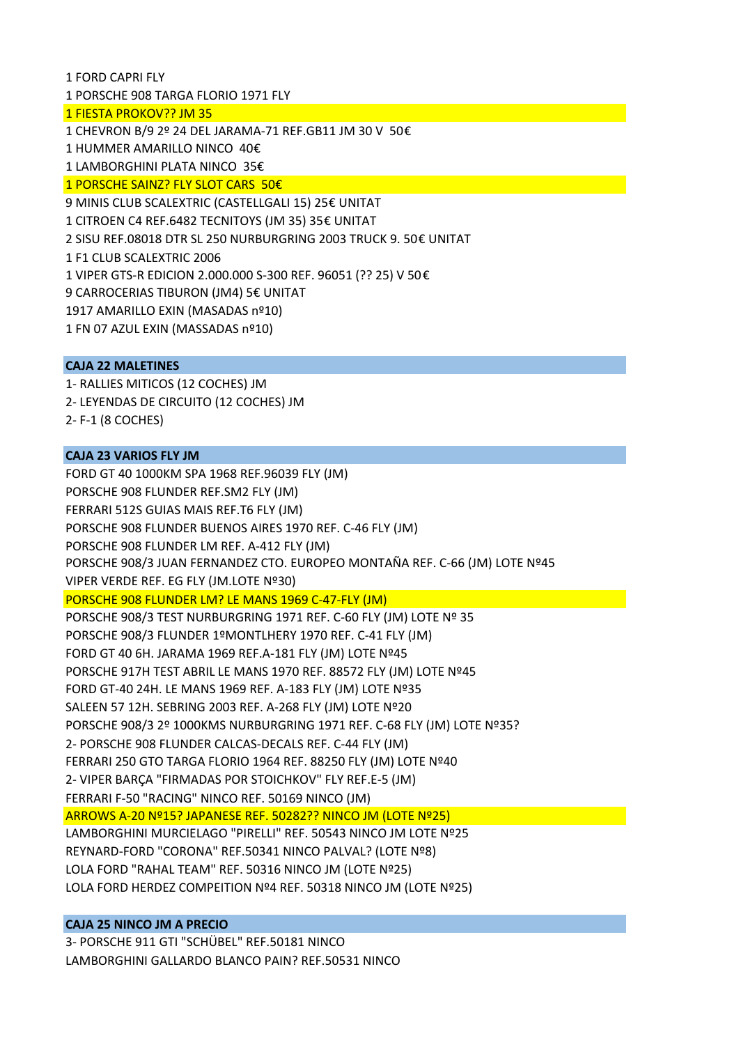1 PORSCHE 908 TARGA FLORIO 1971 FLY 1 FIESTA PROKOV?? JM 35 1 CHEVRON B/9 2º 24 DEL JARAMA‐71 REF.GB11 JM 30 V 50€ 1 HUMMER AMARILLO NINCO 40€ 1 LAMBORGHINI PLATA NINCO 35€ 1 PORSCHE SAINZ? FLY SLOT CARS 50€ 9 MINIS CLUB SCALEXTRIC (CASTELLGALI 15) 25€ UNITAT 1 CITROEN C4 REF.6482 TECNITOYS (JM 35) 35€ UNITAT 2 SISU REF.08018 DTR SL 250 NURBURGRING 2003 TRUCK 9. 50€ UNITAT 1 F1 CLUB SCALEXTRIC 2006 1 VIPER GTS‐R EDICION 2.000.000 S‐300 REF. 96051 (?? 25) V 50€ 9 CARROCERIAS TIBURON (JM4) 5€ UNITAT 1917 AMARILLO EXIN (MASADAS nº10) 1 FN 07 AZUL EXIN (MASSADAS nº10)

## **CAJA 22 MALETINES**

1 FORD CAPRI FLY

1‐ RALLIES MITICOS (12 COCHES) JM 2‐ LEYENDAS DE CIRCUITO (12 COCHES) JM

2‐ F‐1 (8 COCHES)

# **CAJA 23 VARIOS FLY JM**

FORD GT 40 1000KM SPA 1968 REF.96039 FLY (JM) PORSCHE 908 FLUNDER REF.SM2 FLY (JM) FERRARI 512S GUIAS MAIS REF.T6 FLY (JM) PORSCHE 908 FLUNDER BUENOS AIRES 1970 REF. C‐46 FLY (JM) PORSCHE 908 FLUNDER LM REF. A‐412 FLY (JM) PORSCHE 908/3 JUAN FERNANDEZ CTO. EUROPEO MONTAÑA REF. C‐66 (JM) LOTE Nº45 VIPER VERDE REF. EG FLY (JM.LOTE Nº30) PORSCHE 908 FLUNDER LM? LE MANS 1969 C‐47‐FLY (JM) PORSCHE 908/3 TEST NURBURGRING 1971 REF. C-60 FLY (JM) LOTE Nº 35 PORSCHE 908/3 FLUNDER 1ºMONTLHERY 1970 REF. C‐41 FLY (JM) FORD GT 40 6H. JARAMA 1969 REF.A‐181 FLY (JM) LOTE Nº45 PORSCHE 917H TEST ABRIL LE MANS 1970 REF. 88572 FLY (JM) LOTE Nº45 FORD GT‐40 24H. LE MANS 1969 REF. A‐183 FLY (JM) LOTE Nº35 SALEEN 57 12H. SEBRING 2003 REF. A‐268 FLY (JM) LOTE Nº20 PORSCHE 908/3 2º 1000KMS NURBURGRING 1971 REF. C‐68 FLY (JM) LOTE Nº35? 2‐ PORSCHE 908 FLUNDER CALCAS‐DECALS REF. C‐44 FLY (JM) FERRARI 250 GTO TARGA FLORIO 1964 REF. 88250 FLY (JM) LOTE Nº40 2‐ VIPER BARÇA "FIRMADAS POR STOICHKOV" FLY REF.E‐5 (JM) FERRARI F‐50 "RACING" NINCO REF. 50169 NINCO (JM) ARROWS A‐20 Nº15? JAPANESE REF. 50282?? NINCO JM (LOTE Nº25) LAMBORGHINI MURCIELAGO "PIRELLI" REF. 50543 NINCO JM LOTE Nº25 REYNARD‐FORD "CORONA" REF.50341 NINCO PALVAL? (LOTE Nº8) LOLA FORD "RAHAL TEAM" REF. 50316 NINCO JM (LOTE Nº25) LOLA FORD HERDEZ COMPEITION Nº4 REF. 50318 NINCO JM (LOTE Nº25)

## **CAJA 25 NINCO JM A PRECIO**

3‐ PORSCHE 911 GTI "SCHÜBEL" REF.50181 NINCO LAMBORGHINI GALLARDO BLANCO PAIN? REF.50531 NINCO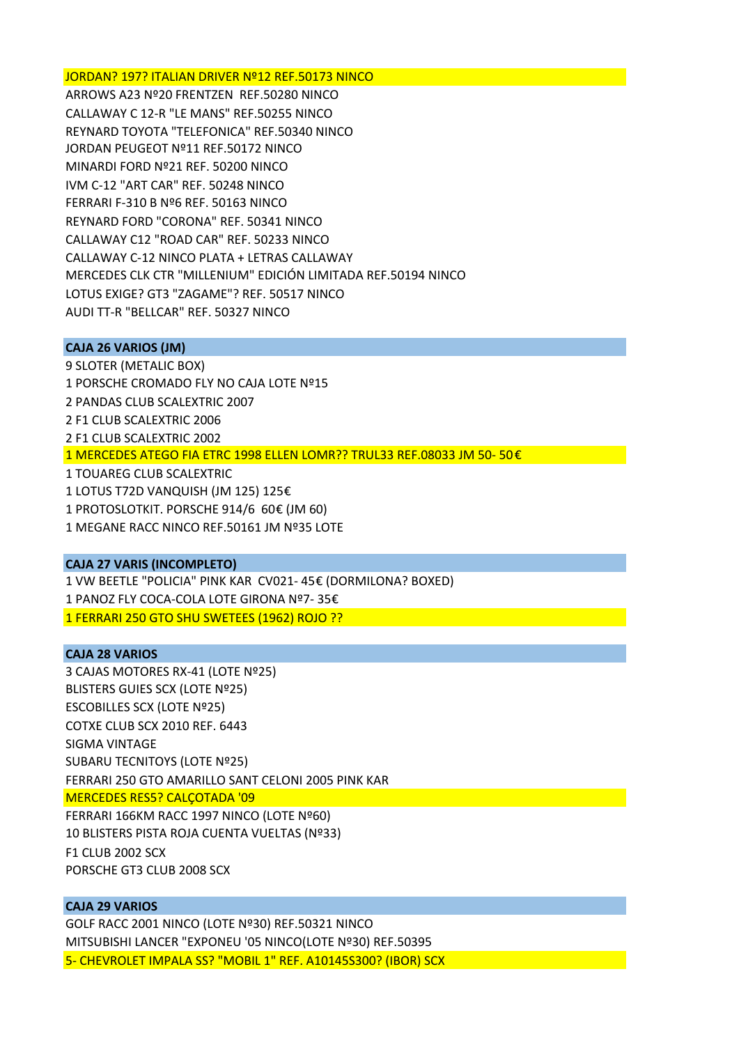#### JORDAN? 197? ITALIAN DRIVER Nº12 REF.50173 NINCO

ARROWS A23 Nº20 FRENTZEN REF.50280 NINCO CALLAWAY C 12‐R "LE MANS" REF.50255 NINCO REYNARD TOYOTA "TELEFONICA" REF.50340 NINCO JORDAN PEUGEOT Nº11 REF.50172 NINCO MINARDI FORD Nº21 REF. 50200 NINCO IVM C‐12 "ART CAR" REF. 50248 NINCO FERRARI F‐310 B Nº6 REF. 50163 NINCO REYNARD FORD "CORONA" REF. 50341 NINCO CALLAWAY C12 "ROAD CAR" REF. 50233 NINCO CALLAWAY C‐12 NINCO PLATA + LETRAS CALLAWAY MERCEDES CLK CTR "MILLENIUM" EDICIÓN LIMITADA REF.50194 NINCO LOTUS EXIGE? GT3 "ZAGAME"? REF. 50517 NINCO AUDI TT‐R "BELLCAR" REF. 50327 NINCO

#### **CAJA 26 VARIOS (JM)**

9 SLOTER (METALIC BOX) 1 PORSCHE CROMADO FLY NO CAJA LOTE Nº15 2 PANDAS CLUB SCALEXTRIC 2007 2 F1 CLUB SCALEXTRIC 2006 2 F1 CLUB SCALEXTRIC 2002 1 MERCEDES ATEGO FIA ETRC 1998 ELLEN LOMR?? TRUL33 REF.08033 JM 50‐ 50 € 1 TOUAREG CLUB SCALEXTRIC 1 LOTUS T72D VANQUISH (JM 125) 125€ 1 PROTOSLOTKIT. PORSCHE 914/6 60€ (JM 60) 1 MEGANE RACC NINCO REF.50161 JM Nº35 LOTE

# **CAJA 27 VARIS (INCOMPLETO)**

1 VW BEETLE "POLICIA" PINK KAR CV021‐ 45€ (DORMILONA? BOXED) 1 PANOZ FLY COCA‐COLA LOTE GIRONA Nº7‐ 35€ 1 FERRARI 250 GTO SHU SWETEES (1962) ROJO ??

#### **CAJA 28 VARIOS**

3 CAJAS MOTORES RX‐41 (LOTE Nº25) BLISTERS GUIES SCX (LOTE Nº25) ESCOBILLES SCX (LOTE Nº25) COTXE CLUB SCX 2010 REF. 6443 SIGMA VINTAGE SUBARU TECNITOYS (LOTE Nº25) FERRARI 250 GTO AMARILLO SANT CELONI 2005 PINK KAR MERCEDES RES5? CALÇOTADA '09 FERRARI 166KM RACC 1997 NINCO (LOTE Nº60) 10 BLISTERS PISTA ROJA CUENTA VUELTAS (Nº33) F1 CLUB 2002 SCX

PORSCHE GT3 CLUB 2008 SCX

# **CAJA 29 VARIOS**

GOLF RACC 2001 NINCO (LOTE Nº30) REF.50321 NINCO MITSUBISHI LANCER "EXPONEU '05 NINCO(LOTE Nº30) REF.50395 5‐ CHEVROLET IMPALA SS? "MOBIL 1" REF. A10145S300? (IBOR) SCX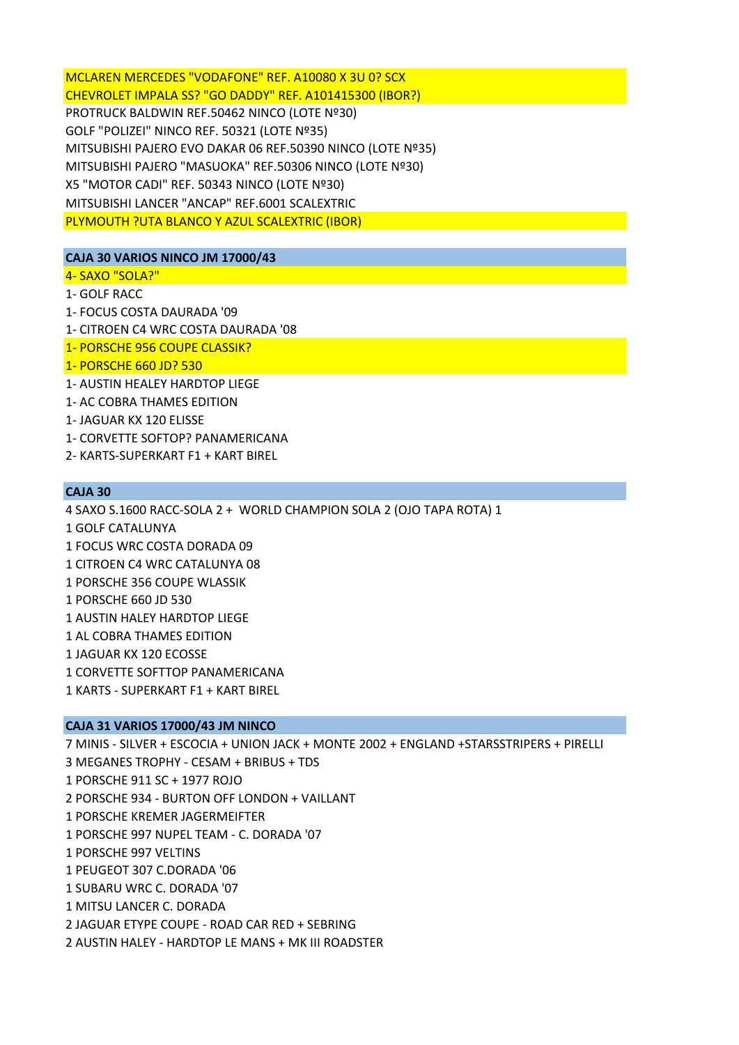MCLAREN MERCEDES "VODAFONE" REF. A10080 X 3U 0? SCX CHEVROLET IMPALA SS? "GO DADDY" REF. A101415300 (IBOR?) PROTRUCK BALDWIN REF.50462 NINCO (LOTE Nº30) GOLF "POLIZEI" NINCO REF. 50321 (LOTE Nº35) MITSUBISHI PAJERO EVO DAKAR 06 REF.50390 NINCO (LOTE Nº35) MITSUBISHI PAJERO "MASUOKA" REF.50306 NINCO (LOTE Nº30) X5 "MOTOR CADI" REF. 50343 NINCO (LOTE Nº30) MITSUBISHI LANCER "ANCAP" REF.6001 SCALEXTRIC PLYMOUTH ?UTA BLANCO Y AZUL SCALEXTRIC (IBOR)

# **CAJA 30 VARIOS NINCO JM 17000/43**

- 4‐ SAXO "SOLA?"
- 1‐ GOLF RACC
- 1‐ FOCUS COSTA DAURADA '09
- 1‐ CITROEN C4 WRC COSTA DAURADA '08
- 1‐ PORSCHE 956 COUPE CLASSIK?
- 1‐ PORSCHE 660 JD? 530
- 1‐ AUSTIN HEALEY HARDTOP LIEGE
- 1‐ AC COBRA THAMES EDITION
- 1‐ JAGUAR KX 120 ELISSE
- 1‐ CORVETTE SOFTOP? PANAMERICANA
- 2‐ KARTS‐SUPERKART F1 + KART BIREL

# **CAJA 30**

4 SAXO S.1600 RACC‐SOLA 2 + WORLD CHAMPION SOLA 2 (OJO TAPA ROTA) 1 1 GOLF CATALUNYA 1 FOCUS WRC COSTA DORADA 09 1 CITROEN C4 WRC CATALUNYA 08 1 PORSCHE 356 COUPE WLASSIK 1 PORSCHE 660 JD 530 1 AUSTIN HALEY HARDTOP LIEGE 1 AL COBRA THAMES EDITION 1 JAGUAR KX 120 ECOSSE 1 CORVETTE SOFTTOP PANAMERICANA 1 KARTS ‐ SUPERKART F1 + KART BIREL

## **CAJA 31 VARIOS 17000/43 JM NINCO**

7 MINIS ‐ SILVER + ESCOCIA + UNION JACK + MONTE 2002 + ENGLAND +STARSSTRIPERS + PIRELLI 3 MEGANES TROPHY ‐ CESAM + BRIBUS + TDS 1 PORSCHE 911 SC + 1977 ROJO 2 PORSCHE 934 ‐ BURTON OFF LONDON + VAILLANT 1 PORSCHE KREMER JAGERMEIFTER 1 PORSCHE 997 NUPEL TEAM ‐ C. DORADA '07 1 PORSCHE 997 VELTINS 1 PEUGEOT 307 C.DORADA '06 1 SUBARU WRC C. DORADA '07 1 MITSU LANCER C. DORADA 2 JAGUAR ETYPE COUPE ‐ ROAD CAR RED + SEBRING 2 AUSTIN HALEY ‐ HARDTOP LE MANS + MK III ROADSTER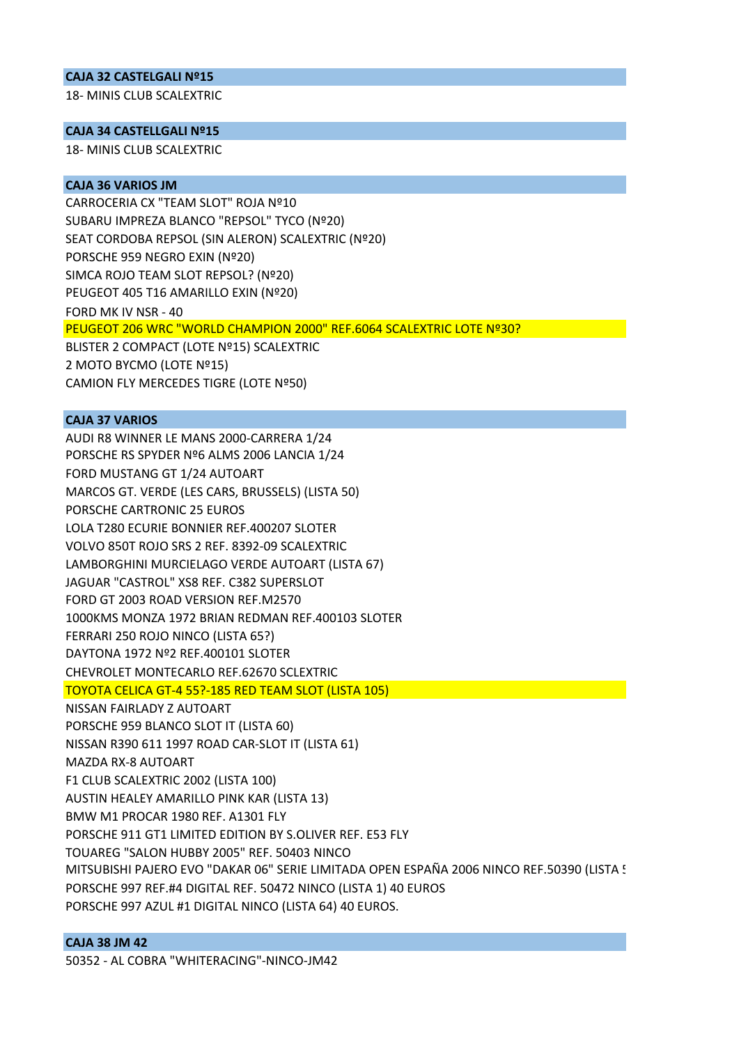### **CAJA 32 CASTELGALI Nº15**

18‐ MINIS CLUB SCALEXTRIC

## **CAJA 34 CASTELLGALI Nº15**

18‐ MINIS CLUB SCALEXTRIC

### **CAJA 36 VARIOS JM**

CARROCERIA CX "TEAM SLOT" ROJA Nº10 SUBARU IMPREZA BLANCO "REPSOL" TYCO (Nº20) SEAT CORDOBA REPSOL (SIN ALERON) SCALEXTRIC (Nº20) PORSCHE 959 NEGRO EXIN (Nº20) SIMCA ROJO TEAM SLOT REPSOL? (Nº20) PEUGEOT 405 T16 AMARILLO EXIN (Nº20) FORD MK IV NSR ‐ 40 PEUGEOT 206 WRC "WORLD CHAMPION 2000" REF.6064 SCALEXTRIC LOTE Nº30? BLISTER 2 COMPACT (LOTE Nº15) SCALEXTRIC 2 MOTO BYCMO (LOTE Nº15) CAMION FLY MERCEDES TIGRE (LOTE Nº50)

## **CAJA 37 VARIOS**

AUDI R8 WINNER LE MANS 2000‐CARRERA 1/24 PORSCHE RS SPYDER Nº6 ALMS 2006 LANCIA 1/24 FORD MUSTANG GT 1/24 AUTOART MARCOS GT. VERDE (LES CARS, BRUSSELS) (LISTA 50) PORSCHE CARTRONIC 25 EUROS LOLA T280 ECURIE BONNIER REF.400207 SLOTER VOLVO 850T ROJO SRS 2 REF. 8392‐09 SCALEXTRIC LAMBORGHINI MURCIELAGO VERDE AUTOART (LISTA 67) JAGUAR "CASTROL" XS8 REF. C382 SUPERSLOT FORD GT 2003 ROAD VERSION REF.M2570 1000KMS MONZA 1972 BRIAN REDMAN REF.400103 SLOTER FERRARI 250 ROJO NINCO (LISTA 65?) DAYTONA 1972 Nº2 REF.400101 SLOTER CHEVROLET MONTECARLO REF.62670 SCLEXTRIC TOYOTA CELICA GT‐4 55?‐185 RED TEAM SLOT (LISTA 105) NISSAN FAIRLADY Z AUTOART PORSCHE 959 BLANCO SLOT IT (LISTA 60) NISSAN R390 611 1997 ROAD CAR‐SLOT IT (LISTA 61) MAZDA RX‐8 AUTOART F1 CLUB SCALEXTRIC 2002 (LISTA 100) AUSTIN HEALEY AMARILLO PINK KAR (LISTA 13) BMW M1 PROCAR 1980 REF. A1301 FLY PORSCHE 911 GT1 LIMITED EDITION BY S.OLIVER REF. E53 FLY TOUAREG "SALON HUBBY 2005" REF. 50403 NINCO MITSUBISHI PAJERO EVO "DAKAR 06" SERIE LIMITADA OPEN ESPAÑA 2006 NINCO REF.50390 (LISTA 5 PORSCHE 997 REF.#4 DIGITAL REF. 50472 NINCO (LISTA 1) 40 EUROS PORSCHE 997 AZUL #1 DIGITAL NINCO (LISTA 64) 40 EUROS.

# **CAJA 38 JM 42**

50352 ‐ AL COBRA "WHITERACING"‐NINCO‐JM42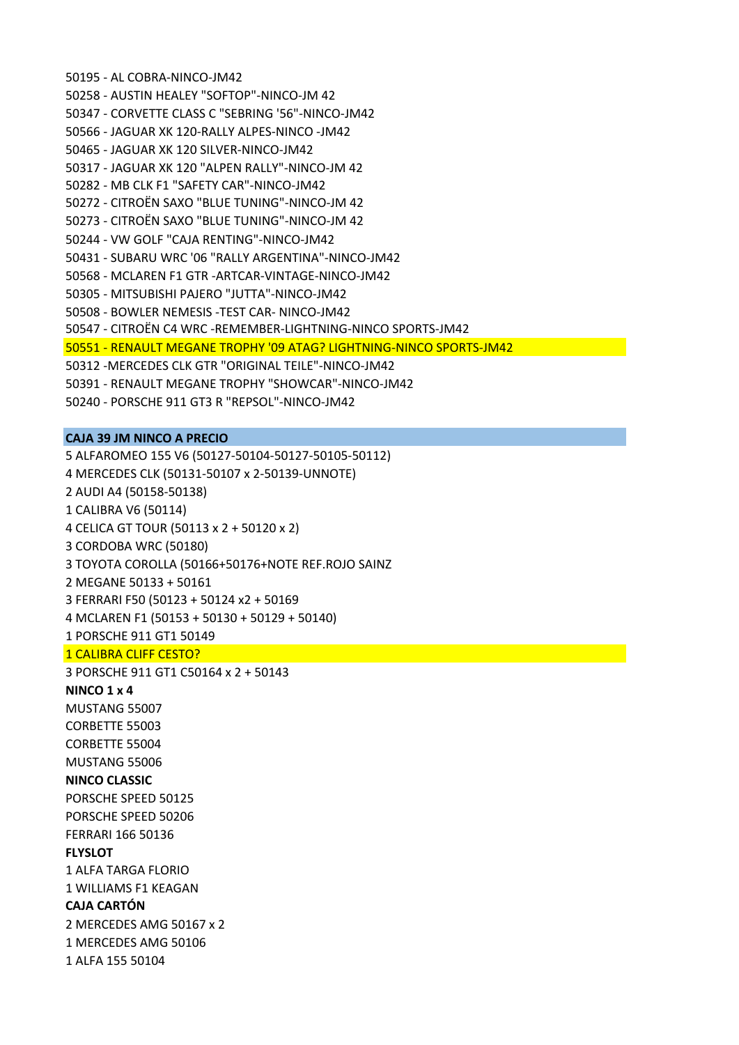50195 ‐ AL COBRA‐NINCO‐JM42 50258 ‐ AUSTIN HEALEY "SOFTOP"‐NINCO‐JM 42 50347 ‐ CORVETTE CLASS C "SEBRING '56"‐NINCO‐JM42 50566 ‐ JAGUAR XK 120‐RALLY ALPES‐NINCO ‐JM42 50465 ‐ JAGUAR XK 120 SILVER‐NINCO‐JM42 50317 ‐ JAGUAR XK 120 "ALPEN RALLY"‐NINCO‐JM 42 50282 ‐ MB CLK F1 "SAFETY CAR"‐NINCO‐JM42 50272 ‐ CITROËN SAXO "BLUE TUNING"‐NINCO‐JM 42 50273 ‐ CITROËN SAXO "BLUE TUNING"‐NINCO‐JM 42 50244 ‐ VW GOLF "CAJA RENTING"‐NINCO‐JM42 50431 ‐ SUBARU WRC '06 "RALLY ARGENTINA"‐NINCO‐JM42 50568 ‐ MCLAREN F1 GTR ‐ARTCAR‐VINTAGE‐NINCO‐JM42 50305 ‐ MITSUBISHI PAJERO "JUTTA"‐NINCO‐JM42 50508 ‐ BOWLER NEMESIS ‐TEST CAR‐ NINCO‐JM42 50547 ‐ CITROËN C4 WRC ‐REMEMBER‐LIGHTNING‐NINCO SPORTS‐JM42 50551 ‐ RENAULT MEGANE TROPHY '09 ATAG? LIGHTNING‐NINCO SPORTS‐JM42 50312 ‐MERCEDES CLK GTR "ORIGINAL TEILE"‐NINCO‐JM42 50391 ‐ RENAULT MEGANE TROPHY "SHOWCAR"‐NINCO‐JM42

50240 ‐ PORSCHE 911 GT3 R "REPSOL"‐NINCO‐JM42

### **CAJA 39 JM NINCO A PRECIO**

5 ALFAROMEO 155 V6 (50127‐50104‐50127‐50105‐50112) 4 MERCEDES CLK (50131‐50107 x 2‐50139‐UNNOTE) 2 AUDI A4 (50158‐50138) 1 CALIBRA V6 (50114) 4 CELICA GT TOUR (50113 x 2 + 50120 x 2) 3 CORDOBA WRC (50180) 3 TOYOTA COROLLA (50166+50176+NOTE REF.ROJO SAINZ 2 MEGANE 50133 + 50161 3 FERRARI F50 (50123 + 50124 x2 + 50169 4 MCLAREN F1 (50153 + 50130 + 50129 + 50140) 1 PORSCHE 911 GT1 50149 1 CALIBRA CLIFF CESTO?

3 PORSCHE 911 GT1 C50164 x 2 + 50143

**NINCO 1 x 4** MUSTANG 55007

CORBETTE 55003 CORBETTE 55004 MUSTANG 55006 **NINCO CLASSIC**

PORSCHE SPEED 50125 PORSCHE SPEED 50206 FERRARI 166 50136 **FLYSLOT** 1 ALFA TARGA FLORIO 1 WILLIAMS F1 KEAGAN **CAJA CARTÓN**

2 MERCEDES AMG 50167 x 2

1 MERCEDES AMG 50106

1 ALFA 155 50104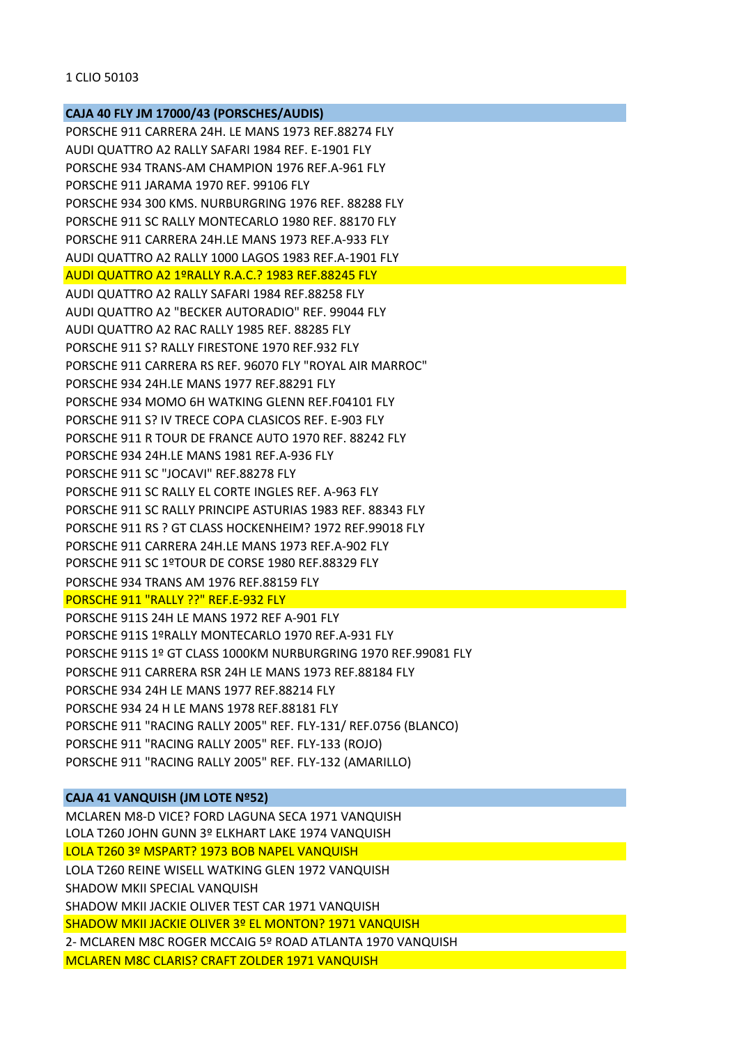# **CAJA 40 FLY JM 17000/43 (PORSCHES/AUDIS)**

PORSCHE 911 CARRERA 24H. LE MANS 1973 REF.88274 FLY AUDI QUATTRO A2 RALLY SAFARI 1984 REF. E‐1901 FLY PORSCHE 934 TRANS‐AM CHAMPION 1976 REF.A‐961 FLY PORSCHE 911 JARAMA 1970 REF. 99106 FLY PORSCHE 934 300 KMS. NURBURGRING 1976 REF. 88288 FLY PORSCHE 911 SC RALLY MONTECARLO 1980 REF. 88170 FLY PORSCHE 911 CARRERA 24H.LE MANS 1973 REF.A‐933 FLY AUDI QUATTRO A2 RALLY 1000 LAGOS 1983 REF.A‐1901 FLY AUDI QUATTRO A2 1ºRALLY R.A.C.? 1983 REF.88245 FLY AUDI QUATTRO A2 RALLY SAFARI 1984 REF.88258 FLY AUDI QUATTRO A2 "BECKER AUTORADIO" REF. 99044 FLY AUDI QUATTRO A2 RAC RALLY 1985 REF. 88285 FLY PORSCHE 911 S? RALLY FIRESTONE 1970 REF.932 FLY PORSCHE 911 CARRERA RS REF. 96070 FLY "ROYAL AIR MARROC" PORSCHE 934 24H.LE MANS 1977 REF.88291 FLY PORSCHE 934 MOMO 6H WATKING GLENN REF.F04101 FLY PORSCHE 911 S? IV TRECE COPA CLASICOS REF. E‐903 FLY PORSCHE 911 R TOUR DE FRANCE AUTO 1970 REF. 88242 FLY PORSCHE 934 24H.LE MANS 1981 REF.A‐936 FLY PORSCHE 911 SC "JOCAVI" REF.88278 FLY PORSCHE 911 SC RALLY EL CORTE INGLES REF. A‐963 FLY PORSCHE 911 SC RALLY PRINCIPE ASTURIAS 1983 REF. 88343 FLY PORSCHE 911 RS ? GT CLASS HOCKENHEIM? 1972 REF.99018 FLY PORSCHE 911 CARRERA 24H.LE MANS 1973 REF.A‐902 FLY PORSCHE 911 SC 1ºTOUR DE CORSE 1980 REF.88329 FLY PORSCHE 934 TRANS AM 1976 REF.88159 FLY PORSCHE 911 "RALLY ??" REF.E-932 FLY PORSCHE 911S 24H LE MANS 1972 REF A‐901 FLY PORSCHE 911S 1ºRALLY MONTECARLO 1970 REF.A‐931 FLY PORSCHE 911S 1º GT CLASS 1000KM NURBURGRING 1970 REF.99081 FLY PORSCHE 911 CARRERA RSR 24H LE MANS 1973 REF.88184 FLY PORSCHE 934 24H LE MANS 1977 REF.88214 FLY PORSCHE 934 24 H LE MANS 1978 REF.88181 FLY PORSCHE 911 "RACING RALLY 2005" REF. FLY‐131/ REF.0756 (BLANCO) PORSCHE 911 "RACING RALLY 2005" REF. FLY‐133 (ROJO) PORSCHE 911 "RACING RALLY 2005" REF. FLY‐132 (AMARILLO)

# **CAJA 41 VANQUISH (JM LOTE Nº52)**

MCLAREN M8‐D VICE? FORD LAGUNA SECA 1971 VANQUISH LOLA T260 JOHN GUNN 3º ELKHART LAKE 1974 VANQUISH LOLA T260 3º MSPART? 1973 BOB NAPEL VANQUISH LOLA T260 REINE WISELL WATKING GLEN 1972 VANQUISH SHADOW MKII SPECIAL VANQUISH SHADOW MKII JACKIE OLIVER TEST CAR 1971 VANQUISH SHADOW MKII JACKIE OLIVER 3º EL MONTON? 1971 VANQUISH 2‐ MCLAREN M8C ROGER MCCAIG 5º ROAD ATLANTA 1970 VANQUISH MCLAREN M8C CLARIS? CRAFT ZOLDER 1971 VANQUISH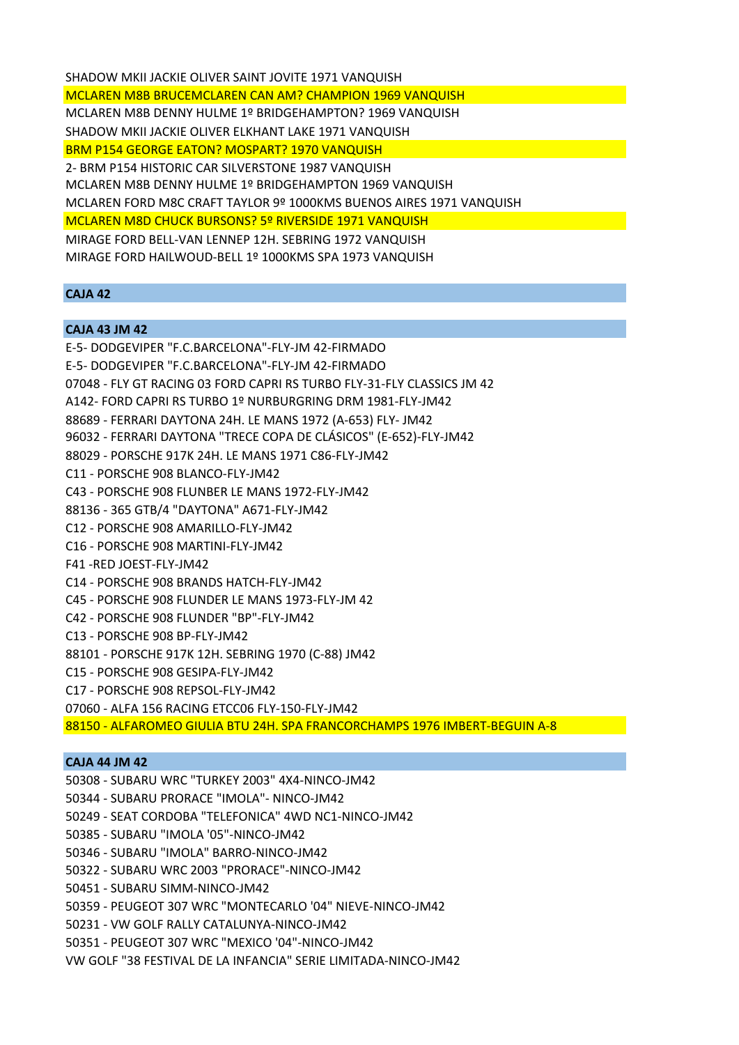SHADOW MKII JACKIE OLIVER SAINT JOVITE 1971 VANQUISH MCLAREN M8B BRUCEMCLAREN CAN AM? CHAMPION 1969 VANQUISH MCLAREN M8B DENNY HULME 1º BRIDGEHAMPTON? 1969 VANQUISH SHADOW MKII JACKIE OLIVER ELKHANT LAKE 1971 VANQUISH BRM P154 GEORGE EATON? MOSPART? 1970 VANQUISH 2‐ BRM P154 HISTORIC CAR SILVERSTONE 1987 VANQUISH MCLAREN M8B DENNY HULME 1º BRIDGEHAMPTON 1969 VANQUISH MCLAREN FORD M8C CRAFT TAYLOR 9º 1000KMS BUENOS AIRES 1971 VANQUISH MCLAREN M8D CHUCK BURSONS? 5º RIVERSIDE 1971 VANQUISH MIRAGE FORD BELL‐VAN LENNEP 12H. SEBRING 1972 VANQUISH MIRAGE FORD HAILWOUD‐BELL 1º 1000KMS SPA 1973 VANQUISH

# **CAJA 42**

#### **CAJA 43 JM 42**

E‐5‐ DODGEVIPER "F.C.BARCELONA"‐FLY‐JM 42‐FIRMADO E‐5‐ DODGEVIPER "F.C.BARCELONA"‐FLY‐JM 42‐FIRMADO 07048 ‐ FLY GT RACING 03 FORD CAPRI RS TURBO FLY‐31‐FLY CLASSICS JM 42 A142‐ FORD CAPRI RS TURBO 1º NURBURGRING DRM 1981‐FLY‐JM42 88689 ‐ FERRARI DAYTONA 24H. LE MANS 1972 (A‐653) FLY‐ JM42 96032 ‐ FERRARI DAYTONA "TRECE COPA DE CLÁSICOS" (E‐652)‐FLY‐JM42 88029 ‐ PORSCHE 917K 24H. LE MANS 1971 C86‐FLY‐JM42 C11 ‐ PORSCHE 908 BLANCO‐FLY‐JM42 C43 ‐ PORSCHE 908 FLUNBER LE MANS 1972‐FLY‐JM42 88136 ‐ 365 GTB/4 "DAYTONA" A671‐FLY‐JM42 C12 ‐ PORSCHE 908 AMARILLO‐FLY‐JM42 C16 ‐ PORSCHE 908 MARTINI‐FLY‐JM42 F41 ‐RED JOEST‐FLY‐JM42 C14 ‐ PORSCHE 908 BRANDS HATCH‐FLY‐JM42 C45 ‐ PORSCHE 908 FLUNDER LE MANS 1973‐FLY‐JM 42 C42 ‐ PORSCHE 908 FLUNDER "BP"‐FLY‐JM42 C13 ‐ PORSCHE 908 BP‐FLY‐JM42 88101 ‐ PORSCHE 917K 12H. SEBRING 1970 (C‐88) JM42 C15 ‐ PORSCHE 908 GESIPA‐FLY‐JM42 C17 ‐ PORSCHE 908 REPSOL‐FLY‐JM42 07060 ‐ ALFA 156 RACING ETCC06 FLY‐150‐FLY‐JM42 88150 ‐ ALFAROMEO GIULIA BTU 24H. SPA FRANCORCHAMPS 1976 IMBERT‐BEGUIN A‐8

### **CAJA 44 JM 42**

50308 ‐ SUBARU WRC "TURKEY 2003" 4X4‐NINCO‐JM42 50344 ‐ SUBARU PRORACE "IMOLA"‐ NINCO‐JM42 50249 ‐ SEAT CORDOBA "TELEFONICA" 4WD NC1‐NINCO‐JM42 50385 ‐ SUBARU "IMOLA '05"‐NINCO‐JM42 50346 ‐ SUBARU "IMOLA" BARRO‐NINCO‐JM42 50322 ‐ SUBARU WRC 2003 "PRORACE"‐NINCO‐JM42 50451 ‐ SUBARU SIMM‐NINCO‐JM42 50359 ‐ PEUGEOT 307 WRC "MONTECARLO '04" NIEVE‐NINCO‐JM42 50231 ‐ VW GOLF RALLY CATALUNYA‐NINCO‐JM42 50351 ‐ PEUGEOT 307 WRC "MEXICO '04"‐NINCO‐JM42

VW GOLF "38 FESTIVAL DE LA INFANCIA" SERIE LIMITADA‐NINCO‐JM42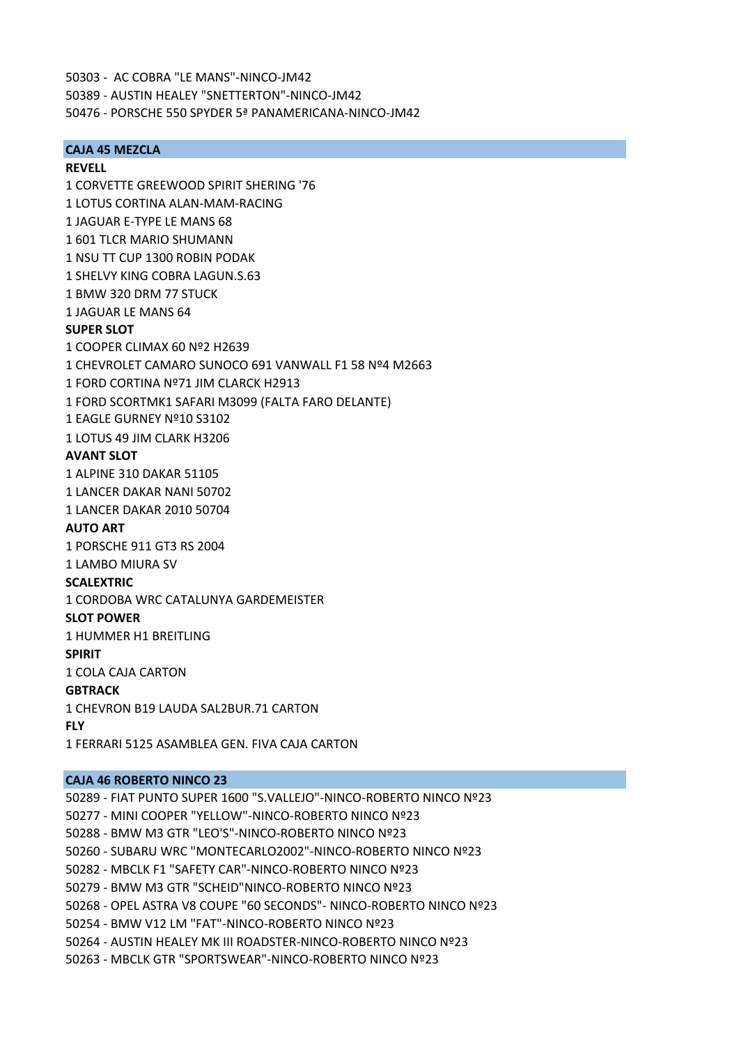50303 ‐ AC COBRA "LE MANS"‐NINCO‐JM42 50389 ‐ AUSTIN HEALEY "SNETTERTON"‐NINCO‐JM42

50476 ‐ PORSCHE 550 SPYDER 5ª PANAMERICANA‐NINCO‐JM42

### **CAJA 45 MEZCLA**

#### **REVELL**

1 CORVETTE GREEWOOD SPIRIT SHERING '76 1 LOTUS CORTINA ALAN‐MAM‐RACING 1 JAGUAR E‐TYPE LE MANS 68 1 601 TLCR MARIO SHUMANN 1 NSU TT CUP 1300 ROBIN PODAK 1 SHELVY KING COBRA LAGUN.S.63 1 BMW 320 DRM 77 STUCK 1 JAGUAR LE MANS 64 **SUPER SLOT** 1 COOPER CLIMAX 60 Nº2 H2639 1 CHEVROLET CAMARO SUNOCO 691 VANWALL F1 58 Nº4 M2663 1 FORD CORTINA Nº71 JIM CLARCK H2913 1 FORD SCORTMK1 SAFARI M3099 (FALTA FARO DELANTE) 1 EAGLE GURNEY Nº10 S3102 1 LOTUS 49 JIM CLARK H3206 **AVANT SLOT** 1 ALPINE 310 DAKAR 51105 1 LANCER DAKAR NANI 50702 1 LANCER DAKAR 2010 50704 **AUTO ART** 1 PORSCHE 911 GT3 RS 2004 1 LAMBO MIURA SV **SCALEXTRIC** 1 CORDOBA WRC CATALUNYA GARDEMEISTER **SLOT POWER** 1 HUMMER H1 BREITLING **SPIRIT** 1 COLA CAJA CARTON **GBTRACK** 1 CHEVRON B19 LAUDA SAL2BUR.71 CARTON **FLY** 1 FERRARI 5125 ASAMBLEA GEN. FIVA CAJA CARTON

## **CAJA 46 ROBERTO NINCO 23**

50289 ‐ FIAT PUNTO SUPER 1600 "S.VALLEJO"‐NINCO‐ROBERTO NINCO Nº23 50277 ‐ MINI COOPER "YELLOW"‐NINCO‐ROBERTO NINCO Nº23 50288 ‐ BMW M3 GTR "LEO'S"‐NINCO‐ROBERTO NINCO Nº23 50260 ‐ SUBARU WRC "MONTECARLO2002"‐NINCO‐ROBERTO NINCO Nº23 50282 ‐ MBCLK F1 "SAFETY CAR"‐NINCO‐ROBERTO NINCO Nº23 50279 ‐ BMW M3 GTR "SCHEID"NINCO‐ROBERTO NINCO Nº23 50268 ‐ OPEL ASTRA V8 COUPE "60 SECONDS"‐ NINCO‐ROBERTO NINCO Nº23 50254 ‐ BMW V12 LM "FAT"‐NINCO‐ROBERTO NINCO Nº23 50264 ‐ AUSTIN HEALEY MK III ROADSTER‐NINCO‐ROBERTO NINCO Nº23 50263 ‐ MBCLK GTR "SPORTSWEAR"‐NINCO‐ROBERTO NINCO Nº23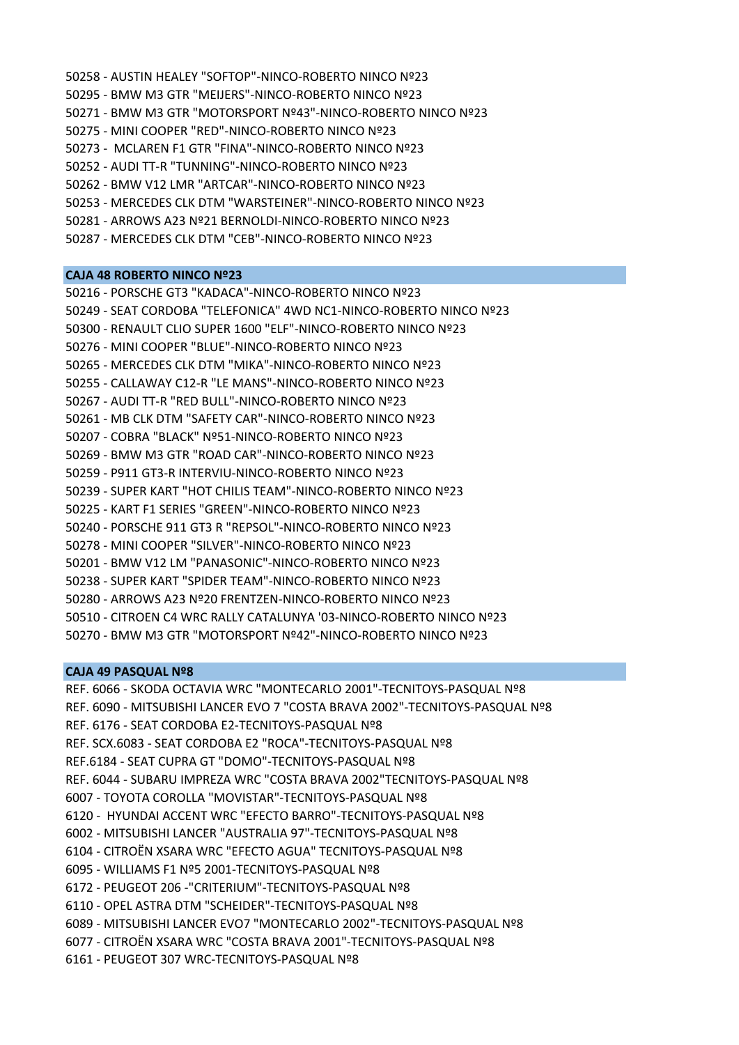50258 ‐ AUSTIN HEALEY "SOFTOP"‐NINCO‐ROBERTO NINCO Nº23 50295 ‐ BMW M3 GTR "MEIJERS"‐NINCO‐ROBERTO NINCO Nº23 50271 ‐ BMW M3 GTR "MOTORSPORT Nº43"‐NINCO‐ROBERTO NINCO Nº23 50275 ‐ MINI COOPER "RED"‐NINCO‐ROBERTO NINCO Nº23 50273 ‐ MCLAREN F1 GTR "FINA"‐NINCO‐ROBERTO NINCO Nº23 50252 ‐ AUDI TT‐R "TUNNING"‐NINCO‐ROBERTO NINCO Nº23 50262 ‐ BMW V12 LMR "ARTCAR"‐NINCO‐ROBERTO NINCO Nº23 50253 ‐ MERCEDES CLK DTM "WARSTEINER"‐NINCO‐ROBERTO NINCO Nº23 50281 ‐ ARROWS A23 Nº21 BERNOLDI‐NINCO‐ROBERTO NINCO Nº23

50287 ‐ MERCEDES CLK DTM "CEB"‐NINCO‐ROBERTO NINCO Nº23

#### **CAJA 48 ROBERTO NINCO Nº23**

50216 ‐ PORSCHE GT3 "KADACA"‐NINCO‐ROBERTO NINCO Nº23 50249 ‐ SEAT CORDOBA "TELEFONICA" 4WD NC1‐NINCO‐ROBERTO NINCO Nº23 50300 ‐ RENAULT CLIO SUPER 1600 "ELF"‐NINCO‐ROBERTO NINCO Nº23 50276 ‐ MINI COOPER "BLUE"‐NINCO‐ROBERTO NINCO Nº23 50265 ‐ MERCEDES CLK DTM "MIKA"‐NINCO‐ROBERTO NINCO Nº23 50255 ‐ CALLAWAY C12‐R "LE MANS"‐NINCO‐ROBERTO NINCO Nº23 50267 ‐ AUDI TT‐R "RED BULL"‐NINCO‐ROBERTO NINCO Nº23 50261 ‐ MB CLK DTM "SAFETY CAR"‐NINCO‐ROBERTO NINCO Nº23 50207 ‐ COBRA "BLACK" Nº51‐NINCO‐ROBERTO NINCO Nº23 50269 ‐ BMW M3 GTR "ROAD CAR"‐NINCO‐ROBERTO NINCO Nº23 50259 ‐ P911 GT3‐R INTERVIU‐NINCO‐ROBERTO NINCO Nº23 50239 ‐ SUPER KART "HOT CHILIS TEAM"‐NINCO‐ROBERTO NINCO Nº23 50225 ‐ KART F1 SERIES "GREEN"‐NINCO‐ROBERTO NINCO Nº23 50240 ‐ PORSCHE 911 GT3 R "REPSOL"‐NINCO‐ROBERTO NINCO Nº23 50278 ‐ MINI COOPER "SILVER"‐NINCO‐ROBERTO NINCO Nº23 50201 ‐ BMW V12 LM "PANASONIC"‐NINCO‐ROBERTO NINCO Nº23 50238 ‐ SUPER KART "SPIDER TEAM"‐NINCO‐ROBERTO NINCO Nº23 50280 ‐ ARROWS A23 Nº20 FRENTZEN‐NINCO‐ROBERTO NINCO Nº23 50510 ‐ CITROEN C4 WRC RALLY CATALUNYA '03‐NINCO‐ROBERTO NINCO Nº23 50270 ‐ BMW M3 GTR "MOTORSPORT Nº42"‐NINCO‐ROBERTO NINCO Nº23

## **CAJA 49 PASQUAL Nº8**

REF. 6066 ‐ SKODA OCTAVIA WRC "MONTECARLO 2001"‐TECNITOYS‐PASQUAL Nº8 REF. 6090 ‐ MITSUBISHI LANCER EVO 7 "COSTA BRAVA 2002"‐TECNITOYS‐PASQUAL Nº8 REF. 6176 ‐ SEAT CORDOBA E2‐TECNITOYS‐PASQUAL Nº8 REF. SCX.6083 ‐ SEAT CORDOBA E2 "ROCA"‐TECNITOYS‐PASQUAL Nº8 REF.6184 ‐ SEAT CUPRA GT "DOMO"‐TECNITOYS‐PASQUAL Nº8 REF. 6044 ‐ SUBARU IMPREZA WRC "COSTA BRAVA 2002"TECNITOYS‐PASQUAL Nº8 6007 ‐ TOYOTA COROLLA "MOVISTAR"‐TECNITOYS‐PASQUAL Nº8 6120 ‐ HYUNDAI ACCENT WRC "EFECTO BARRO"‐TECNITOYS‐PASQUAL Nº8 6002 ‐ MITSUBISHI LANCER "AUSTRALIA 97"‐TECNITOYS‐PASQUAL Nº8 6104 ‐ CITROËN XSARA WRC "EFECTO AGUA" TECNITOYS‐PASQUAL Nº8 6095 ‐ WILLIAMS F1 Nº5 2001‐TECNITOYS‐PASQUAL Nº8 6172 ‐ PEUGEOT 206 ‐"CRITERIUM"‐TECNITOYS‐PASQUAL Nº8 6110 ‐ OPEL ASTRA DTM "SCHEIDER"‐TECNITOYS‐PASQUAL Nº8 6089 ‐ MITSUBISHI LANCER EVO7 "MONTECARLO 2002"‐TECNITOYS‐PASQUAL Nº8 6077 ‐ CITROËN XSARA WRC "COSTA BRAVA 2001"‐TECNITOYS‐PASQUAL Nº8 6161 ‐ PEUGEOT 307 WRC‐TECNITOYS‐PASQUAL Nº8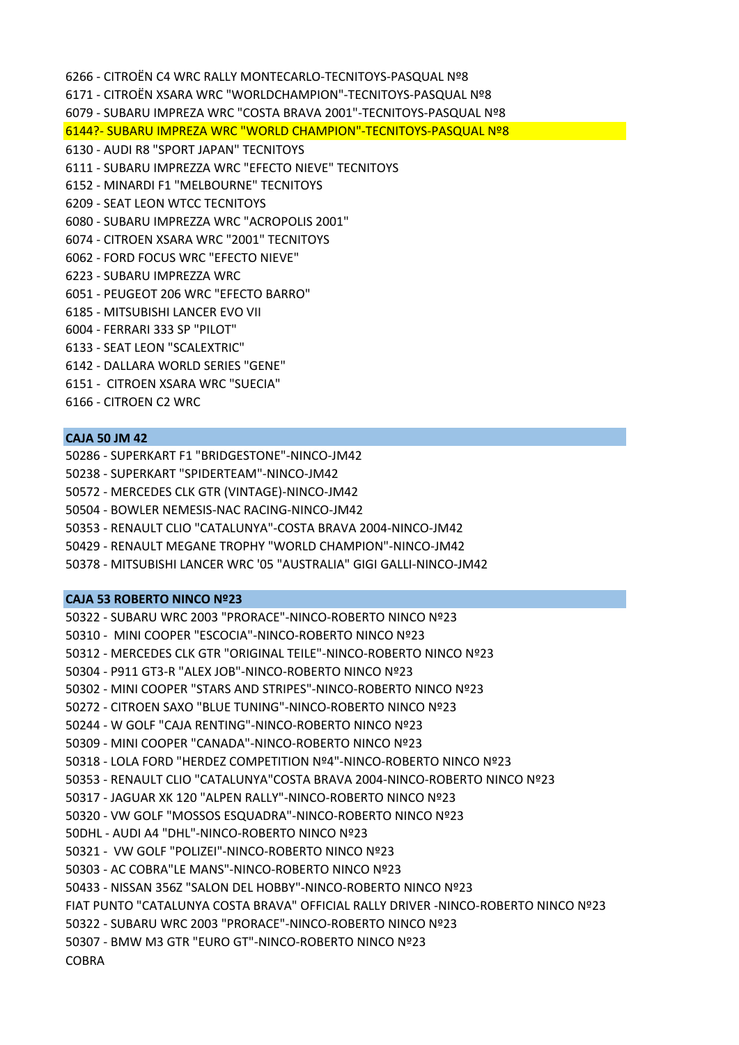6266 ‐ CITROËN C4 WRC RALLY MONTECARLO‐TECNITOYS‐PASQUAL Nº8 6171 ‐ CITROËN XSARA WRC "WORLDCHAMPION"‐TECNITOYS‐PASQUAL Nº8 6079 ‐ SUBARU IMPREZA WRC "COSTA BRAVA 2001"‐TECNITOYS‐PASQUAL Nº8 6144?‐ SUBARU IMPREZA WRC "WORLD CHAMPION"‐TECNITOYS‐PASQUAL Nº8 6130 ‐ AUDI R8 "SPORT JAPAN" TECNITOYS 6111 ‐ SUBARU IMPREZZA WRC "EFECTO NIEVE" TECNITOYS 6152 ‐ MINARDI F1 "MELBOURNE" TECNITOYS 6209 ‐ SEAT LEON WTCC TECNITOYS 6080 ‐ SUBARU IMPREZZA WRC "ACROPOLIS 2001" 6074 ‐ CITROEN XSARA WRC "2001" TECNITOYS 6062 ‐ FORD FOCUS WRC "EFECTO NIEVE" 6223 ‐ SUBARU IMPREZZA WRC 6051 ‐ PEUGEOT 206 WRC "EFECTO BARRO" 6185 ‐ MITSUBISHI LANCER EVO VII 6004 ‐ FERRARI 333 SP "PILOT" 6133 ‐ SEAT LEON "SCALEXTRIC" 6142 ‐ DALLARA WORLD SERIES "GENE" 6151 ‐ CITROEN XSARA WRC "SUECIA"

6166 ‐ CITROEN C2 WRC

## **CAJA 50 JM 42**

50286 ‐ SUPERKART F1 "BRIDGESTONE"‐NINCO‐JM42

- 50238 ‐ SUPERKART "SPIDERTEAM"‐NINCO‐JM42
- 50572 ‐ MERCEDES CLK GTR (VINTAGE)‐NINCO‐JM42
- 50504 ‐ BOWLER NEMESIS‐NAC RACING‐NINCO‐JM42
- 50353 ‐ RENAULT CLIO "CATALUNYA"‐COSTA BRAVA 2004‐NINCO‐JM42
- 50429 ‐ RENAULT MEGANE TROPHY "WORLD CHAMPION"‐NINCO‐JM42
- 50378 ‐ MITSUBISHI LANCER WRC '05 "AUSTRALIA" GIGI GALLI‐NINCO‐JM42

### **CAJA 53 ROBERTO NINCO Nº23**

- 50322 ‐ SUBARU WRC 2003 "PRORACE"‐NINCO‐ROBERTO NINCO Nº23
- 50310 ‐ MINI COOPER "ESCOCIA"‐NINCO‐ROBERTO NINCO Nº23
- 50312 ‐ MERCEDES CLK GTR "ORIGINAL TEILE"‐NINCO‐ROBERTO NINCO Nº23
- 50304 ‐ P911 GT3‐R "ALEX JOB"‐NINCO‐ROBERTO NINCO Nº23
- 50302 ‐ MINI COOPER "STARS AND STRIPES"‐NINCO‐ROBERTO NINCO Nº23
- 50272 ‐ CITROEN SAXO "BLUE TUNING"‐NINCO‐ROBERTO NINCO Nº23
- 50244 ‐ W GOLF "CAJA RENTING"‐NINCO‐ROBERTO NINCO Nº23
- 50309 ‐ MINI COOPER "CANADA"‐NINCO‐ROBERTO NINCO Nº23
- 50318 ‐ LOLA FORD "HERDEZ COMPETITION Nº4"‐NINCO‐ROBERTO NINCO Nº23
- 50353 ‐ RENAULT CLIO "CATALUNYA"COSTA BRAVA 2004‐NINCO‐ROBERTO NINCO Nº23
- 50317 ‐ JAGUAR XK 120 "ALPEN RALLY"‐NINCO‐ROBERTO NINCO Nº23
- 50320 ‐ VW GOLF "MOSSOS ESQUADRA"‐NINCO‐ROBERTO NINCO Nº23
- 50DHL ‐ AUDI A4 "DHL"‐NINCO‐ROBERTO NINCO Nº23
- 50321 ‐ VW GOLF "POLIZEI"‐NINCO‐ROBERTO NINCO Nº23
- 50303 ‐ AC COBRA"LE MANS"‐NINCO‐ROBERTO NINCO Nº23
- 50433 ‐ NISSAN 356Z "SALON DEL HOBBY"‐NINCO‐ROBERTO NINCO Nº23
- FIAT PUNTO "CATALUNYA COSTA BRAVA" OFFICIAL RALLY DRIVER ‐NINCO‐ROBERTO NINCO Nº23
- 50322 ‐ SUBARU WRC 2003 "PRORACE"‐NINCO‐ROBERTO NINCO Nº23
- 50307 ‐ BMW M3 GTR "EURO GT"‐NINCO‐ROBERTO NINCO Nº23
- COBRA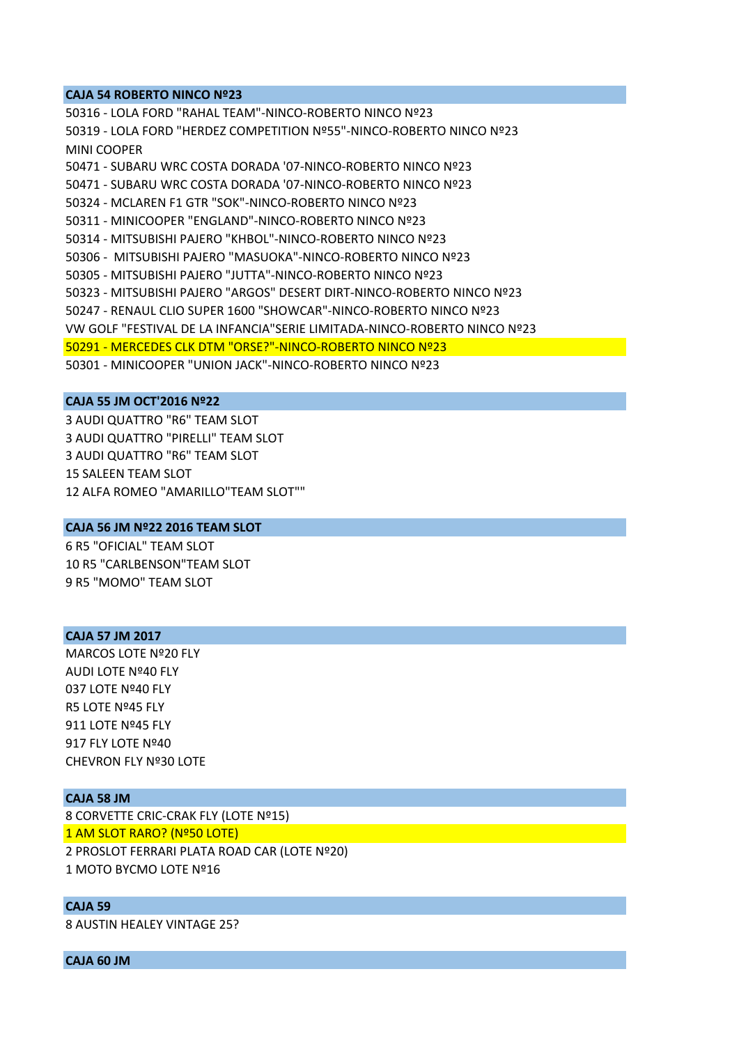#### **CAJA 54 ROBERTO NINCO Nº23**

50316 ‐ LOLA FORD "RAHAL TEAM"‐NINCO‐ROBERTO NINCO Nº23 50319 ‐ LOLA FORD "HERDEZ COMPETITION Nº55"‐NINCO‐ROBERTO NINCO Nº23 MINI COOPER 50471 ‐ SUBARU WRC COSTA DORADA '07‐NINCO‐ROBERTO NINCO Nº23 50471 ‐ SUBARU WRC COSTA DORADA '07‐NINCO‐ROBERTO NINCO Nº23 50324 ‐ MCLAREN F1 GTR "SOK"‐NINCO‐ROBERTO NINCO Nº23 50311 ‐ MINICOOPER "ENGLAND"‐NINCO‐ROBERTO NINCO Nº23 50314 ‐ MITSUBISHI PAJERO "KHBOL"‐NINCO‐ROBERTO NINCO Nº23 50306 ‐ MITSUBISHI PAJERO "MASUOKA"‐NINCO‐ROBERTO NINCO Nº23 50305 ‐ MITSUBISHI PAJERO "JUTTA"‐NINCO‐ROBERTO NINCO Nº23 50323 ‐ MITSUBISHI PAJERO "ARGOS" DESERT DIRT‐NINCO‐ROBERTO NINCO Nº23 50247 ‐ RENAUL CLIO SUPER 1600 "SHOWCAR"‐NINCO‐ROBERTO NINCO Nº23 VW GOLF "FESTIVAL DE LA INFANCIA"SERIE LIMITADA‐NINCO‐ROBERTO NINCO Nº23 50291 ‐ MERCEDES CLK DTM "ORSE?"‐NINCO‐ROBERTO NINCO Nº23 50301 ‐ MINICOOPER "UNION JACK"‐NINCO‐ROBERTO NINCO Nº23

#### **CAJA 55 JM OCT'2016 Nº22**

3 AUDI QUATTRO "R6" TEAM SLOT 3 AUDI QUATTRO "PIRELLI" TEAM SLOT 3 AUDI QUATTRO "R6" TEAM SLOT 15 SALEEN TEAM SLOT 12 ALFA ROMEO "AMARILLO"TEAM SLOT""

### **CAJA 56 JM Nº22 2016 TEAM SLOT**

6 R5 "OFICIAL" TEAM SLOT 10 R5 "CARLBENSON"TEAM SLOT 9 R5 "MOMO" TEAM SLOT

#### **CAJA 57 JM 2017**

MARCOS LOTE Nº20 FLY AUDI LOTE Nº40 FLY 037 LOTE Nº40 FLY R5 LOTE Nº45 FLY 911 LOTE Nº45 FLY 917 FLY LOTE Nº40 CHEVRON FLY Nº30 LOTE

# **CAJA 58 JM**

8 CORVETTE CRIC‐CRAK FLY (LOTE Nº15) 1 AM SLOT RARO? (Nº50 LOTE) 2 PROSLOT FERRARI PLATA ROAD CAR (LOTE Nº20) 1 MOTO BYCMO LOTE Nº16

#### **CAJA 59**

8 AUSTIN HEALEY VINTAGE 25?

**CAJA 60 JM**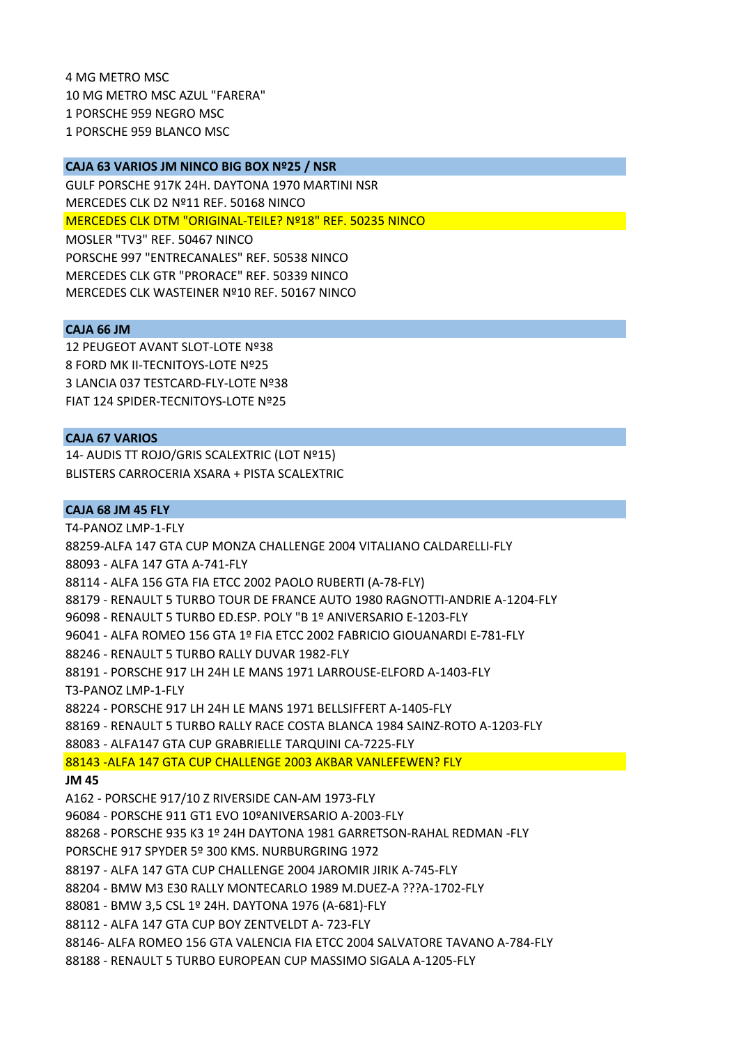4 MG METRO MSC 10 MG METRO MSC AZUL "FARERA" 1 PORSCHE 959 NEGRO MSC 1 PORSCHE 959 BLANCO MSC

#### **CAJA 63 VARIOS JM NINCO BIG BOX Nº25 / NSR**

GULF PORSCHE 917K 24H. DAYTONA 1970 MARTINI NSR MERCEDES CLK D2 Nº11 REF. 50168 NINCO MERCEDES CLK DTM "ORIGINAL‐TEILE? Nº18" REF. 50235 NINCO MOSLER "TV3" REF. 50467 NINCO PORSCHE 997 "ENTRECANALES" REF. 50538 NINCO MERCEDES CLK GTR "PRORACE" REF. 50339 NINCO MERCEDES CLK WASTEINER Nº10 REF. 50167 NINCO

# **CAJA 66 JM**

12 PEUGEOT AVANT SLOT‐LOTE Nº38 8 FORD MK II‐TECNITOYS‐LOTE Nº25 3 LANCIA 037 TESTCARD‐FLY‐LOTE Nº38 FIAT 124 SPIDER‐TECNITOYS‐LOTE Nº25

### **CAJA 67 VARIOS**

14‐ AUDIS TT ROJO/GRIS SCALEXTRIC (LOT Nº15) BLISTERS CARROCERIA XSARA + PISTA SCALEXTRIC

# **CAJA 68 JM 45 FLY**

T4‐PANOZ LMP‐1‐FLY 88259‐ALFA 147 GTA CUP MONZA CHALLENGE 2004 VITALIANO CALDARELLI‐FLY 88093 ‐ ALFA 147 GTA A‐741‐FLY 88114 ‐ ALFA 156 GTA FIA ETCC 2002 PAOLO RUBERTI (A‐78‐FLY) 88179 ‐ RENAULT 5 TURBO TOUR DE FRANCE AUTO 1980 RAGNOTTI‐ANDRIE A‐1204‐FLY 96098 ‐ RENAULT 5 TURBO ED.ESP. POLY "B 1º ANIVERSARIO E‐1203‐FLY 96041 ‐ ALFA ROMEO 156 GTA 1º FIA ETCC 2002 FABRICIO GIOUANARDI E‐781‐FLY 88246 ‐ RENAULT 5 TURBO RALLY DUVAR 1982‐FLY 88191 ‐ PORSCHE 917 LH 24H LE MANS 1971 LARROUSE‐ELFORD A‐1403‐FLY T3‐PANOZ LMP‐1‐FLY 88224 ‐ PORSCHE 917 LH 24H LE MANS 1971 BELLSIFFERT A‐1405‐FLY 88169 ‐ RENAULT 5 TURBO RALLY RACE COSTA BLANCA 1984 SAINZ‐ROTO A‐1203‐FLY 88083 ‐ ALFA147 GTA CUP GRABRIELLE TARQUINI CA‐7225‐FLY 88143 ‐ALFA 147 GTA CUP CHALLENGE 2003 AKBAR VANLEFEWEN? FLY **JM 45** A162 ‐ PORSCHE 917/10 Z RIVERSIDE CAN‐AM 1973‐FLY 96084 ‐ PORSCHE 911 GT1 EVO 10ºANIVERSARIO A‐2003‐FLY 88268 ‐ PORSCHE 935 K3 1º 24H DAYTONA 1981 GARRETSON‐RAHAL REDMAN ‐FLY PORSCHE 917 SPYDER 5º 300 KMS. NURBURGRING 1972 88197 ‐ ALFA 147 GTA CUP CHALLENGE 2004 JAROMIR JIRIK A‐745‐FLY 88204 ‐ BMW M3 E30 RALLY MONTECARLO 1989 M.DUEZ‐A ???A‐1702‐FLY 88081 ‐ BMW 3,5 CSL 1º 24H. DAYTONA 1976 (A‐681)‐FLY 88112 ‐ ALFA 147 GTA CUP BOY ZENTVELDT A‐ 723‐FLY 88146‐ ALFA ROMEO 156 GTA VALENCIA FIA ETCC 2004 SALVATORE TAVANO A‐784‐FLY 88188 ‐ RENAULT 5 TURBO EUROPEAN CUP MASSIMO SIGALA A‐1205‐FLY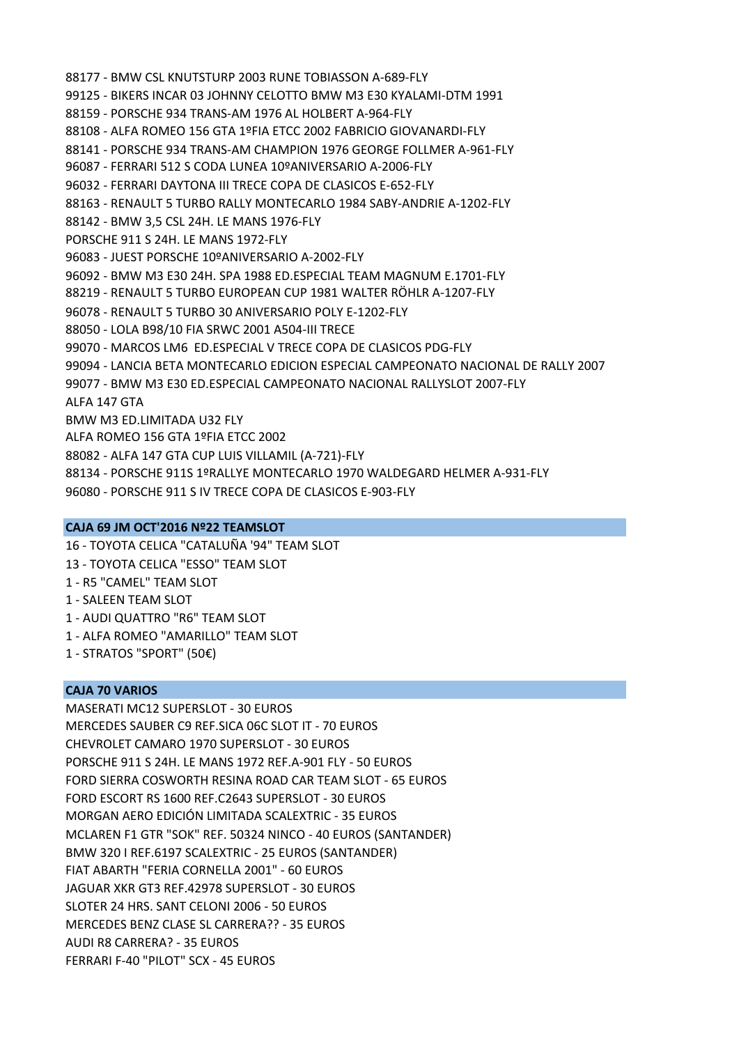- 88177 ‐ BMW CSL KNUTSTURP 2003 RUNE TOBIASSON A‐689‐FLY
- 99125 ‐ BIKERS INCAR 03 JOHNNY CELOTTO BMW M3 E30 KYALAMI‐DTM 1991
- 88159 ‐ PORSCHE 934 TRANS‐AM 1976 AL HOLBERT A‐964‐FLY
- 88108 ‐ ALFA ROMEO 156 GTA 1ºFIA ETCC 2002 FABRICIO GIOVANARDI‐FLY
- 88141 ‐ PORSCHE 934 TRANS‐AM CHAMPION 1976 GEORGE FOLLMER A‐961‐FLY
- 96087 ‐ FERRARI 512 S CODA LUNEA 10ºANIVERSARIO A‐2006‐FLY
- 96032 ‐ FERRARI DAYTONA III TRECE COPA DE CLASICOS E‐652‐FLY
- 88163 ‐ RENAULT 5 TURBO RALLY MONTECARLO 1984 SABY‐ANDRIE A‐1202‐FLY
- 88142 ‐ BMW 3,5 CSL 24H. LE MANS 1976‐FLY
- PORSCHE 911 S 24H. LE MANS 1972‐FLY
- 96083 ‐ JUEST PORSCHE 10ºANIVERSARIO A‐2002‐FLY
- 96092 ‐ BMW M3 E30 24H. SPA 1988 ED.ESPECIAL TEAM MAGNUM E.1701‐FLY
- 88219 ‐ RENAULT 5 TURBO EUROPEAN CUP 1981 WALTER RÖHLR A‐1207‐FLY
- 96078 ‐ RENAULT 5 TURBO 30 ANIVERSARIO POLY E‐1202‐FLY
- 88050 ‐ LOLA B98/10 FIA SRWC 2001 A504‐III TRECE
- 99070 ‐ MARCOS LM6 ED.ESPECIAL V TRECE COPA DE CLASICOS PDG‐FLY
- 99094 ‐ LANCIA BETA MONTECARLO EDICION ESPECIAL CAMPEONATO NACIONAL DE RALLY 2007
- 99077 ‐ BMW M3 E30 ED.ESPECIAL CAMPEONATO NACIONAL RALLYSLOT 2007‐FLY

ALFA 147 GTA

- BMW M3 ED.LIMITADA U32 FLY
- ALFA ROMEO 156 GTA 1ºFIA ETCC 2002
- 88082 ‐ ALFA 147 GTA CUP LUIS VILLAMIL (A‐721)‐FLY
- 88134 ‐ PORSCHE 911S 1ºRALLYE MONTECARLO 1970 WALDEGARD HELMER A‐931‐FLY
- 96080 ‐ PORSCHE 911 S IV TRECE COPA DE CLASICOS E‐903‐FLY

### **CAJA 69 JM OCT'2016 Nº22 TEAMSLOT**

- 16 ‐ TOYOTA CELICA "CATALUÑA '94" TEAM SLOT
- 13 ‐ TOYOTA CELICA "ESSO" TEAM SLOT
- 1 ‐ R5 "CAMEL" TEAM SLOT
- 1 ‐ SALEEN TEAM SLOT
- 1 ‐ AUDI QUATTRO "R6" TEAM SLOT
- 1 ‐ ALFA ROMEO "AMARILLO" TEAM SLOT
- 1 ‐ STRATOS "SPORT" (50€)

### **CAJA 70 VARIOS**

MASERATI MC12 SUPERSLOT ‐ 30 EUROS MERCEDES SAUBER C9 REF.SICA 06C SLOT IT ‐ 70 EUROS CHEVROLET CAMARO 1970 SUPERSLOT ‐ 30 EUROS PORSCHE 911 S 24H. LE MANS 1972 REF.A‐901 FLY ‐ 50 EUROS FORD SIERRA COSWORTH RESINA ROAD CAR TEAM SLOT ‐ 65 EUROS FORD ESCORT RS 1600 REF.C2643 SUPERSLOT ‐ 30 EUROS MORGAN AERO EDICIÓN LIMITADA SCALEXTRIC ‐ 35 EUROS MCLAREN F1 GTR "SOK" REF. 50324 NINCO ‐ 40 EUROS (SANTANDER) BMW 320 I REF.6197 SCALEXTRIC ‐ 25 EUROS (SANTANDER) FIAT ABARTH "FERIA CORNELLA 2001" ‐ 60 EUROS JAGUAR XKR GT3 REF.42978 SUPERSLOT ‐ 30 EUROS SLOTER 24 HRS. SANT CELONI 2006 ‐ 50 EUROS MERCEDES BENZ CLASE SL CARRERA?? ‐ 35 EUROS AUDI R8 CARRERA? ‐ 35 EUROS FERRARI F‐40 "PILOT" SCX ‐ 45 EUROS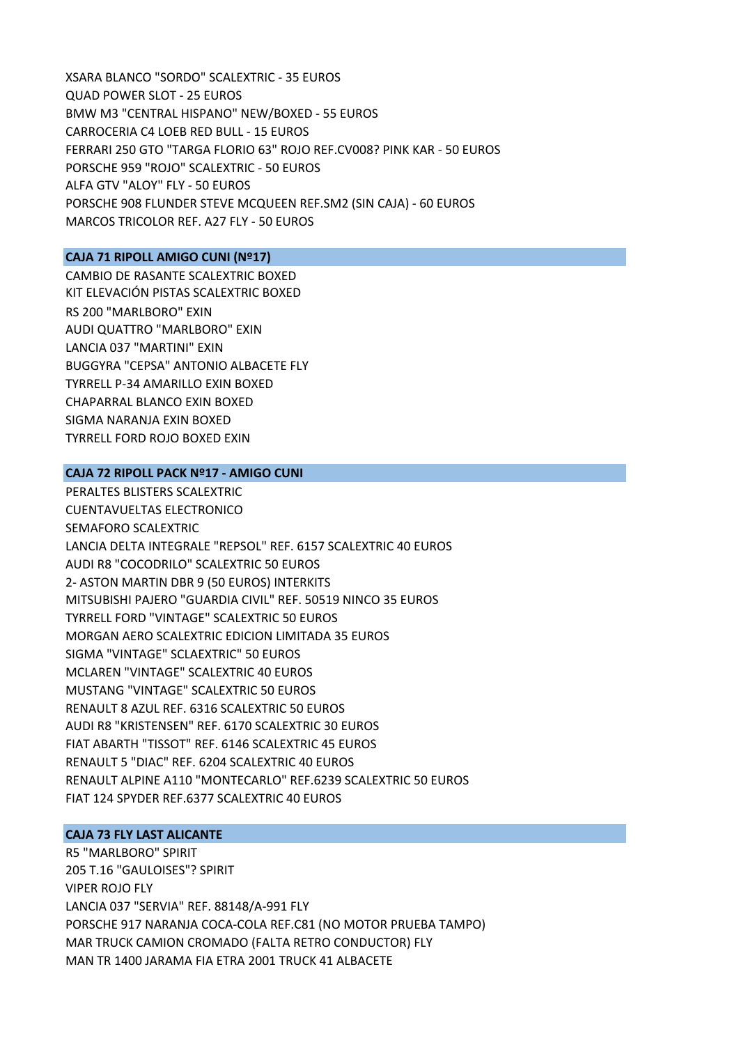XSARA BLANCO "SORDO" SCALEXTRIC ‐ 35 EUROS QUAD POWER SLOT ‐ 25 EUROS BMW M3 "CENTRAL HISPANO" NEW/BOXED ‐ 55 EUROS CARROCERIA C4 LOEB RED BULL ‐ 15 EUROS FERRARI 250 GTO "TARGA FLORIO 63" ROJO REF.CV008? PINK KAR ‐ 50 EUROS PORSCHE 959 "ROJO" SCALEXTRIC ‐ 50 EUROS ALFA GTV "ALOY" FLY ‐ 50 EUROS PORSCHE 908 FLUNDER STEVE MCQUEEN REF.SM2 (SIN CAJA) ‐ 60 EUROS MARCOS TRICOLOR REF. A27 FLY ‐ 50 EUROS

### **CAJA 71 RIPOLL AMIGO CUNI (Nº17)**

CAMBIO DE RASANTE SCALEXTRIC BOXED KIT ELEVACIÓN PISTAS SCALEXTRIC BOXED RS 200 "MARLBORO" EXIN AUDI QUATTRO "MARLBORO" EXIN LANCIA 037 "MARTINI" EXIN BUGGYRA "CEPSA" ANTONIO ALBACETE FLY TYRRELL P‐34 AMARILLO EXIN BOXED CHAPARRAL BLANCO EXIN BOXED SIGMA NARANJA EXIN BOXED TYRRELL FORD ROJO BOXED EXIN

# **CAJA 72 RIPOLL PACK Nº17 ‐ AMIGO CUNI**

PERALTES BLISTERS SCALEXTRIC CUENTAVUELTAS ELECTRONICO SEMAFORO SCALEXTRIC LANCIA DELTA INTEGRALE "REPSOL" REF. 6157 SCALEXTRIC 40 EUROS AUDI R8 "COCODRILO" SCALEXTRIC 50 EUROS 2‐ ASTON MARTIN DBR 9 (50 EUROS) INTERKITS MITSUBISHI PAJERO "GUARDIA CIVIL" REF. 50519 NINCO 35 EUROS TYRRELL FORD "VINTAGE" SCALEXTRIC 50 EUROS MORGAN AERO SCALEXTRIC EDICION LIMITADA 35 EUROS SIGMA "VINTAGE" SCLAEXTRIC" 50 EUROS MCLAREN "VINTAGE" SCALEXTRIC 40 EUROS MUSTANG "VINTAGE" SCALEXTRIC 50 EUROS RENAULT 8 AZUL REF. 6316 SCALEXTRIC 50 EUROS AUDI R8 "KRISTENSEN" REF. 6170 SCALEXTRIC 30 EUROS FIAT ABARTH "TISSOT" REF. 6146 SCALEXTRIC 45 EUROS RENAULT 5 "DIAC" REF. 6204 SCALEXTRIC 40 EUROS RENAULT ALPINE A110 "MONTECARLO" REF.6239 SCALEXTRIC 50 EUROS FIAT 124 SPYDER REF.6377 SCALEXTRIC 40 EUROS

# **CAJA 73 FLY LAST ALICANTE**

R5 "MARLBORO" SPIRIT 205 T.16 "GAULOISES"? SPIRIT VIPER ROJO FLY LANCIA 037 "SERVIA" REF. 88148/A‐991 FLY PORSCHE 917 NARANJA COCA‐COLA REF.C81 (NO MOTOR PRUEBA TAMPO) MAR TRUCK CAMION CROMADO (FALTA RETRO CONDUCTOR) FLY MAN TR 1400 JARAMA FIA ETRA 2001 TRUCK 41 ALBACETE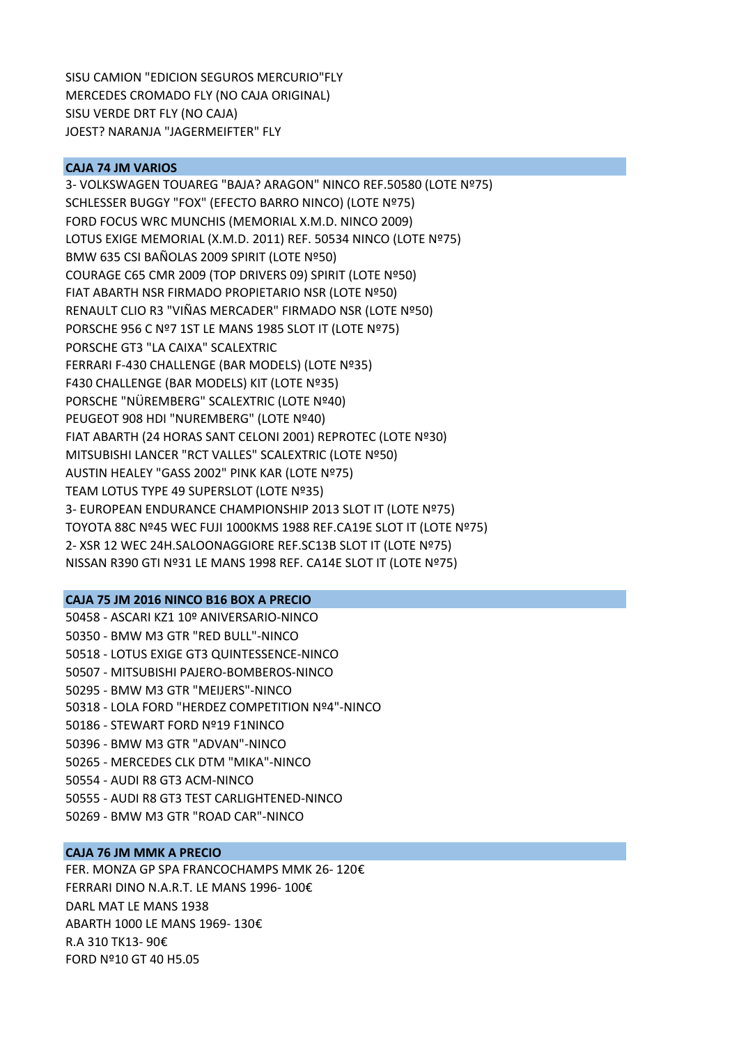SISU CAMION "EDICION SEGUROS MERCURIO"FLY MERCEDES CROMADO FLY (NO CAJA ORIGINAL) SISU VERDE DRT FLY (NO CAJA) JOEST? NARANJA "JAGERMEIFTER" FLY

### **CAJA 74 JM VARIOS**

3‐ VOLKSWAGEN TOUAREG "BAJA? ARAGON" NINCO REF.50580 (LOTE Nº75) SCHLESSER BUGGY "FOX" (EFECTO BARRO NINCO) (LOTE Nº75) FORD FOCUS WRC MUNCHIS (MEMORIAL X.M.D. NINCO 2009) LOTUS EXIGE MEMORIAL (X.M.D. 2011) REF. 50534 NINCO (LOTE Nº75) BMW 635 CSI BAÑOLAS 2009 SPIRIT (LOTE Nº50) COURAGE C65 CMR 2009 (TOP DRIVERS 09) SPIRIT (LOTE Nº50) FIAT ABARTH NSR FIRMADO PROPIETARIO NSR (LOTE Nº50) RENAULT CLIO R3 "VIÑAS MERCADER" FIRMADO NSR (LOTE Nº50) PORSCHE 956 C Nº7 1ST LE MANS 1985 SLOT IT (LOTE Nº75) PORSCHE GT3 "LA CAIXA" SCALEXTRIC FERRARI F‐430 CHALLENGE (BAR MODELS) (LOTE Nº35) F430 CHALLENGE (BAR MODELS) KIT (LOTE Nº35) PORSCHE "NÜREMBERG" SCALEXTRIC (LOTE Nº40) PEUGEOT 908 HDI "NUREMBERG" (LOTE Nº40) FIAT ABARTH (24 HORAS SANT CELONI 2001) REPROTEC (LOTE Nº30) MITSUBISHI LANCER "RCT VALLES" SCALEXTRIC (LOTE Nº50) AUSTIN HEALEY "GASS 2002" PINK KAR (LOTE Nº75) TEAM LOTUS TYPE 49 SUPERSLOT (LOTE Nº35) 3‐ EUROPEAN ENDURANCE CHAMPIONSHIP 2013 SLOT IT (LOTE Nº75) TOYOTA 88C Nº45 WEC FUJI 1000KMS 1988 REF.CA19E SLOT IT (LOTE Nº75) 2‐ XSR 12 WEC 24H.SALOONAGGIORE REF.SC13B SLOT IT (LOTE Nº75) NISSAN R390 GTI Nº31 LE MANS 1998 REF. CA14E SLOT IT (LOTE Nº75)

### **CAJA 75 JM 2016 NINCO B16 BOX A PRECIO**

50458 ‐ ASCARI KZ1 10º ANIVERSARIO‐NINCO 50350 ‐ BMW M3 GTR "RED BULL"‐NINCO 50518 ‐ LOTUS EXIGE GT3 QUINTESSENCE‐NINCO 50507 ‐ MITSUBISHI PAJERO‐BOMBEROS‐NINCO 50295 ‐ BMW M3 GTR "MEIJERS"‐NINCO 50318 ‐ LOLA FORD "HERDEZ COMPETITION Nº4"‐NINCO 50186 ‐ STEWART FORD Nº19 F1NINCO 50396 ‐ BMW M3 GTR "ADVAN"‐NINCO 50265 ‐ MERCEDES CLK DTM "MIKA"‐NINCO 50554 ‐ AUDI R8 GT3 ACM‐NINCO 50555 ‐ AUDI R8 GT3 TEST CARLIGHTENED‐NINCO 50269 ‐ BMW M3 GTR "ROAD CAR"‐NINCO

### **CAJA 76 JM MMK A PRECIO**

FER. MONZA GP SPA FRANCOCHAMPS MMK 26‐ 120€ FERRARI DINO N.A.R.T. LE MANS 1996‐ 100€ DARL MAT LE MANS 1938 ABARTH 1000 LE MANS 1969‐ 130€ R.A 310 TK13‐ 90€ FORD Nº10 GT 40 H5.05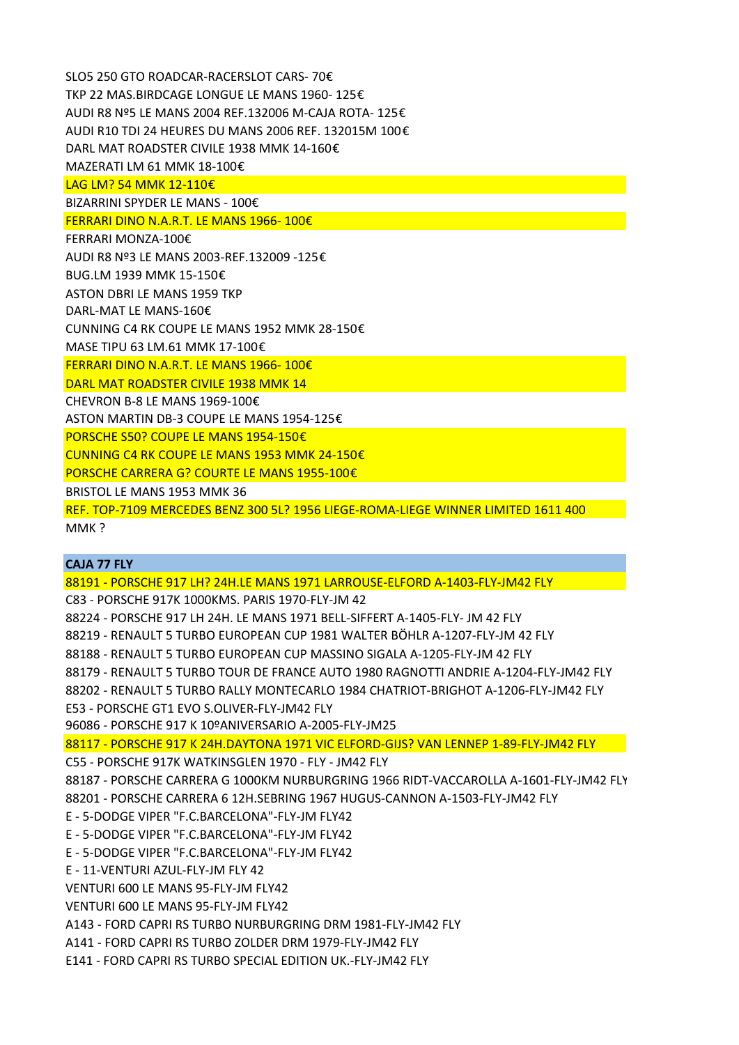SLO5 250 GTO ROADCAR‐RACERSLOT CARS‐ 70€ TKP 22 MAS.BIRDCAGE LONGUE LE MANS 1960‐ 125€ AUDI R8 Nº5 LE MANS 2004 REF.132006 M‐CAJA ROTA‐ 125€ AUDI R10 TDI 24 HEURES DU MANS 2006 REF. 132015M 100€ DARL MAT ROADSTER CIVILE 1938 MMK 14‐160€ MAZERATI LM 61 MMK 18‐100€ LAG LM? 54 MMK 12‐110€ BIZARRINI SPYDER LE MANS ‐ 100€ FERRARI DINO N.A.R.T. LE MANS 1966‐ 100€ FERRARI MONZA‐100€ AUDI R8 Nº3 LE MANS 2003‐REF.132009 ‐125€ BUG.LM 1939 MMK 15‐150€ ASTON DBRI LE MANS 1959 TKP DARL‐MAT LE MANS‐160€ CUNNING C4 RK COUPE LE MANS 1952 MMK 28‐150€ MASE TIPU 63 LM.61 MMK 17‐100€ FERRARI DINO N.A.R.T. LE MANS 1966‐ 100€ DARL MAT ROADSTER CIVILE 1938 MMK 14 CHEVRON B‐8 LE MANS 1969‐100€ ASTON MARTIN DB‐3 COUPE LE MANS 1954‐125€ PORSCHE S50? COUPE LE MANS 1954‐150€ CUNNING C4 RK COUPE LE MANS 1953 MMK 24‐150€ PORSCHE CARRERA G? COURTE LE MANS 1955‐100€ BRISTOL LE MANS 1953 MMK 36 REF. TOP‐7109 MERCEDES BENZ 300 5L? 1956 LIEGE‐ROMA‐LIEGE WINNER LIMITED 1611 400 MMK ?

## **CAJA 77 FLY**

88191 ‐ PORSCHE 917 LH? 24H.LE MANS 1971 LARROUSE‐ELFORD A‐1403‐FLY‐JM42 FLY

C83 ‐ PORSCHE 917K 1000KMS. PARIS 1970‐FLY‐JM 42

88224 ‐ PORSCHE 917 LH 24H. LE MANS 1971 BELL‐SIFFERT A‐1405‐FLY‐ JM 42 FLY

88219 ‐ RENAULT 5 TURBO EUROPEAN CUP 1981 WALTER BÖHLR A‐1207‐FLY‐JM 42 FLY

88188 ‐ RENAULT 5 TURBO EUROPEAN CUP MASSINO SIGALA A‐1205‐FLY‐JM 42 FLY

88179 ‐ RENAULT 5 TURBO TOUR DE FRANCE AUTO 1980 RAGNOTTI ANDRIE A‐1204‐FLY‐JM42 FLY

88202 ‐ RENAULT 5 TURBO RALLY MONTECARLO 1984 CHATRIOT‐BRIGHOT A‐1206‐FLY‐JM42 FLY

E53 ‐ PORSCHE GT1 EVO S.OLIVER‐FLY‐JM42 FLY

96086 ‐ PORSCHE 917 K 10ºANIVERSARIO A‐2005‐FLY‐JM25

88117 ‐ PORSCHE 917 K 24H.DAYTONA 1971 VIC ELFORD‐GIJS? VAN LENNEP 1‐89‐FLY‐JM42 FLY

C55 ‐ PORSCHE 917K WATKINSGLEN 1970 ‐ FLY ‐ JM42 FLY

88187 ‐ PORSCHE CARRERA G 1000KM NURBURGRING 1966 RIDT‐VACCAROLLA A‐1601‐FLY‐JM42 FLY 88201 ‐ PORSCHE CARRERA 6 12H.SEBRING 1967 HUGUS‐CANNON A‐1503‐FLY‐JM42 FLY

E ‐ 5‐DODGE VIPER "F.C.BARCELONA"‐FLY‐JM FLY42

E ‐ 5‐DODGE VIPER "F.C.BARCELONA"‐FLY‐JM FLY42

E ‐ 5‐DODGE VIPER "F.C.BARCELONA"‐FLY‐JM FLY42

E ‐ 11‐VENTURI AZUL‐FLY‐JM FLY 42

VENTURI 600 LE MANS 95‐FLY‐JM FLY42

VENTURI 600 LE MANS 95‐FLY‐JM FLY42

A143 ‐ FORD CAPRI RS TURBO NURBURGRING DRM 1981‐FLY‐JM42 FLY

A141 ‐ FORD CAPRI RS TURBO ZOLDER DRM 1979‐FLY‐JM42 FLY

E141 ‐ FORD CAPRI RS TURBO SPECIAL EDITION UK.‐FLY‐JM42 FLY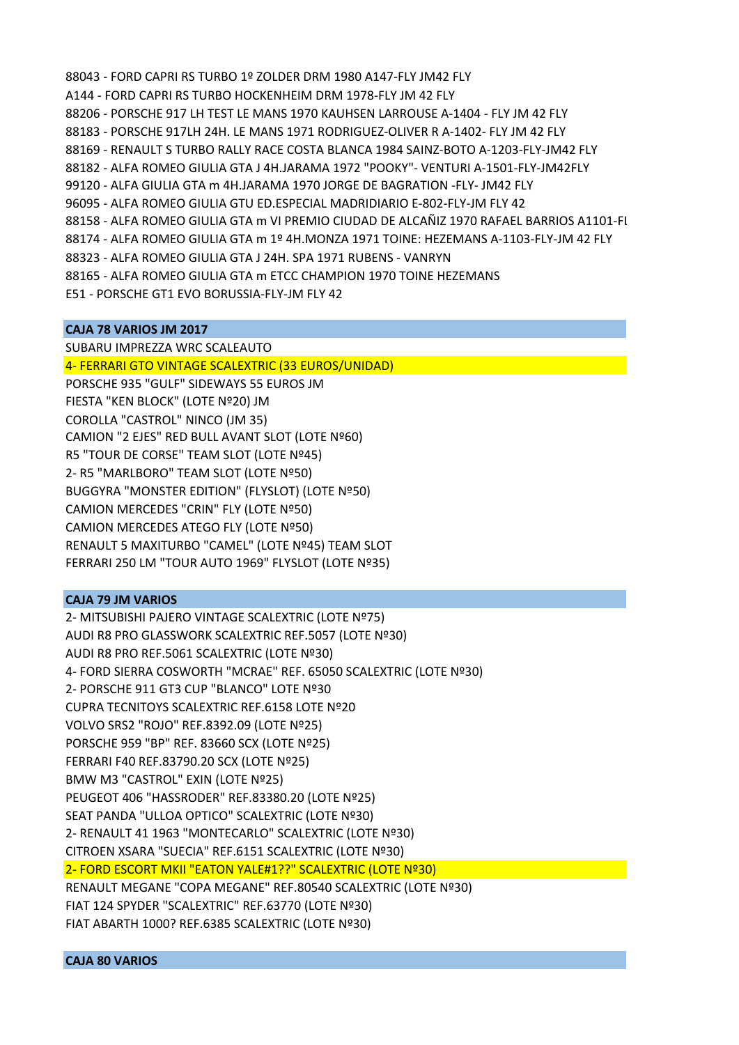88043 ‐ FORD CAPRI RS TURBO 1º ZOLDER DRM 1980 A147‐FLY JM42 FLY A144 ‐ FORD CAPRI RS TURBO HOCKENHEIM DRM 1978‐FLY JM 42 FLY 88206 ‐ PORSCHE 917 LH TEST LE MANS 1970 KAUHSEN LARROUSE A‐1404 ‐ FLY JM 42 FLY 88183 ‐ PORSCHE 917LH 24H. LE MANS 1971 RODRIGUEZ‐OLIVER R A‐1402‐ FLY JM 42 FLY 88169 ‐ RENAULT S TURBO RALLY RACE COSTA BLANCA 1984 SAINZ‐BOTO A‐1203‐FLY‐JM42 FLY 88182 ‐ ALFA ROMEO GIULIA GTA J 4H.JARAMA 1972 "POOKY"‐ VENTURI A‐1501‐FLY‐JM42FLY 99120 ‐ ALFA GIULIA GTA m 4H.JARAMA 1970 JORGE DE BAGRATION ‐FLY‐ JM42 FLY 96095 ‐ ALFA ROMEO GIULIA GTU ED.ESPECIAL MADRIDIARIO E‐802‐FLY‐JM FLY 42 88158 ‐ ALFA ROMEO GIULIA GTA m VI PREMIO CIUDAD DE ALCAÑIZ 1970 RAFAEL BARRIOS A1101‐FL 88174 ‐ ALFA ROMEO GIULIA GTA m 1º 4H.MONZA 1971 TOINE: HEZEMANS A‐1103‐FLY‐JM 42 FLY 88323 ‐ ALFA ROMEO GIULIA GTA J 24H. SPA 1971 RUBENS ‐ VANRYN 88165 ‐ ALFA ROMEO GIULIA GTA m ETCC CHAMPION 1970 TOINE HEZEMANS E51 ‐ PORSCHE GT1 EVO BORUSSIA‐FLY‐JM FLY 42

## **CAJA 78 VARIOS JM 2017**

SUBARU IMPREZZA WRC SCALEAUTO 4‐ FERRARI GTO VINTAGE SCALEXTRIC (33 EUROS/UNIDAD) PORSCHE 935 "GULF" SIDEWAYS 55 EUROS JM FIESTA "KEN BLOCK" (LOTE Nº20) JM COROLLA "CASTROL" NINCO (JM 35) CAMION "2 EJES" RED BULL AVANT SLOT (LOTE Nº60) R5 "TOUR DE CORSE" TEAM SLOT (LOTE Nº45) 2‐ R5 "MARLBORO" TEAM SLOT (LOTE Nº50) BUGGYRA "MONSTER EDITION" (FLYSLOT) (LOTE Nº50) CAMION MERCEDES "CRIN" FLY (LOTE Nº50) CAMION MERCEDES ATEGO FLY (LOTE Nº50) RENAULT 5 MAXITURBO "CAMEL" (LOTE Nº45) TEAM SLOT FERRARI 250 LM "TOUR AUTO 1969" FLYSLOT (LOTE Nº35)

## **CAJA 79 JM VARIOS**

2‐ MITSUBISHI PAJERO VINTAGE SCALEXTRIC (LOTE Nº75) AUDI R8 PRO GLASSWORK SCALEXTRIC REF.5057 (LOTE Nº30) AUDI R8 PRO REF.5061 SCALEXTRIC (LOTE Nº30) 4‐ FORD SIERRA COSWORTH "MCRAE" REF. 65050 SCALEXTRIC (LOTE Nº30) 2‐ PORSCHE 911 GT3 CUP "BLANCO" LOTE Nº30 CUPRA TECNITOYS SCALEXTRIC REF.6158 LOTE Nº20 VOLVO SRS2 "ROJO" REF.8392.09 (LOTE Nº25) PORSCHE 959 "BP" REF. 83660 SCX (LOTE Nº25) FERRARI F40 REF.83790.20 SCX (LOTE Nº25) BMW M3 "CASTROL" EXIN (LOTE Nº25) PEUGEOT 406 "HASSRODER" REF.83380.20 (LOTE Nº25) SEAT PANDA "ULLOA OPTICO" SCALEXTRIC (LOTE Nº30) 2‐ RENAULT 41 1963 "MONTECARLO" SCALEXTRIC (LOTE Nº30) CITROEN XSARA "SUECIA" REF.6151 SCALEXTRIC (LOTE Nº30) 2‐ FORD ESCORT MKII "EATON YALE#1??" SCALEXTRIC (LOTE Nº30) RENAULT MEGANE "COPA MEGANE" REF.80540 SCALEXTRIC (LOTE Nº30) FIAT 124 SPYDER "SCALEXTRIC" REF.63770 (LOTE Nº30) FIAT ABARTH 1000? REF.6385 SCALEXTRIC (LOTE Nº30)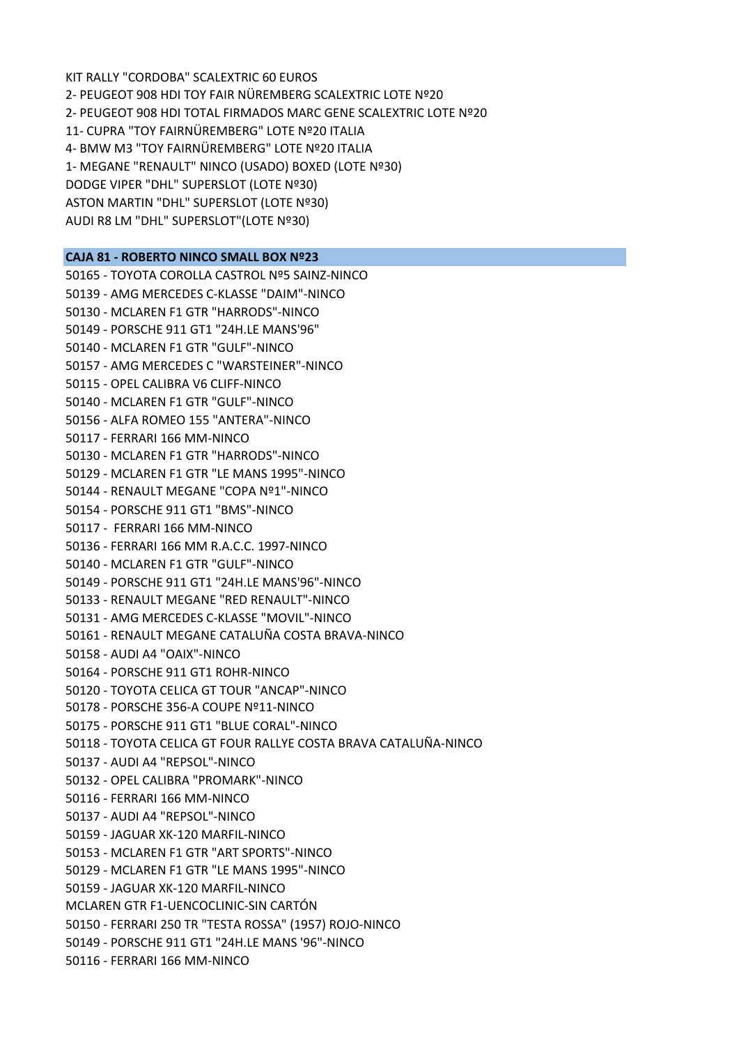KIT RALLY "CORDOBA" SCALEXTRIC 60 EUROS 2‐ PEUGEOT 908 HDI TOY FAIR NÜREMBERG SCALEXTRIC LOTE Nº20 2‐ PEUGEOT 908 HDI TOTAL FIRMADOS MARC GENE SCALEXTRIC LOTE Nº20 11‐ CUPRA "TOY FAIRNÜREMBERG" LOTE Nº20 ITALIA 4‐ BMW M3 "TOY FAIRNÜREMBERG" LOTE Nº20 ITALIA 1‐ MEGANE "RENAULT" NINCO (USADO) BOXED (LOTE Nº30) DODGE VIPER "DHL" SUPERSLOT (LOTE Nº30) ASTON MARTIN "DHL" SUPERSLOT (LOTE Nº30) AUDI R8 LM "DHL" SUPERSLOT"(LOTE Nº30)

### **CAJA 81 ‐ ROBERTO NINCO SMALL BOX Nº23**

50165 ‐ TOYOTA COROLLA CASTROL Nº5 SAINZ‐NINCO 50139 ‐ AMG MERCEDES C‐KLASSE "DAIM"‐NINCO 50130 ‐ MCLAREN F1 GTR "HARRODS"‐NINCO 50149 ‐ PORSCHE 911 GT1 "24H.LE MANS'96" 50140 ‐ MCLAREN F1 GTR "GULF"‐NINCO 50157 ‐ AMG MERCEDES C "WARSTEINER"‐NINCO 50115 ‐ OPEL CALIBRA V6 CLIFF‐NINCO 50140 ‐ MCLAREN F1 GTR "GULF"‐NINCO 50156 ‐ ALFA ROMEO 155 "ANTERA"‐NINCO 50117 ‐ FERRARI 166 MM‐NINCO 50130 ‐ MCLAREN F1 GTR "HARRODS"‐NINCO 50129 ‐ MCLAREN F1 GTR "LE MANS 1995"‐NINCO 50144 ‐ RENAULT MEGANE "COPA Nº1"‐NINCO 50154 ‐ PORSCHE 911 GT1 "BMS"‐NINCO 50117 ‐ FERRARI 166 MM‐NINCO 50136 ‐ FERRARI 166 MM R.A.C.C. 1997‐NINCO 50140 ‐ MCLAREN F1 GTR "GULF"‐NINCO 50149 ‐ PORSCHE 911 GT1 "24H.LE MANS'96"‐NINCO 50133 ‐ RENAULT MEGANE "RED RENAULT"‐NINCO 50131 ‐ AMG MERCEDES C‐KLASSE "MOVIL"‐NINCO 50161 ‐ RENAULT MEGANE CATALUÑA COSTA BRAVA‐NINCO 50158 ‐ AUDI A4 "OAIX"‐NINCO 50164 ‐ PORSCHE 911 GT1 ROHR‐NINCO 50120 ‐ TOYOTA CELICA GT TOUR "ANCAP"‐NINCO 50178 ‐ PORSCHE 356‐A COUPE Nº11‐NINCO 50175 ‐ PORSCHE 911 GT1 "BLUE CORAL"‐NINCO 50118 ‐ TOYOTA CELICA GT FOUR RALLYE COSTA BRAVA CATALUÑA‐NINCO 50137 ‐ AUDI A4 "REPSOL"‐NINCO 50132 ‐ OPEL CALIBRA "PROMARK"‐NINCO 50116 ‐ FERRARI 166 MM‐NINCO 50137 ‐ AUDI A4 "REPSOL"‐NINCO 50159 ‐ JAGUAR XK‐120 MARFIL‐NINCO 50153 ‐ MCLAREN F1 GTR "ART SPORTS"‐NINCO 50129 ‐ MCLAREN F1 GTR "LE MANS 1995"‐NINCO 50159 ‐ JAGUAR XK‐120 MARFIL‐NINCO MCLAREN GTR F1‐UENCOCLINIC‐SIN CARTÓN 50150 ‐ FERRARI 250 TR "TESTA ROSSA" (1957) ROJO‐NINCO 50149 ‐ PORSCHE 911 GT1 "24H.LE MANS '96"‐NINCO 50116 ‐ FERRARI 166 MM‐NINCO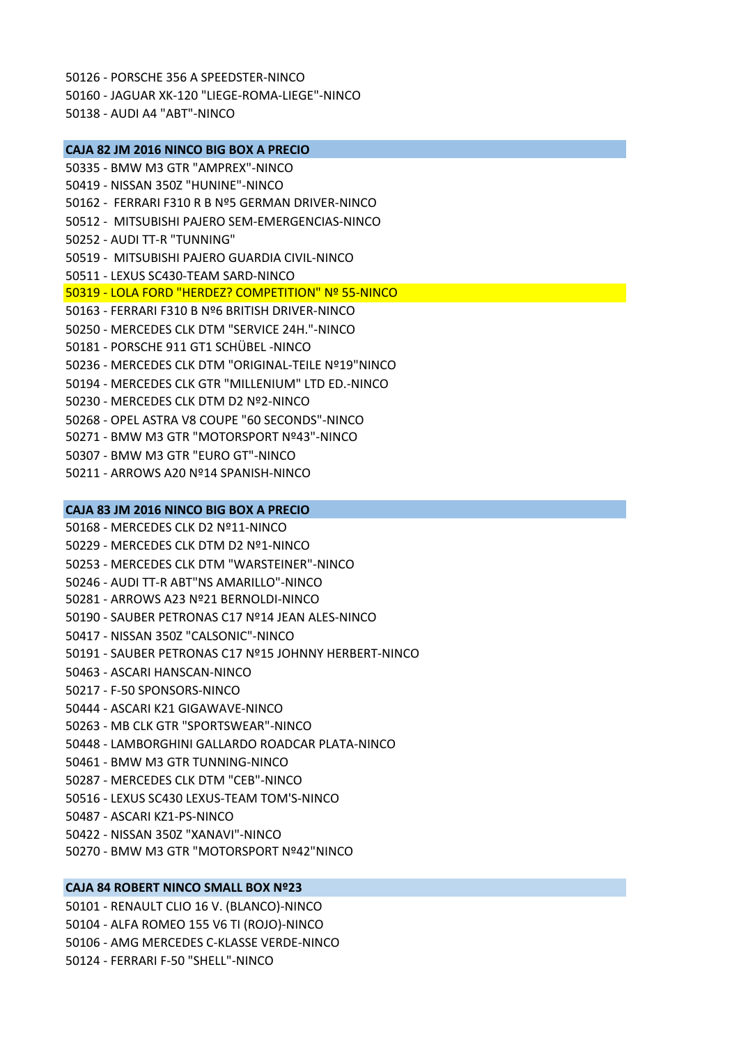50126 ‐ PORSCHE 356 A SPEEDSTER‐NINCO 50160 ‐ JAGUAR XK‐120 "LIEGE‐ROMA‐LIEGE"‐NINCO 50138 ‐ AUDI A4 "ABT"‐NINCO

**CAJA 82 JM 2016 NINCO BIG BOX A PRECIO** 50335 ‐ BMW M3 GTR "AMPREX"‐NINCO 50419 ‐ NISSAN 350Z "HUNINE"‐NINCO 50162 ‐ FERRARI F310 R B Nº5 GERMAN DRIVER‐NINCO 50512 ‐ MITSUBISHI PAJERO SEM‐EMERGENCIAS‐NINCO 50252 ‐ AUDI TT‐R "TUNNING" 50519 ‐ MITSUBISHI PAJERO GUARDIA CIVIL‐NINCO 50511 ‐ LEXUS SC430‐TEAM SARD‐NINCO 50319 ‐ LOLA FORD "HERDEZ? COMPETITION" Nº 55‐NINCO 50163 ‐ FERRARI F310 B Nº6 BRITISH DRIVER‐NINCO 50250 ‐ MERCEDES CLK DTM "SERVICE 24H."‐NINCO 50181 ‐ PORSCHE 911 GT1 SCHÜBEL ‐NINCO 50236 ‐ MERCEDES CLK DTM "ORIGINAL‐TEILE Nº19"NINCO 50194 ‐ MERCEDES CLK GTR "MILLENIUM" LTD ED.‐NINCO 50230 ‐ MERCEDES CLK DTM D2 Nº2‐NINCO 50268 ‐ OPEL ASTRA V8 COUPE "60 SECONDS"‐NINCO 50271 ‐ BMW M3 GTR "MOTORSPORT Nº43"‐NINCO 50307 ‐ BMW M3 GTR "EURO GT"‐NINCO 50211 ‐ ARROWS A20 Nº14 SPANISH‐NINCO

### **CAJA 83 JM 2016 NINCO BIG BOX A PRECIO**

50168 ‐ MERCEDES CLK D2 Nº11‐NINCO 50229 ‐ MERCEDES CLK DTM D2 Nº1‐NINCO 50253 ‐ MERCEDES CLK DTM "WARSTEINER"‐NINCO 50246 ‐ AUDI TT‐R ABT"NS AMARILLO"‐NINCO 50281 ‐ ARROWS A23 Nº21 BERNOLDI‐NINCO 50190 ‐ SAUBER PETRONAS C17 Nº14 JEAN ALES‐NINCO 50417 ‐ NISSAN 350Z "CALSONIC"‐NINCO 50191 ‐ SAUBER PETRONAS C17 Nº15 JOHNNY HERBERT‐NINCO 50463 ‐ ASCARI HANSCAN‐NINCO 50217 ‐ F‐50 SPONSORS‐NINCO 50444 ‐ ASCARI K21 GIGAWAVE‐NINCO 50263 ‐ MB CLK GTR "SPORTSWEAR"‐NINCO 50448 ‐ LAMBORGHINI GALLARDO ROADCAR PLATA‐NINCO 50461 ‐ BMW M3 GTR TUNNING‐NINCO 50287 ‐ MERCEDES CLK DTM "CEB"‐NINCO 50516 ‐ LEXUS SC430 LEXUS‐TEAM TOM'S‐NINCO 50487 ‐ ASCARI KZ1‐PS‐NINCO 50422 ‐ NISSAN 350Z "XANAVI"‐NINCO 50270 ‐ BMW M3 GTR "MOTORSPORT Nº42"NINCO

## **CAJA 84 ROBERT NINCO SMALL BOX Nº23**

50101 ‐ RENAULT CLIO 16 V. (BLANCO)‐NINCO 50104 ‐ ALFA ROMEO 155 V6 TI (ROJO)‐NINCO 50106 ‐ AMG MERCEDES C‐KLASSE VERDE‐NINCO 50124 ‐ FERRARI F‐50 "SHELL"‐NINCO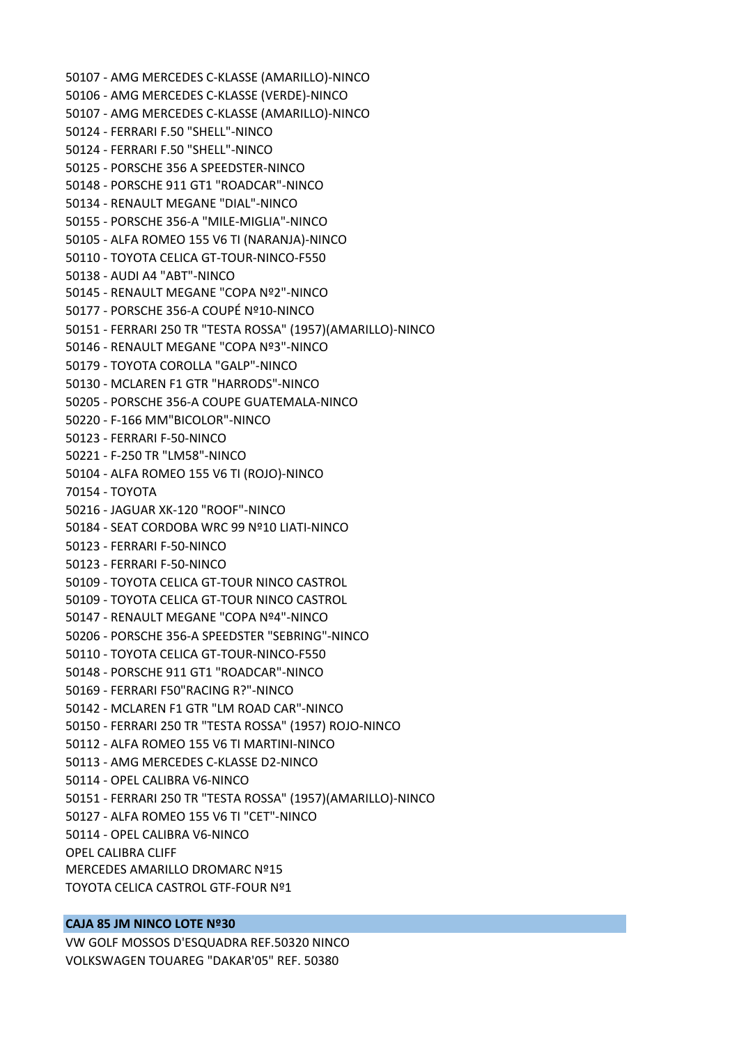50107 ‐ AMG MERCEDES C‐KLASSE (AMARILLO)‐NINCO 50106 ‐ AMG MERCEDES C‐KLASSE (VERDE)‐NINCO 50107 ‐ AMG MERCEDES C‐KLASSE (AMARILLO)‐NINCO 50124 ‐ FERRARI F.50 "SHELL"‐NINCO 50124 ‐ FERRARI F.50 "SHELL"‐NINCO 50125 ‐ PORSCHE 356 A SPEEDSTER‐NINCO 50148 ‐ PORSCHE 911 GT1 "ROADCAR"‐NINCO 50134 ‐ RENAULT MEGANE "DIAL"‐NINCO 50155 ‐ PORSCHE 356‐A "MILE‐MIGLIA"‐NINCO 50105 ‐ ALFA ROMEO 155 V6 TI (NARANJA)‐NINCO 50110 ‐ TOYOTA CELICA GT‐TOUR‐NINCO‐F550 50138 ‐ AUDI A4 "ABT"‐NINCO 50145 ‐ RENAULT MEGANE "COPA Nº2"‐NINCO 50177 ‐ PORSCHE 356‐A COUPÉ Nº10‐NINCO 50151 ‐ FERRARI 250 TR "TESTA ROSSA" (1957)(AMARILLO)‐NINCO 50146 ‐ RENAULT MEGANE "COPA Nº3"‐NINCO 50179 ‐ TOYOTA COROLLA "GALP"‐NINCO 50130 ‐ MCLAREN F1 GTR "HARRODS"‐NINCO 50205 ‐ PORSCHE 356‐A COUPE GUATEMALA‐NINCO 50220 ‐ F‐166 MM"BICOLOR"‐NINCO 50123 ‐ FERRARI F‐50‐NINCO 50221 ‐ F‐250 TR "LM58"‐NINCO 50104 ‐ ALFA ROMEO 155 V6 TI (ROJO)‐NINCO 70154 ‐ TOYOTA 50216 ‐ JAGUAR XK‐120 "ROOF"‐NINCO 50184 ‐ SEAT CORDOBA WRC 99 Nº10 LIATI‐NINCO 50123 ‐ FERRARI F‐50‐NINCO 50123 ‐ FERRARI F‐50‐NINCO 50109 ‐ TOYOTA CELICA GT‐TOUR NINCO CASTROL 50109 ‐ TOYOTA CELICA GT‐TOUR NINCO CASTROL 50147 ‐ RENAULT MEGANE "COPA Nº4"‐NINCO 50206 ‐ PORSCHE 356‐A SPEEDSTER "SEBRING"‐NINCO 50110 ‐ TOYOTA CELICA GT‐TOUR‐NINCO‐F550 50148 ‐ PORSCHE 911 GT1 "ROADCAR"‐NINCO 50169 ‐ FERRARI F50"RACING R?"‐NINCO 50142 ‐ MCLAREN F1 GTR "LM ROAD CAR"‐NINCO 50150 ‐ FERRARI 250 TR "TESTA ROSSA" (1957) ROJO‐NINCO 50112 ‐ ALFA ROMEO 155 V6 TI MARTINI‐NINCO 50113 ‐ AMG MERCEDES C‐KLASSE D2‐NINCO 50114 ‐ OPEL CALIBRA V6‐NINCO 50151 ‐ FERRARI 250 TR "TESTA ROSSA" (1957)(AMARILLO)‐NINCO 50127 ‐ ALFA ROMEO 155 V6 TI "CET"‐NINCO 50114 ‐ OPEL CALIBRA V6‐NINCO OPEL CALIBRA CLIFF MERCEDES AMARILLO DROMARC Nº15 TOYOTA CELICA CASTROL GTF‐FOUR Nº1

### **CAJA 85 JM NINCO LOTE Nº30**

VW GOLF MOSSOS D'ESQUADRA REF.50320 NINCO VOLKSWAGEN TOUAREG "DAKAR'05" REF. 50380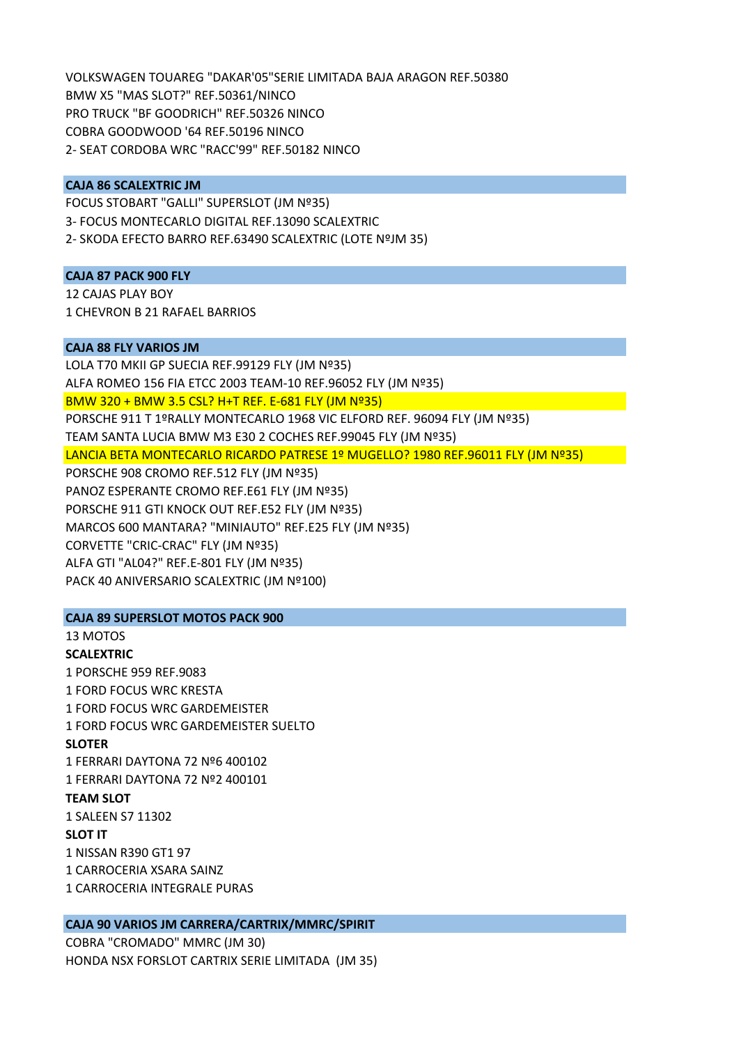VOLKSWAGEN TOUAREG "DAKAR'05"SERIE LIMITADA BAJA ARAGON REF.50380 BMW X5 "MAS SLOT?" REF.50361/NINCO PRO TRUCK "BF GOODRICH" REF.50326 NINCO COBRA GOODWOOD '64 REF.50196 NINCO 2‐ SEAT CORDOBA WRC "RACC'99" REF.50182 NINCO

### **CAJA 86 SCALEXTRIC JM**

FOCUS STOBART "GALLI" SUPERSLOT (JM Nº35) 3‐ FOCUS MONTECARLO DIGITAL REF.13090 SCALEXTRIC 2‐ SKODA EFECTO BARRO REF.63490 SCALEXTRIC (LOTE NºJM 35)

### **CAJA 87 PACK 900 FLY**

12 CAJAS PLAY BOY 1 CHEVRON B 21 RAFAEL BARRIOS

### **CAJA 88 FLY VARIOS JM**

LOLA T70 MKII GP SUECIA REF.99129 FLY (JM Nº35) ALFA ROMEO 156 FIA ETCC 2003 TEAM‐10 REF.96052 FLY (JM Nº35) BMW 320 + BMW 3.5 CSL? H+T REF. E‐681 FLY (JM Nº35) PORSCHE 911 T 1ºRALLY MONTECARLO 1968 VIC ELFORD REF. 96094 FLY (JM Nº35) TEAM SANTA LUCIA BMW M3 E30 2 COCHES REF.99045 FLY (JM Nº35) LANCIA BETA MONTECARLO RICARDO PATRESE 1º MUGELLO? 1980 REF.96011 FLY (JM Nº35) PORSCHE 908 CROMO REF.512 FLY (JM Nº35) PANOZ ESPERANTE CROMO REF.E61 FLY (JM Nº35) PORSCHE 911 GTI KNOCK OUT REF.E52 FLY (JM Nº35) MARCOS 600 MANTARA? "MINIAUTO" REF.E25 FLY (JM Nº35) CORVETTE "CRIC‐CRAC" FLY (JM Nº35) ALFA GTI "AL04?" REF.E‐801 FLY (JM Nº35) PACK 40 ANIVERSARIO SCALEXTRIC (JM Nº100)

## **CAJA 89 SUPERSLOT MOTOS PACK 900**

13 MOTOS **SCALEXTRIC** 1 PORSCHE 959 REF.9083 1 FORD FOCUS WRC KRESTA 1 FORD FOCUS WRC GARDEMEISTER 1 FORD FOCUS WRC GARDEMEISTER SUELTO **SLOTER** 1 FERRARI DAYTONA 72 Nº6 400102 1 FERRARI DAYTONA 72 Nº2 400101 **TEAM SLOT** 1 SALEEN S7 11302 **SLOT IT** 1 NISSAN R390 GT1 97 1 CARROCERIA XSARA SAINZ 1 CARROCERIA INTEGRALE PURAS

## **CAJA 90 VARIOS JM CARRERA/CARTRIX/MMRC/SPIRIT**

COBRA "CROMADO" MMRC (JM 30) HONDA NSX FORSLOT CARTRIX SERIE LIMITADA (JM 35)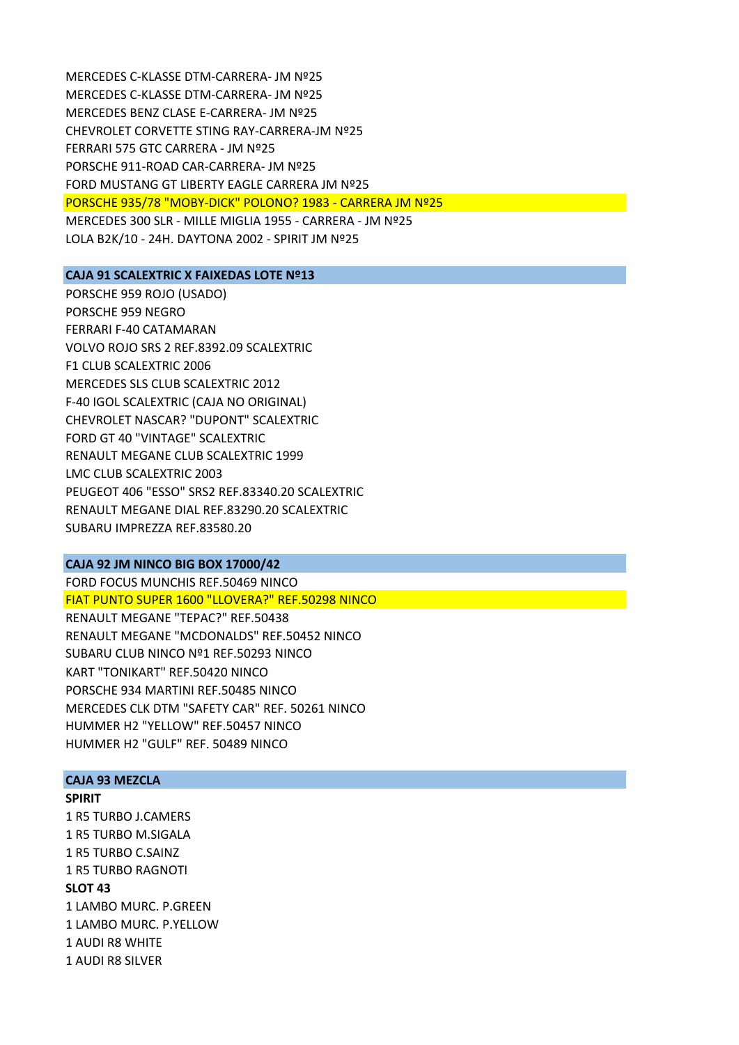MERCEDES C‐KLASSE DTM‐CARRERA‐ JM Nº25 MERCEDES C‐KLASSE DTM‐CARRERA‐ JM Nº25 MERCEDES BENZ CLASE E‐CARRERA‐ JM Nº25 CHEVROLET CORVETTE STING RAY‐CARRERA‐JM Nº25 FERRARI 575 GTC CARRERA ‐ JM Nº25 PORSCHE 911‐ROAD CAR‐CARRERA‐ JM Nº25 FORD MUSTANG GT LIBERTY EAGLE CARRERA JM Nº25 PORSCHE 935/78 "MOBY‐DICK" POLONO? 1983 ‐ CARRERA JM Nº25 MERCEDES 300 SLR ‐ MILLE MIGLIA 1955 ‐ CARRERA ‐ JM Nº25 LOLA B2K/10 ‐ 24H. DAYTONA 2002 ‐ SPIRIT JM Nº25

### **CAJA 91 SCALEXTRIC X FAIXEDAS LOTE Nº13**

PORSCHE 959 ROJO (USADO) PORSCHE 959 NEGRO FERRARI F‐40 CATAMARAN VOLVO ROJO SRS 2 REF.8392.09 SCALEXTRIC F1 CLUB SCALEXTRIC 2006 MERCEDES SLS CLUB SCALEXTRIC 2012 F‐40 IGOL SCALEXTRIC (CAJA NO ORIGINAL) CHEVROLET NASCAR? "DUPONT" SCALEXTRIC FORD GT 40 "VINTAGE" SCALEXTRIC RENAULT MEGANE CLUB SCALEXTRIC 1999 LMC CLUB SCALEXTRIC 2003 PEUGEOT 406 "ESSO" SRS2 REF.83340.20 SCALEXTRIC RENAULT MEGANE DIAL REF.83290.20 SCALEXTRIC SUBARU IMPREZZA REF.83580.20

### **CAJA 92 JM NINCO BIG BOX 17000/42**

FORD FOCUS MUNCHIS REF.50469 NINCO FIAT PUNTO SUPER 1600 "LLOVERA?" REF.50298 NINCO RENAULT MEGANE "TEPAC?" REF.50438 RENAULT MEGANE "MCDONALDS" REF.50452 NINCO SUBARU CLUB NINCO Nº1 REF.50293 NINCO KART "TONIKART" REF.50420 NINCO PORSCHE 934 MARTINI REF.50485 NINCO MERCEDES CLK DTM "SAFETY CAR" REF. 50261 NINCO HUMMER H2 "YELLOW" REF.50457 NINCO HUMMER H2 "GULF" REF. 50489 NINCO

#### **CAJA 93 MEZCLA**

- **SPIRIT**
- 1 R5 TURBO J.CAMERS 1 R5 TURBO M.SIGALA 1 R5 TURBO C.SAINZ 1 R5 TURBO RAGNOTI **SLOT 43** 1 LAMBO MURC. P.GREEN 1 LAMBO MURC. P.YELLOW 1 AUDI R8 WHITE 1 AUDI R8 SILVER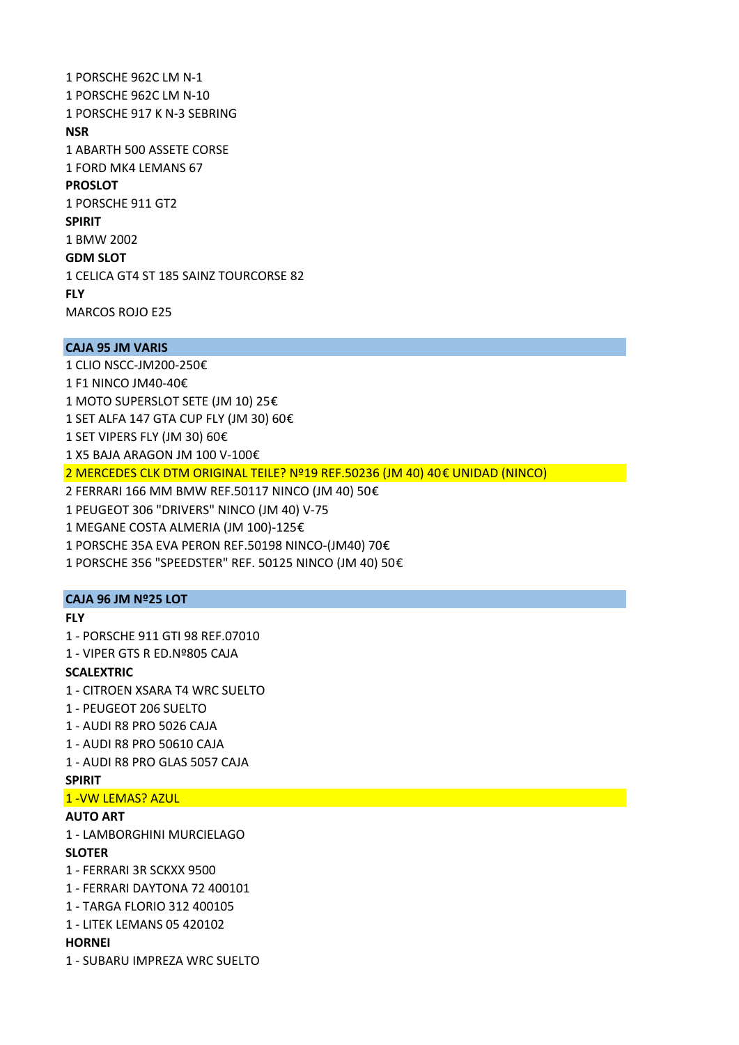1 PORSCHE 962C LM N‐1 1 PORSCHE 962C LM N‐10 1 PORSCHE 917 K N‐3 SEBRING **NSR** 1 ABARTH 500 ASSETE CORSE 1 FORD MK4 LEMANS 67 **PROSLOT** 1 PORSCHE 911 GT2 **SPIRIT** 1 BMW 2002 **GDM SLOT** 1 CELICA GT4 ST 185 SAINZ TOURCORSE 82 **FLY** MARCOS ROJO E25

# **CAJA 95 JM VARIS**

1 CLIO NSCC‐JM200‐250€ 1 F1 NINCO JM40‐40€ 1 MOTO SUPERSLOT SETE (JM 10) 25€ 1 SET ALFA 147 GTA CUP FLY (JM 30) 60€ 1 SET VIPERS FLY (JM 30) 60€ 1 X5 BAJA ARAGON JM 100 V‐100€ 2 MERCEDES CLK DTM ORIGINAL TEILE? Nº19 REF.50236 (JM 40) 40€ UNIDAD (NINCO) 2 FERRARI 166 MM BMW REF.50117 NINCO (JM 40) 50€ 1 PEUGEOT 306 "DRIVERS" NINCO (JM 40) V‐75 1 MEGANE COSTA ALMERIA (JM 100)‐125€ 1 PORSCHE 35A EVA PERON REF.50198 NINCO‐(JM40) 70€

1 PORSCHE 356 "SPEEDSTER" REF. 50125 NINCO (JM 40) 50€

### **CAJA 96 JM Nº25 LOT**

# **FLY**

1 ‐ PORSCHE 911 GTI 98 REF.07010 1 ‐ VIPER GTS R ED.Nº805 CAJA

## **SCALEXTRIC**

- 1 ‐ CITROEN XSARA T4 WRC SUELTO
- 1 ‐ PEUGEOT 206 SUELTO
- 1 ‐ AUDI R8 PRO 5026 CAJA
- 1 ‐ AUDI R8 PRO 50610 CAJA
- 1 ‐ AUDI R8 PRO GLAS 5057 CAJA

## **SPIRIT**

# 1 ‐VW LEMAS? AZUL

# **AUTO ART**

1 ‐ LAMBORGHINI MURCIELAGO

#### **SLOTER**

- 1 ‐ FERRARI 3R SCKXX 9500
- 1 ‐ FERRARI DAYTONA 72 400101
- 1 ‐ TARGA FLORIO 312 400105
- 1 ‐ LITEK LEMANS 05 420102

### **HORNEI**

1 ‐ SUBARU IMPREZA WRC SUELTO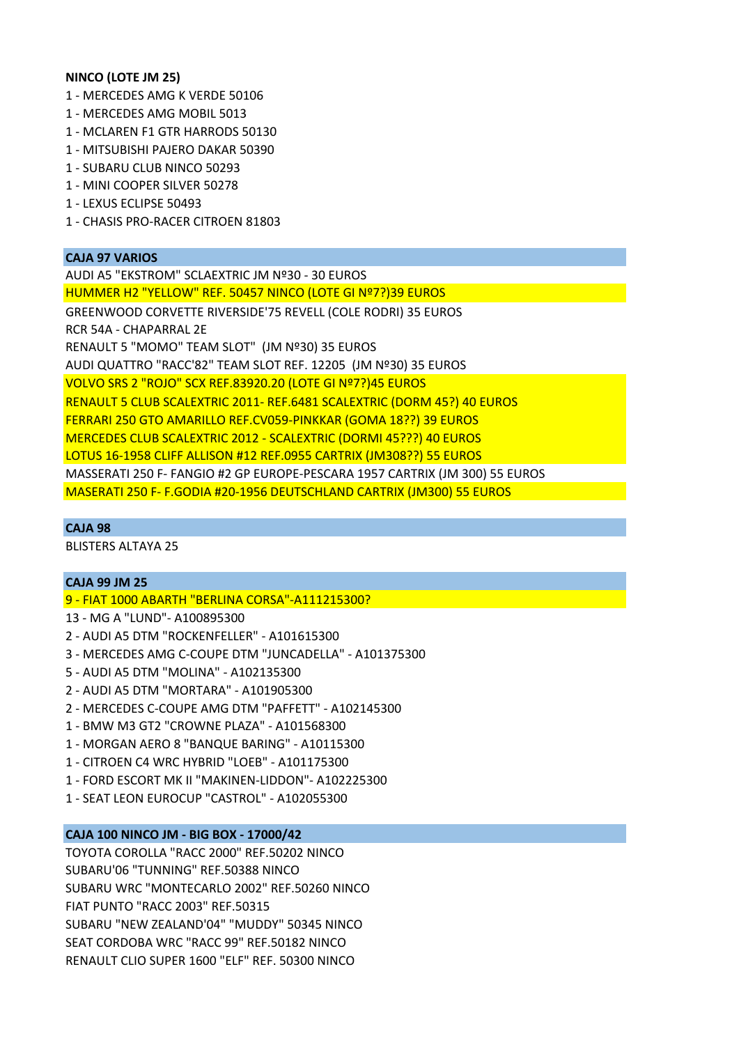### **NINCO (LOTE JM 25)**

- 1 ‐ MERCEDES AMG K VERDE 50106
- 1 ‐ MERCEDES AMG MOBIL 5013
- 1 ‐ MCLAREN F1 GTR HARRODS 50130
- 1 ‐ MITSUBISHI PAJERO DAKAR 50390
- 1 ‐ SUBARU CLUB NINCO 50293
- 1 ‐ MINI COOPER SILVER 50278
- 1 ‐ LEXUS ECLIPSE 50493
- 1 ‐ CHASIS PRO‐RACER CITROEN 81803

### **CAJA 97 VARIOS**

AUDI A5 "EKSTROM" SCLAEXTRIC JM Nº30 ‐ 30 EUROS HUMMER H2 "YELLOW" REF. 50457 NINCO (LOTE GI Nº7?)39 EUROS GREENWOOD CORVETTE RIVERSIDE'75 REVELL (COLE RODRI) 35 EUROS RCR 54A ‐ CHAPARRAL 2E RENAULT 5 "MOMO" TEAM SLOT" (JM Nº30) 35 EUROS AUDI QUATTRO "RACC'82" TEAM SLOT REF. 12205 (JM Nº30) 35 EUROS VOLVO SRS 2 "ROJO" SCX REF.83920.20 (LOTE GI Nº7?)45 EUROS RENAULT 5 CLUB SCALEXTRIC 2011‐ REF.6481 SCALEXTRIC (DORM 45?) 40 EUROS FERRARI 250 GTO AMARILLO REF.CV059‐PINKKAR (GOMA 18??) 39 EUROS MERCEDES CLUB SCALEXTRIC 2012 ‐ SCALEXTRIC (DORMI 45???) 40 EUROS LOTUS 16‐1958 CLIFF ALLISON #12 REF.0955 CARTRIX (JM308??) 55 EUROS MASSERATI 250 F‐ FANGIO #2 GP EUROPE‐PESCARA 1957 CARTRIX (JM 300) 55 EUROS MASERATI 250 F‐ F.GODIA #20‐1956 DEUTSCHLAND CARTRIX (JM300) 55 EUROS

# **CAJA 98**

BLISTERS ALTAYA 25

## **CAJA 99 JM 25**

9 ‐ FIAT 1000 ABARTH "BERLINA CORSA"‐A111215300?

- 13 ‐ MG A "LUND"‐ A100895300
- 2 ‐ AUDI A5 DTM "ROCKENFELLER" ‐ A101615300
- 3 ‐ MERCEDES AMG C‐COUPE DTM "JUNCADELLA" ‐ A101375300
- 5 ‐ AUDI A5 DTM "MOLINA" ‐ A102135300
- 2 ‐ AUDI A5 DTM "MORTARA" ‐ A101905300
- 2 ‐ MERCEDES C‐COUPE AMG DTM "PAFFETT" ‐ A102145300
- 1 ‐ BMW M3 GT2 "CROWNE PLAZA" ‐ A101568300
- 1 ‐ MORGAN AERO 8 "BANQUE BARING" ‐ A10115300
- 1 ‐ CITROEN C4 WRC HYBRID "LOEB" ‐ A101175300
- 1 ‐ FORD ESCORT MK II "MAKINEN‐LIDDON"‐ A102225300
- 1 ‐ SEAT LEON EUROCUP "CASTROL" ‐ A102055300

## **CAJA 100 NINCO JM ‐ BIG BOX ‐ 17000/42**

TOYOTA COROLLA "RACC 2000" REF.50202 NINCO SUBARU'06 "TUNNING" REF.50388 NINCO SUBARU WRC "MONTECARLO 2002" REF.50260 NINCO FIAT PUNTO "RACC 2003" REF.50315 SUBARU "NEW ZEALAND'04" "MUDDY" 50345 NINCO SEAT CORDOBA WRC "RACC 99" REF.50182 NINCO RENAULT CLIO SUPER 1600 "ELF" REF. 50300 NINCO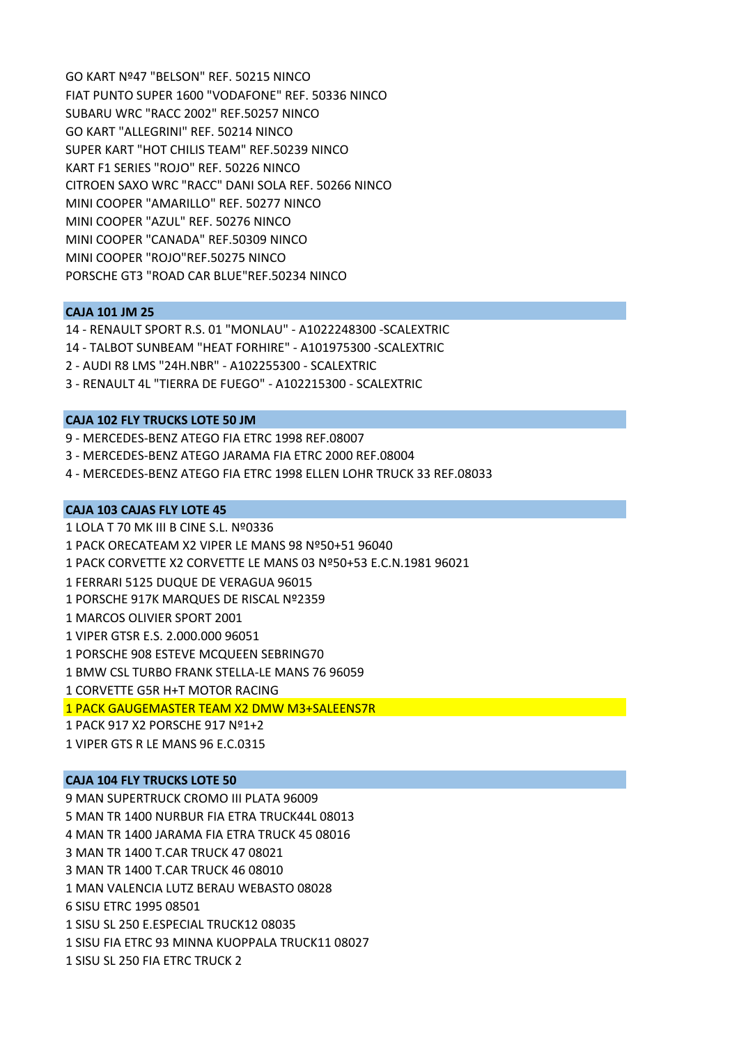GO KART Nº47 "BELSON" REF. 50215 NINCO FIAT PUNTO SUPER 1600 "VODAFONE" REF. 50336 NINCO SUBARU WRC "RACC 2002" REF.50257 NINCO GO KART "ALLEGRINI" REF. 50214 NINCO SUPER KART "HOT CHILIS TEAM" REF.50239 NINCO KART F1 SERIES "ROJO" REF. 50226 NINCO CITROEN SAXO WRC "RACC" DANI SOLA REF. 50266 NINCO MINI COOPER "AMARILLO" REF. 50277 NINCO MINI COOPER "AZUL" REF. 50276 NINCO MINI COOPER "CANADA" REF.50309 NINCO MINI COOPER "ROJO"REF.50275 NINCO PORSCHE GT3 "ROAD CAR BLUE"REF.50234 NINCO

## **CAJA 101 JM 25**

14 ‐ RENAULT SPORT R.S. 01 "MONLAU" ‐ A1022248300 ‐SCALEXTRIC 14 ‐ TALBOT SUNBEAM "HEAT FORHIRE" ‐ A101975300 ‐SCALEXTRIC 2 ‐ AUDI R8 LMS "24H.NBR" ‐ A102255300 ‐ SCALEXTRIC 3 ‐ RENAULT 4L "TIERRA DE FUEGO" ‐ A102215300 ‐ SCALEXTRIC

### **CAJA 102 FLY TRUCKS LOTE 50 JM**

9 ‐ MERCEDES‐BENZ ATEGO FIA ETRC 1998 REF.08007

- 3 ‐ MERCEDES‐BENZ ATEGO JARAMA FIA ETRC 2000 REF.08004
- 4 ‐ MERCEDES‐BENZ ATEGO FIA ETRC 1998 ELLEN LOHR TRUCK 33 REF.08033

### **CAJA 103 CAJAS FLY LOTE 45**

1 LOLA T 70 MK III B CINE S.L. Nº0336 1 PACK ORECATEAM X2 VIPER LE MANS 98 Nº50+51 96040 1 PACK CORVETTE X2 CORVETTE LE MANS 03 Nº50+53 E.C.N.1981 96021 1 FERRARI 5125 DUQUE DE VERAGUA 96015 1 PORSCHE 917K MARQUES DE RISCAL Nº2359 1 MARCOS OLIVIER SPORT 2001 1 VIPER GTSR E.S. 2.000.000 96051 1 PORSCHE 908 ESTEVE MCQUEEN SEBRING70 1 BMW CSL TURBO FRANK STELLA‐LE MANS 76 96059 1 CORVETTE G5R H+T MOTOR RACING 1 PACK GAUGEMASTER TEAM X2 DMW M3+SALEENS7R 1 PACK 917 X2 PORSCHE 917 Nº1+2

1 VIPER GTS R LE MANS 96 E.C.0315

## **CAJA 104 FLY TRUCKS LOTE 50**

9 MAN SUPERTRUCK CROMO III PLATA 96009 5 MAN TR 1400 NURBUR FIA ETRA TRUCK44L 08013 4 MAN TR 1400 JARAMA FIA ETRA TRUCK 45 08016 3 MAN TR 1400 T.CAR TRUCK 47 08021 3 MAN TR 1400 T.CAR TRUCK 46 08010 1 MAN VALENCIA LUTZ BERAU WEBASTO 08028 6 SISU ETRC 1995 08501 1 SISU SL 250 E.ESPECIAL TRUCK12 08035 1 SISU FIA ETRC 93 MINNA KUOPPALA TRUCK11 08027 1 SISU SL 250 FIA ETRC TRUCK 2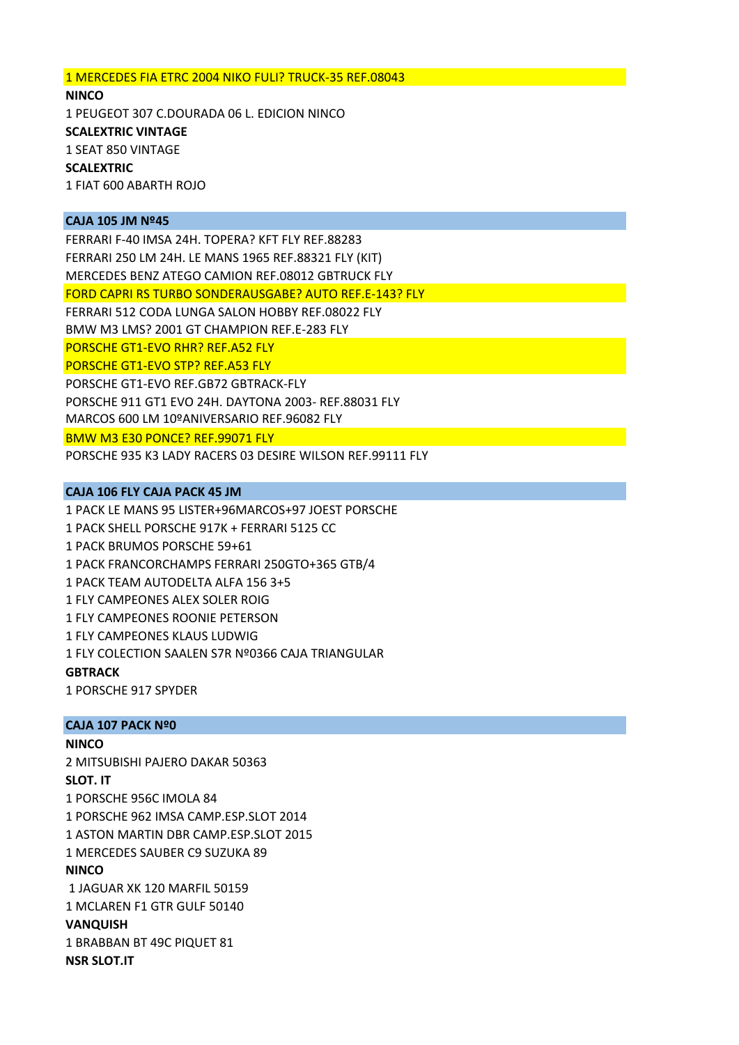### 1 MERCEDES FIA ETRC 2004 NIKO FULI? TRUCK‐35 REF.08043

**NINCO** 1 PEUGEOT 307 C.DOURADA 06 L. EDICION NINCO **SCALEXTRIC VINTAGE** 1 SEAT 850 VINTAGE **SCALEXTRIC**  1 FIAT 600 ABARTH ROJO

### **CAJA 105 JM Nº45**

FERRARI F‐40 IMSA 24H. TOPERA? KFT FLY REF.88283 FERRARI 250 LM 24H. LE MANS 1965 REF.88321 FLY (KIT) MERCEDES BENZ ATEGO CAMION REF.08012 GBTRUCK FLY FORD CAPRI RS TURBO SONDERAUSGABE? AUTO REF.E‐143? FLY FERRARI 512 CODA LUNGA SALON HOBBY REF.08022 FLY BMW M3 LMS? 2001 GT CHAMPION REF.E‐283 FLY PORSCHE GT1‐EVO RHR? REF.A52 FLY PORSCHE GT1‐EVO STP? REF.A53 FLY PORSCHE GT1‐EVO REF.GB72 GBTRACK‐FLY PORSCHE 911 GT1 EVO 24H. DAYTONA 2003‐ REF.88031 FLY MARCOS 600 LM 10ºANIVERSARIO REF.96082 FLY BMW M3 E30 PONCE? REF.99071 FLY PORSCHE 935 K3 LADY RACERS 03 DESIRE WILSON REF.99111 FLY

### **CAJA 106 FLY CAJA PACK 45 JM**

1 PACK LE MANS 95 LISTER+96MARCOS+97 JOEST PORSCHE 1 PACK SHELL PORSCHE 917K + FERRARI 5125 CC 1 PACK BRUMOS PORSCHE 59+61 1 PACK FRANCORCHAMPS FERRARI 250GTO+365 GTB/4 1 PACK TEAM AUTODELTA ALFA 156 3+5 1 FLY CAMPEONES ALEX SOLER ROIG 1 FLY CAMPEONES ROONIE PETERSON 1 FLY CAMPEONES KLAUS LUDWIG 1 FLY COLECTION SAALEN S7R Nº0366 CAJA TRIANGULAR **GBTRACK** 1 PORSCHE 917 SPYDER

#### **CAJA 107 PACK Nº0**

#### **NINCO**

2 MITSUBISHI PAJERO DAKAR 50363 **SLOT. IT** 1 PORSCHE 956C IMOLA 84 1 PORSCHE 962 IMSA CAMP.ESP.SLOT 2014 1 ASTON MARTIN DBR CAMP.ESP.SLOT 2015 1 MERCEDES SAUBER C9 SUZUKA 89 **NINCO** 1 JAGUAR XK 120 MARFIL 50159 1 MCLAREN F1 GTR GULF 50140 **VANQUISH** 1 BRABBAN BT 49C PIQUET 81 **NSR SLOT.IT**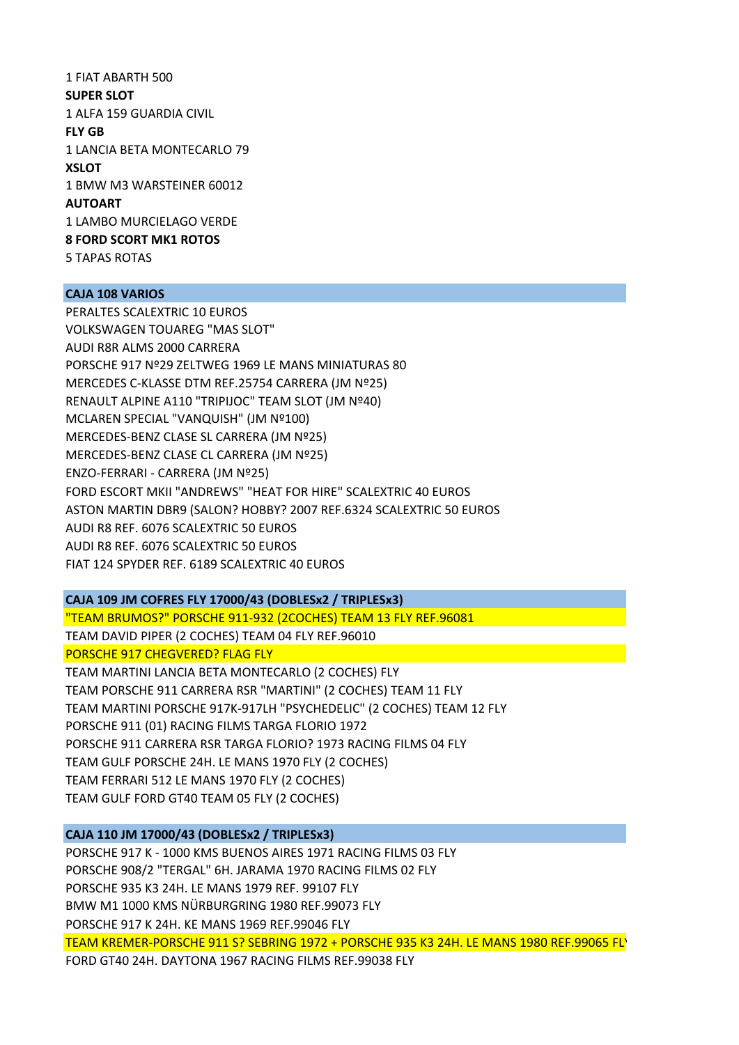1 FIAT ABARTH 500 **SUPER SLOT** 1 ALFA 159 GUARDIA CIVIL **FLY GB** 1 LANCIA BETA MONTECARLO 79 **XSLOT** 1 BMW M3 WARSTEINER 60012 **AUTOART** 1 LAMBO MURCIELAGO VERDE **8 FORD SCORT MK1 ROTOS** 5 TAPAS ROTAS

# **CAJA 108 VARIOS**

PERALTES SCALEXTRIC 10 EUROS VOLKSWAGEN TOUAREG "MAS SLOT" AUDI R8R ALMS 2000 CARRERA PORSCHE 917 Nº29 ZELTWEG 1969 LE MANS MINIATURAS 80 MERCEDES C‐KLASSE DTM REF.25754 CARRERA (JM Nº25) RENAULT ALPINE A110 "TRIPIJOC" TEAM SLOT (JM Nº40) MCLAREN SPECIAL "VANQUISH" (JM Nº100) MERCEDES‐BENZ CLASE SL CARRERA (JM Nº25) MERCEDES‐BENZ CLASE CL CARRERA (JM Nº25) ENZO‐FERRARI ‐ CARRERA (JM Nº25) FORD ESCORT MKII "ANDREWS" "HEAT FOR HIRE" SCALEXTRIC 40 EUROS ASTON MARTIN DBR9 (SALON? HOBBY? 2007 REF.6324 SCALEXTRIC 50 EUROS AUDI R8 REF. 6076 SCALEXTRIC 50 EUROS AUDI R8 REF. 6076 SCALEXTRIC 50 EUROS FIAT 124 SPYDER REF. 6189 SCALEXTRIC 40 EUROS

# **CAJA 109 JM COFRES FLY 17000/43 (DOBLESx2 / TRIPLESx3)**

"TEAM BRUMOS?" PORSCHE 911‐932 (2COCHES) TEAM 13 FLY REF.96081 TEAM DAVID PIPER (2 COCHES) TEAM 04 FLY REF.96010 PORSCHE 917 CHEGVERED? FLAG FLY

TEAM MARTINI LANCIA BETA MONTECARLO (2 COCHES) FLY TEAM PORSCHE 911 CARRERA RSR "MARTINI" (2 COCHES) TEAM 11 FLY TEAM MARTINI PORSCHE 917K‐917LH "PSYCHEDELIC" (2 COCHES) TEAM 12 FLY PORSCHE 911 (01) RACING FILMS TARGA FLORIO 1972 PORSCHE 911 CARRERA RSR TARGA FLORIO? 1973 RACING FILMS 04 FLY TEAM GULF PORSCHE 24H. LE MANS 1970 FLY (2 COCHES) TEAM FERRARI 512 LE MANS 1970 FLY (2 COCHES) TEAM GULF FORD GT40 TEAM 05 FLY (2 COCHES)

# **CAJA 110 JM 17000/43 (DOBLESx2 / TRIPLESx3)**

PORSCHE 917 K ‐ 1000 KMS BUENOS AIRES 1971 RACING FILMS 03 FLY PORSCHE 908/2 "TERGAL" 6H. JARAMA 1970 RACING FILMS 02 FLY PORSCHE 935 K3 24H. LE MANS 1979 REF. 99107 FLY BMW M1 1000 KMS NÜRBURGRING 1980 REF.99073 FLY PORSCHE 917 K 24H. KE MANS 1969 REF.99046 FLY TEAM KREMER‐PORSCHE 911 S? SEBRING 1972 + PORSCHE 935 K3 24H. LE MANS 1980 REF.99065 FLY FORD GT40 24H. DAYTONA 1967 RACING FILMS REF.99038 FLY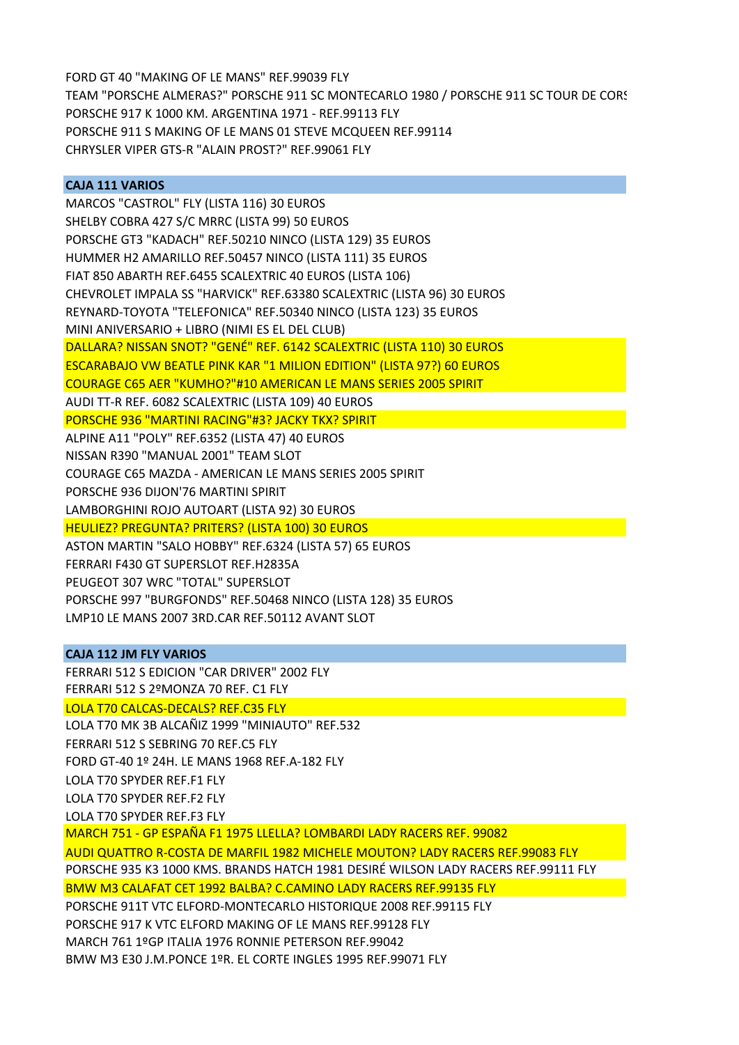FORD GT 40 "MAKING OF LE MANS" REF.99039 FLY TEAM "PORSCHE ALMERAS?" PORSCHE 911 SC MONTECARLO 1980 / PORSCHE 911 SC TOUR DE CORS PORSCHE 917 K 1000 KM. ARGENTINA 1971 ‐ REF.99113 FLY PORSCHE 911 S MAKING OF LE MANS 01 STEVE MCQUEEN REF.99114 CHRYSLER VIPER GTS‐R "ALAIN PROST?" REF.99061 FLY

## **CAJA 111 VARIOS**

MARCOS "CASTROL" FLY (LISTA 116) 30 EUROS SHELBY COBRA 427 S/C MRRC (LISTA 99) 50 EUROS PORSCHE GT3 "KADACH" REF.50210 NINCO (LISTA 129) 35 EUROS HUMMER H2 AMARILLO REF.50457 NINCO (LISTA 111) 35 EUROS FIAT 850 ABARTH REF.6455 SCALEXTRIC 40 EUROS (LISTA 106) CHEVROLET IMPALA SS "HARVICK" REF.63380 SCALEXTRIC (LISTA 96) 30 EUROS REYNARD‐TOYOTA "TELEFONICA" REF.50340 NINCO (LISTA 123) 35 EUROS MINI ANIVERSARIO + LIBRO (NIMI ES EL DEL CLUB) DALLARA? NISSAN SNOT? "GENÉ" REF. 6142 SCALEXTRIC (LISTA 110) 30 EUROS ESCARABAJO VW BEATLE PINK KAR "1 MILION EDITION" (LISTA 97?) 60 EUROS COURAGE C65 AER "KUMHO?"#10 AMERICAN LE MANS SERIES 2005 SPIRIT AUDI TT‐R REF. 6082 SCALEXTRIC (LISTA 109) 40 EUROS PORSCHE 936 "MARTINI RACING"#3? JACKY TKX? SPIRIT ALPINE A11 "POLY" REF.6352 (LISTA 47) 40 EUROS NISSAN R390 "MANUAL 2001" TEAM SLOT COURAGE C65 MAZDA ‐ AMERICAN LE MANS SERIES 2005 SPIRIT PORSCHE 936 DIJON'76 MARTINI SPIRIT LAMBORGHINI ROJO AUTOART (LISTA 92) 30 EUROS HEULIEZ? PREGUNTA? PRITERS? (LISTA 100) 30 EUROS ASTON MARTIN "SALO HOBBY" REF.6324 (LISTA 57) 65 EUROS FERRARI F430 GT SUPERSLOT REF.H2835A PEUGEOT 307 WRC "TOTAL" SUPERSLOT

PORSCHE 997 "BURGFONDS" REF.50468 NINCO (LISTA 128) 35 EUROS LMP10 LE MANS 2007 3RD.CAR REF.50112 AVANT SLOT

### **CAJA 112 JM FLY VARIOS**

FERRARI 512 S EDICION "CAR DRIVER" 2002 FLY

FERRARI 512 S 2ºMONZA 70 REF. C1 FLY

LOLA T70 CALCAS‐DECALS? REF.C35 FLY

LOLA T70 MK 3B ALCAÑIZ 1999 "MINIAUTO" REF.532

FERRARI 512 S SEBRING 70 REF.C5 FLY

FORD GT‐40 1º 24H. LE MANS 1968 REF.A‐182 FLY

LOLA T70 SPYDER REF.F1 FLY

LOLA T70 SPYDER REF.F2 FLY

LOLA T70 SPYDER REF.F3 FLY

MARCH 751 ‐ GP ESPAÑA F1 1975 LLELLA? LOMBARDI LADY RACERS REF. 99082

AUDI QUATTRO R‐COSTA DE MARFIL 1982 MICHELE MOUTON? LADY RACERS REF.99083 FLY

PORSCHE 935 K3 1000 KMS. BRANDS HATCH 1981 DESIRÉ WILSON LADY RACERS REF.99111 FLY

BMW M3 CALAFAT CET 1992 BALBA? C.CAMINO LADY RACERS REF.99135 FLY

PORSCHE 911T VTC ELFORD‐MONTECARLO HISTORIQUE 2008 REF.99115 FLY

PORSCHE 917 K VTC ELFORD MAKING OF LE MANS REF.99128 FLY

MARCH 761 1ºGP ITALIA 1976 RONNIE PETERSON REF.99042

BMW M3 E30 J.M.PONCE 1ºR. EL CORTE INGLES 1995 REF.99071 FLY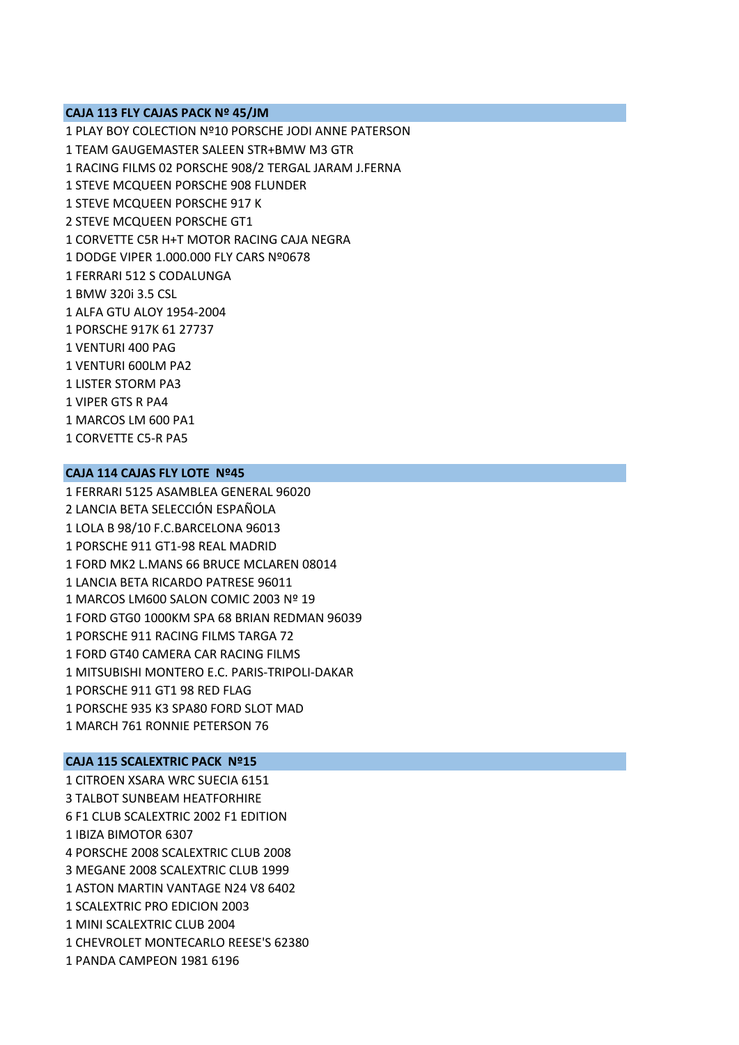### **CAJA 113 FLY CAJAS PACK Nº 45/JM**

1 PLAY BOY COLECTION Nº10 PORSCHE JODI ANNE PATERSON 1 TEAM GAUGEMASTER SALEEN STR+BMW M3 GTR 1 RACING FILMS 02 PORSCHE 908/2 TERGAL JARAM J.FERNA 1 STEVE MCQUEEN PORSCHE 908 FLUNDER 1 STEVE MCQUEEN PORSCHE 917 K 2 STEVE MCQUEEN PORSCHE GT1 1 CORVETTE C5R H+T MOTOR RACING CAJA NEGRA 1 DODGE VIPER 1.000.000 FLY CARS Nº0678 1 FERRARI 512 S CODALUNGA 1 BMW 320i 3.5 CSL 1 ALFA GTU ALOY 1954‐2004 1 PORSCHE 917K 61 27737 1 VENTURI 400 PAG 1 VENTURI 600LM PA2 1 LISTER STORM PA3 1 VIPER GTS R PA4 1 MARCOS LM 600 PA1 1 CORVETTE C5‐R PA5

# **CAJA 114 CAJAS FLY LOTE Nº45**

1 FERRARI 5125 ASAMBLEA GENERAL 96020 2 LANCIA BETA SELECCIÓN ESPAÑOLA 1 LOLA B 98/10 F.C.BARCELONA 96013 1 PORSCHE 911 GT1‐98 REAL MADRID 1 FORD MK2 L.MANS 66 BRUCE MCLAREN 08014 1 LANCIA BETA RICARDO PATRESE 96011 1 MARCOS LM600 SALON COMIC 2003 Nº 19 1 FORD GTG0 1000KM SPA 68 BRIAN REDMAN 96039 1 PORSCHE 911 RACING FILMS TARGA 72 1 FORD GT40 CAMERA CAR RACING FILMS 1 MITSUBISHI MONTERO E.C. PARIS‐TRIPOLI‐DAKAR 1 PORSCHE 911 GT1 98 RED FLAG 1 PORSCHE 935 K3 SPA80 FORD SLOT MAD 1 MARCH 761 RONNIE PETERSON 76

#### **CAJA 115 SCALEXTRIC PACK Nº15**

1 CITROEN XSARA WRC SUECIA 6151 3 TALBOT SUNBEAM HEATFORHIRE 6 F1 CLUB SCALEXTRIC 2002 F1 EDITION 1 IBIZA BIMOTOR 6307 4 PORSCHE 2008 SCALEXTRIC CLUB 2008 3 MEGANE 2008 SCALEXTRIC CLUB 1999 1 ASTON MARTIN VANTAGE N24 V8 6402 1 SCALEXTRIC PRO EDICION 2003 1 MINI SCALEXTRIC CLUB 2004 1 CHEVROLET MONTECARLO REESE'S 62380 1 PANDA CAMPEON 1981 6196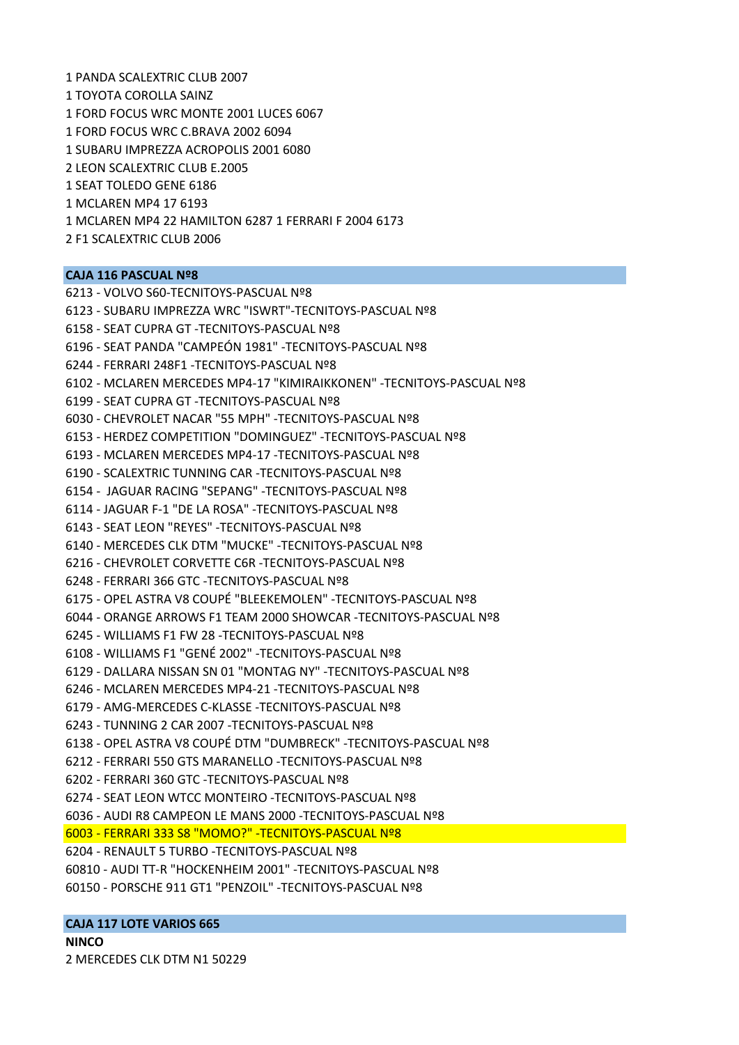1 PANDA SCALEXTRIC CLUB 2007 1 TOYOTA COROLLA SAINZ 1 FORD FOCUS WRC MONTE 2001 LUCES 6067 1 FORD FOCUS WRC C.BRAVA 2002 6094 1 SUBARU IMPREZZA ACROPOLIS 2001 6080 2 LEON SCALEXTRIC CLUB E.2005 1 SEAT TOLEDO GENE 6186 1 MCLAREN MP4 17 6193 1 MCLAREN MP4 22 HAMILTON 6287 1 FERRARI F 2004 6173 2 F1 SCALEXTRIC CLUB 2006

### **CAJA 116 PASCUAL Nº8**

6213 ‐ VOLVO S60‐TECNITOYS‐PASCUAL Nº8 6123 ‐ SUBARU IMPREZZA WRC "ISWRT"‐TECNITOYS‐PASCUAL Nº8 6158 ‐ SEAT CUPRA GT ‐TECNITOYS‐PASCUAL Nº8 6196 ‐ SEAT PANDA "CAMPEÓN 1981" ‐TECNITOYS‐PASCUAL Nº8 6244 ‐ FERRARI 248F1 ‐TECNITOYS‐PASCUAL Nº8 6102 ‐ MCLAREN MERCEDES MP4‐17 "KIMIRAIKKONEN" ‐TECNITOYS‐PASCUAL Nº8 6199 ‐ SEAT CUPRA GT ‐TECNITOYS‐PASCUAL Nº8 6030 ‐ CHEVROLET NACAR "55 MPH" ‐TECNITOYS‐PASCUAL Nº8 6153 ‐ HERDEZ COMPETITION "DOMINGUEZ" ‐TECNITOYS‐PASCUAL Nº8 6193 ‐ MCLAREN MERCEDES MP4‐17 ‐TECNITOYS‐PASCUAL Nº8 6190 ‐ SCALEXTRIC TUNNING CAR ‐TECNITOYS‐PASCUAL Nº8 6154 ‐ JAGUAR RACING "SEPANG" ‐TECNITOYS‐PASCUAL Nº8 6114 ‐ JAGUAR F‐1 "DE LA ROSA" ‐TECNITOYS‐PASCUAL Nº8 6143 ‐ SEAT LEON "REYES" ‐TECNITOYS‐PASCUAL Nº8 6140 ‐ MERCEDES CLK DTM "MUCKE" ‐TECNITOYS‐PASCUAL Nº8 6216 ‐ CHEVROLET CORVETTE C6R ‐TECNITOYS‐PASCUAL Nº8 6248 ‐ FERRARI 366 GTC ‐TECNITOYS‐PASCUAL Nº8 6175 ‐ OPEL ASTRA V8 COUPÉ "BLEEKEMOLEN" ‐TECNITOYS‐PASCUAL Nº8 6044 ‐ ORANGE ARROWS F1 TEAM 2000 SHOWCAR ‐TECNITOYS‐PASCUAL Nº8 6245 ‐ WILLIAMS F1 FW 28 ‐TECNITOYS‐PASCUAL Nº8 6108 ‐ WILLIAMS F1 "GENÉ 2002" ‐TECNITOYS‐PASCUAL Nº8 6129 ‐ DALLARA NISSAN SN 01 "MONTAG NY" ‐TECNITOYS‐PASCUAL Nº8 6246 ‐ MCLAREN MERCEDES MP4‐21 ‐TECNITOYS‐PASCUAL Nº8 6179 ‐ AMG‐MERCEDES C‐KLASSE ‐TECNITOYS‐PASCUAL Nº8 6243 ‐ TUNNING 2 CAR 2007 ‐TECNITOYS‐PASCUAL Nº8 6138 ‐ OPEL ASTRA V8 COUPÉ DTM "DUMBRECK" ‐TECNITOYS‐PASCUAL Nº8 6212 ‐ FERRARI 550 GTS MARANELLO ‐TECNITOYS‐PASCUAL Nº8 6202 ‐ FERRARI 360 GTC ‐TECNITOYS‐PASCUAL Nº8 6274 ‐ SEAT LEON WTCC MONTEIRO ‐TECNITOYS‐PASCUAL Nº8 6036 ‐ AUDI R8 CAMPEON LE MANS 2000 ‐TECNITOYS‐PASCUAL Nº8 6003 ‐ FERRARI 333 S8 "MOMO?" ‐TECNITOYS‐PASCUAL Nº8 6204 ‐ RENAULT 5 TURBO ‐TECNITOYS‐PASCUAL Nº8 60810 ‐ AUDI TT‐R "HOCKENHEIM 2001" ‐TECNITOYS‐PASCUAL Nº8 60150 ‐ PORSCHE 911 GT1 "PENZOIL" ‐TECNITOYS‐PASCUAL Nº8

# **CAJA 117 LOTE VARIOS 665**

**NINCO** 2 MERCEDES CLK DTM N1 50229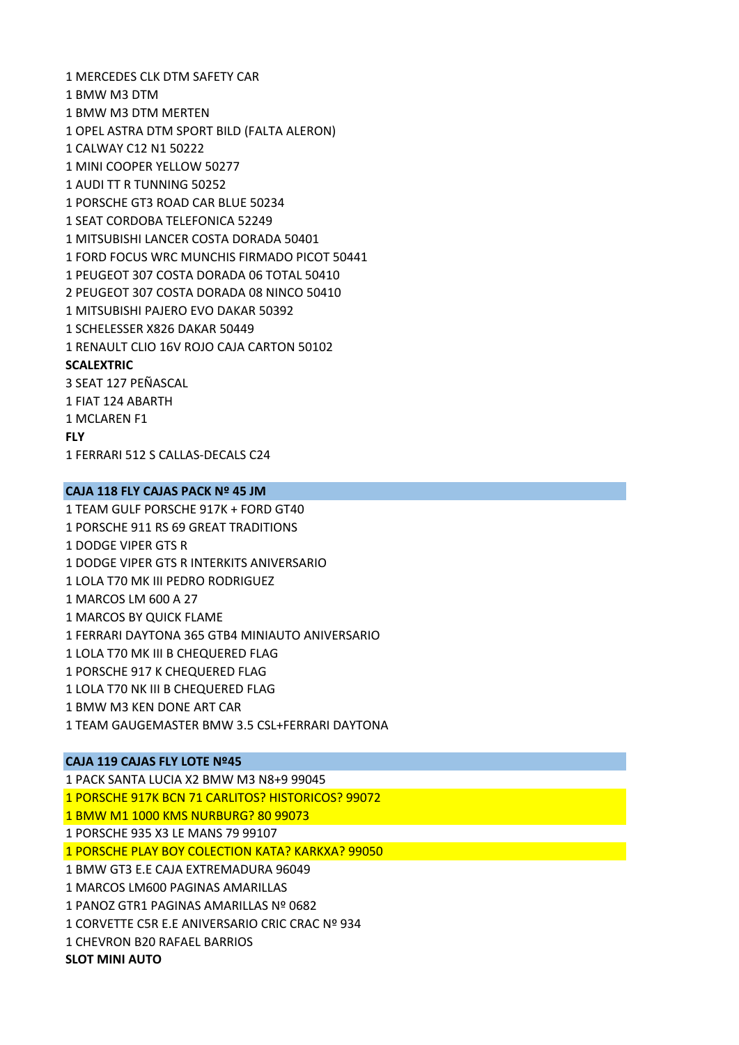1 MERCEDES CLK DTM SAFETY CAR 1 BMW M3 DTM 1 BMW M3 DTM MERTEN 1 OPEL ASTRA DTM SPORT BILD (FALTA ALERON) 1 CALWAY C12 N1 50222 1 MINI COOPER YELLOW 50277 1 AUDI TT R TUNNING 50252 1 PORSCHE GT3 ROAD CAR BLUE 50234 1 SEAT CORDOBA TELEFONICA 52249 1 MITSUBISHI LANCER COSTA DORADA 50401 1 FORD FOCUS WRC MUNCHIS FIRMADO PICOT 50441 1 PEUGEOT 307 COSTA DORADA 06 TOTAL 50410 2 PEUGEOT 307 COSTA DORADA 08 NINCO 50410 1 MITSUBISHI PAJERO EVO DAKAR 50392 1 SCHELESSER X826 DAKAR 50449 1 RENAULT CLIO 16V ROJO CAJA CARTON 50102 **SCALEXTRIC** 3 SEAT 127 PEÑASCAL 1 FIAT 124 ABARTH 1 MCLAREN F1

**FLY**

1 FERRARI 512 S CALLAS‐DECALS C24

### **CAJA 118 FLY CAJAS PACK Nº 45 JM**

1 TEAM GULF PORSCHE 917K + FORD GT40 1 PORSCHE 911 RS 69 GREAT TRADITIONS 1 DODGE VIPER GTS R 1 DODGE VIPER GTS R INTERKITS ANIVERSARIO 1 LOLA T70 MK III PEDRO RODRIGUEZ 1 MARCOS LM 600 A 27 1 MARCOS BY QUICK FLAME 1 FERRARI DAYTONA 365 GTB4 MINIAUTO ANIVERSARIO 1 LOLA T70 MK III B CHEQUERED FLAG 1 PORSCHE 917 K CHEQUERED FLAG 1 LOLA T70 NK III B CHEQUERED FLAG 1 BMW M3 KEN DONE ART CAR 1 TEAM GAUGEMASTER BMW 3.5 CSL+FERRARI DAYTONA

#### **CAJA 119 CAJAS FLY LOTE Nº45**

1 PACK SANTA LUCIA X2 BMW M3 N8+9 99045 1 PORSCHE 917K BCN 71 CARLITOS? HISTORICOS? 99072 1 BMW M1 1000 KMS NURBURG? 80 99073 1 PORSCHE 935 X3 LE MANS 79 99107 1 PORSCHE PLAY BOY COLECTION KATA? KARKXA? 99050 1 BMW GT3 E.E CAJA EXTREMADURA 96049 1 MARCOS LM600 PAGINAS AMARILLAS 1 PANOZ GTR1 PAGINAS AMARILLAS Nº 0682 1 CORVETTE C5R E.E ANIVERSARIO CRIC CRAC Nº 934 1 CHEVRON B20 RAFAEL BARRIOS

**SLOT MINI AUTO**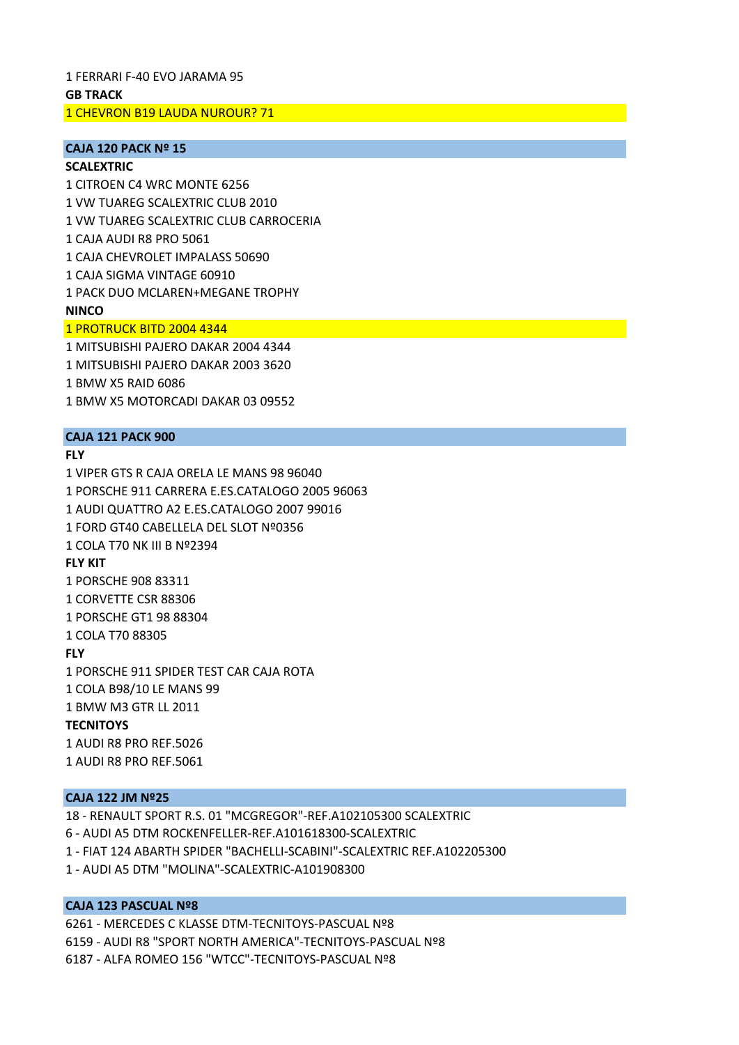1 FERRARI F‐40 EVO JARAMA 95

#### **GB TRACK**

1 CHEVRON B19 LAUDA NUROUR? 71

# **CAJA 120 PACK Nº 15**

**SCALEXTRIC** 1 CITROEN C4 WRC MONTE 6256 1 VW TUAREG SCALEXTRIC CLUB 2010 1 VW TUAREG SCALEXTRIC CLUB CARROCERIA 1 CAJA AUDI R8 PRO 5061 1 CAJA CHEVROLET IMPALASS 50690 1 CAJA SIGMA VINTAGE 60910 1 PACK DUO MCLAREN+MEGANE TROPHY **NINCO** 1 PROTRUCK BITD 2004 4344

1 MITSUBISHI PAJERO DAKAR 2004 4344 1 MITSUBISHI PAJERO DAKAR 2003 3620 1 BMW X5 RAID 6086 1 BMW X5 MOTORCADI DAKAR 03 09552

### **CAJA 121 PACK 900**

### **FLY**

1 VIPER GTS R CAJA ORELA LE MANS 98 96040 1 PORSCHE 911 CARRERA E.ES.CATALOGO 2005 96063 1 AUDI QUATTRO A2 E.ES.CATALOGO 2007 99016 1 FORD GT40 CABELLELA DEL SLOT Nº0356 1 COLA T70 NK III B Nº2394 **FLY KIT** 1 PORSCHE 908 83311 1 CORVETTE CSR 88306 1 PORSCHE GT1 98 88304 1 COLA T70 88305 **FLY** 1 PORSCHE 911 SPIDER TEST CAR CAJA ROTA 1 COLA B98/10 LE MANS 99 1 BMW M3 GTR LL 2011 **TECNITOYS** 1 AUDI R8 PRO REF.5026 1 AUDI R8 PRO REF.5061

### **CAJA 122 JM Nº25**

18 ‐ RENAULT SPORT R.S. 01 "MCGREGOR"‐REF.A102105300 SCALEXTRIC 6 ‐ AUDI A5 DTM ROCKENFELLER‐REF.A101618300‐SCALEXTRIC 1 ‐ FIAT 124 ABARTH SPIDER "BACHELLI‐SCABINI"‐SCALEXTRIC REF.A102205300 1 ‐ AUDI A5 DTM "MOLINA"‐SCALEXTRIC‐A101908300

#### **CAJA 123 PASCUAL Nº8**

6261 ‐ MERCEDES C KLASSE DTM‐TECNITOYS‐PASCUAL Nº8 6159 ‐ AUDI R8 "SPORT NORTH AMERICA"‐TECNITOYS‐PASCUAL Nº8 6187 ‐ ALFA ROMEO 156 "WTCC"‐TECNITOYS‐PASCUAL Nº8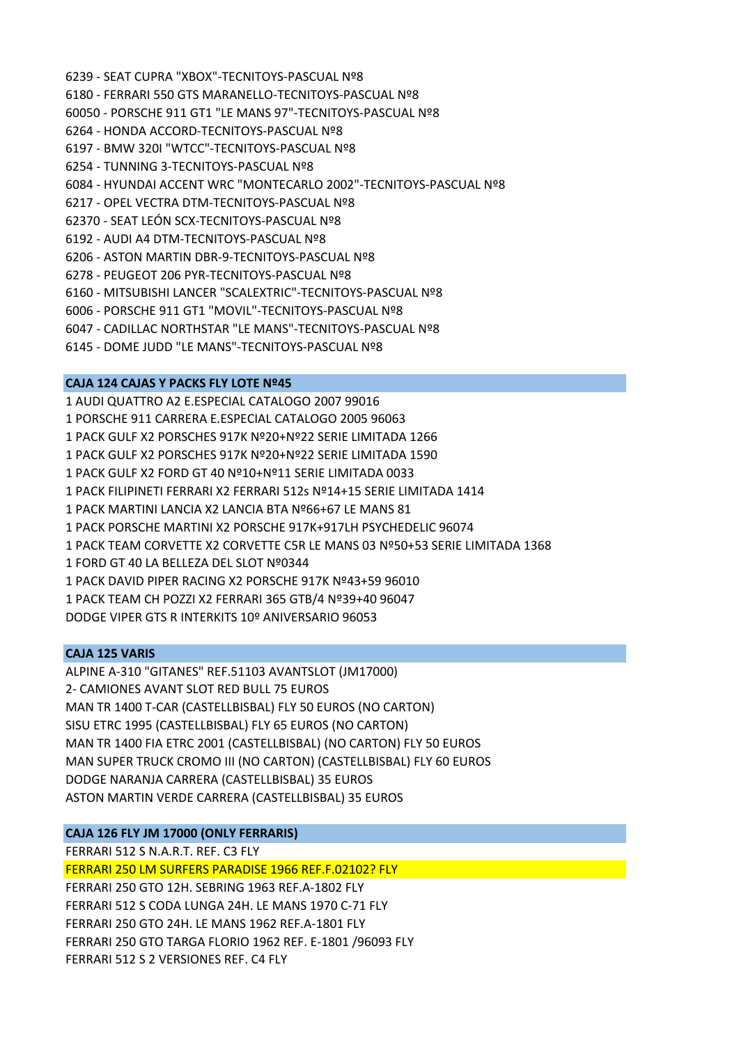6239 ‐ SEAT CUPRA "XBOX"‐TECNITOYS‐PASCUAL Nº8 6180 ‐ FERRARI 550 GTS MARANELLO‐TECNITOYS‐PASCUAL Nº8 60050 ‐ PORSCHE 911 GT1 "LE MANS 97"‐TECNITOYS‐PASCUAL Nº8 6264 ‐ HONDA ACCORD‐TECNITOYS‐PASCUAL Nº8 6197 ‐ BMW 320I "WTCC"‐TECNITOYS‐PASCUAL Nº8 6254 ‐ TUNNING 3‐TECNITOYS‐PASCUAL Nº8 6084 ‐ HYUNDAI ACCENT WRC "MONTECARLO 2002"‐TECNITOYS‐PASCUAL Nº8 6217 ‐ OPEL VECTRA DTM‐TECNITOYS‐PASCUAL Nº8 62370 ‐ SEAT LEÓN SCX‐TECNITOYS‐PASCUAL Nº8 6192 ‐ AUDI A4 DTM‐TECNITOYS‐PASCUAL Nº8 6206 ‐ ASTON MARTIN DBR‐9‐TECNITOYS‐PASCUAL Nº8 6278 ‐ PEUGEOT 206 PYR‐TECNITOYS‐PASCUAL Nº8 6160 ‐ MITSUBISHI LANCER "SCALEXTRIC"‐TECNITOYS‐PASCUAL Nº8 6006 ‐ PORSCHE 911 GT1 "MOVIL"‐TECNITOYS‐PASCUAL Nº8 6047 ‐ CADILLAC NORTHSTAR "LE MANS"‐TECNITOYS‐PASCUAL Nº8 6145 ‐ DOME JUDD "LE MANS"‐TECNITOYS‐PASCUAL Nº8

## **CAJA 124 CAJAS Y PACKS FLY LOTE Nº45**

1 AUDI QUATTRO A2 E.ESPECIAL CATALOGO 2007 99016 1 PORSCHE 911 CARRERA E.ESPECIAL CATALOGO 2005 96063 1 PACK GULF X2 PORSCHES 917K Nº20+Nº22 SERIE LIMITADA 1266 1 PACK GULF X2 PORSCHES 917K Nº20+Nº22 SERIE LIMITADA 1590 1 PACK GULF X2 FORD GT 40 Nº10+Nº11 SERIE LIMITADA 0033 1 PACK FILIPINETI FERRARI X2 FERRARI 512s Nº14+15 SERIE LIMITADA 1414 1 PACK MARTINI LANCIA X2 LANCIA BTA Nº66+67 LE MANS 81 1 PACK PORSCHE MARTINI X2 PORSCHE 917K+917LH PSYCHEDELIC 96074 1 PACK TEAM CORVETTE X2 CORVETTE C5R LE MANS 03 Nº50+53 SERIE LIMITADA 1368 1 FORD GT 40 LA BELLEZA DEL SLOT Nº0344 1 PACK DAVID PIPER RACING X2 PORSCHE 917K Nº43+59 96010 1 PACK TEAM CH POZZI X2 FERRARI 365 GTB/4 Nº39+40 96047 DODGE VIPER GTS R INTERKITS 10º ANIVERSARIO 96053

## **CAJA 125 VARIS**

ALPINE A‐310 "GITANES" REF.51103 AVANTSLOT (JM17000) 2‐ CAMIONES AVANT SLOT RED BULL 75 EUROS MAN TR 1400 T‐CAR (CASTELLBISBAL) FLY 50 EUROS (NO CARTON) SISU ETRC 1995 (CASTELLBISBAL) FLY 65 EUROS (NO CARTON) MAN TR 1400 FIA ETRC 2001 (CASTELLBISBAL) (NO CARTON) FLY 50 EUROS MAN SUPER TRUCK CROMO III (NO CARTON) (CASTELLBISBAL) FLY 60 EUROS DODGE NARANJA CARRERA (CASTELLBISBAL) 35 EUROS ASTON MARTIN VERDE CARRERA (CASTELLBISBAL) 35 EUROS

# **CAJA 126 FLY JM 17000 (ONLY FERRARIS)**

FERRARI 512 S N.A.R.T. REF. C3 FLY

FERRARI 250 LM SURFERS PARADISE 1966 REF.F.02102? FLY

FERRARI 250 GTO 12H. SEBRING 1963 REF.A‐1802 FLY FERRARI 512 S CODA LUNGA 24H. LE MANS 1970 C‐71 FLY FERRARI 250 GTO 24H. LE MANS 1962 REF.A‐1801 FLY FERRARI 250 GTO TARGA FLORIO 1962 REF. E‐1801 /96093 FLY FERRARI 512 S 2 VERSIONES REF. C4 FLY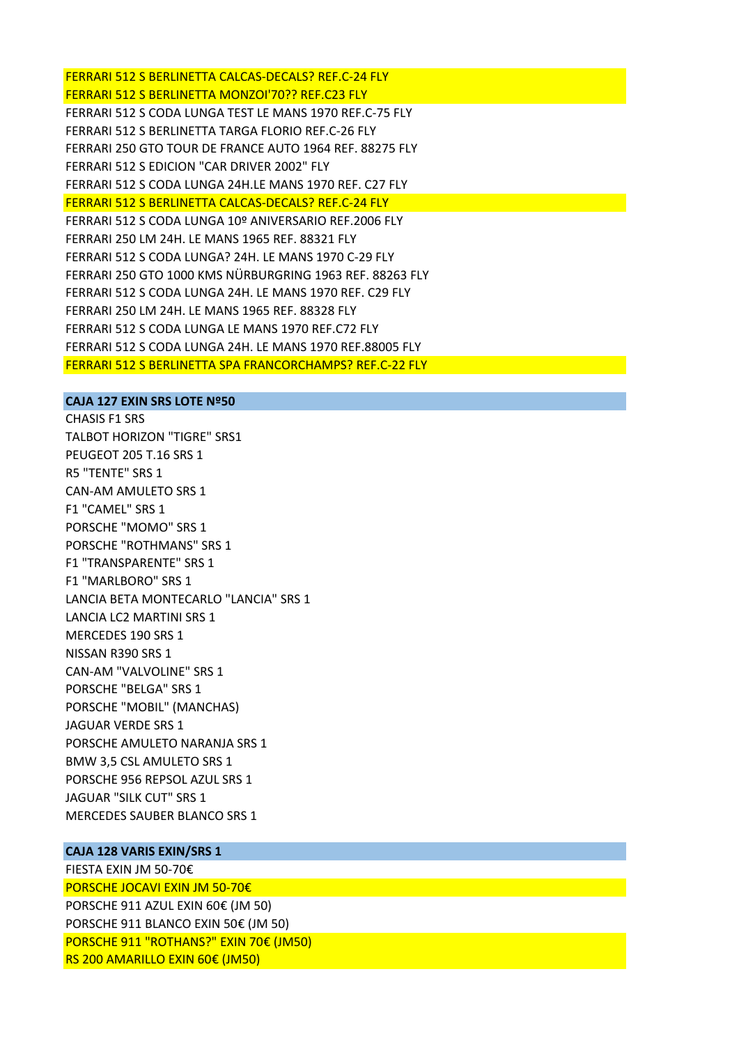FERRARI 512 S BERLINETTA CALCAS‐DECALS? REF.C‐24 FLY FERRARI 512 S BERLINETTA MONZOI'70?? REF.C23 FLY FERRARI 512 S CODA LUNGA TEST LE MANS 1970 REF.C‐75 FLY FERRARI 512 S BERLINETTA TARGA FLORIO REF.C‐26 FLY FERRARI 250 GTO TOUR DE FRANCE AUTO 1964 REF. 88275 FLY FERRARI 512 S EDICION "CAR DRIVER 2002" FLY FERRARI 512 S CODA LUNGA 24H.LE MANS 1970 REF. C27 FLY FERRARI 512 S BERLINETTA CALCAS‐DECALS? REF.C‐24 FLY FERRARI 512 S CODA LUNGA 10º ANIVERSARIO REF.2006 FLY FERRARI 250 LM 24H. LE MANS 1965 REF. 88321 FLY FERRARI 512 S CODA LUNGA? 24H. LE MANS 1970 C‐29 FLY FERRARI 250 GTO 1000 KMS NÜRBURGRING 1963 REF. 88263 FLY FERRARI 512 S CODA LUNGA 24H. LE MANS 1970 REF. C29 FLY FERRARI 250 LM 24H. LE MANS 1965 REF. 88328 FLY FERRARI 512 S CODA LUNGA LE MANS 1970 REF.C72 FLY FERRARI 512 S CODA LUNGA 24H. LE MANS 1970 REF.88005 FLY FERRARI 512 S BERLINETTA SPA FRANCORCHAMPS? REF.C‐22 FLY

#### **CAJA 127 EXIN SRS LOTE Nº50**

CHASIS F1 SRS TALBOT HORIZON "TIGRE" SRS1 PEUGEOT 205 T.16 SRS 1 R5 "TENTE" SRS 1 CAN‐AM AMULETO SRS 1 F1 "CAMEL" SRS 1 PORSCHE "MOMO" SRS 1 PORSCHE "ROTHMANS" SRS 1 F1 "TRANSPARENTE" SRS 1 F1 "MARLBORO" SRS 1 LANCIA BETA MONTECARLO "LANCIA" SRS 1 LANCIA LC2 MARTINI SRS 1 MERCEDES 190 SRS 1 NISSAN R390 SRS 1 CAN‐AM "VALVOLINE" SRS 1 PORSCHE "BELGA" SRS 1 PORSCHE "MOBIL" (MANCHAS) JAGUAR VERDE SRS 1 PORSCHE AMULETO NARANJA SRS 1 BMW 3,5 CSL AMULETO SRS 1 PORSCHE 956 REPSOL AZUL SRS 1 JAGUAR "SILK CUT" SRS 1 MERCEDES SAUBER BLANCO SRS 1

# **CAJA 128 VARIS EXIN/SRS 1**

FIESTA EXIN JM 50‐70€ PORSCHE JOCAVI EXIN JM 50‐70€ PORSCHE 911 AZUL EXIN 60€ (JM 50) PORSCHE 911 BLANCO EXIN 50€ (JM 50) PORSCHE 911 "ROTHANS?" EXIN 70€ (JM50) RS 200 AMARILLO EXIN 60€ (JM50)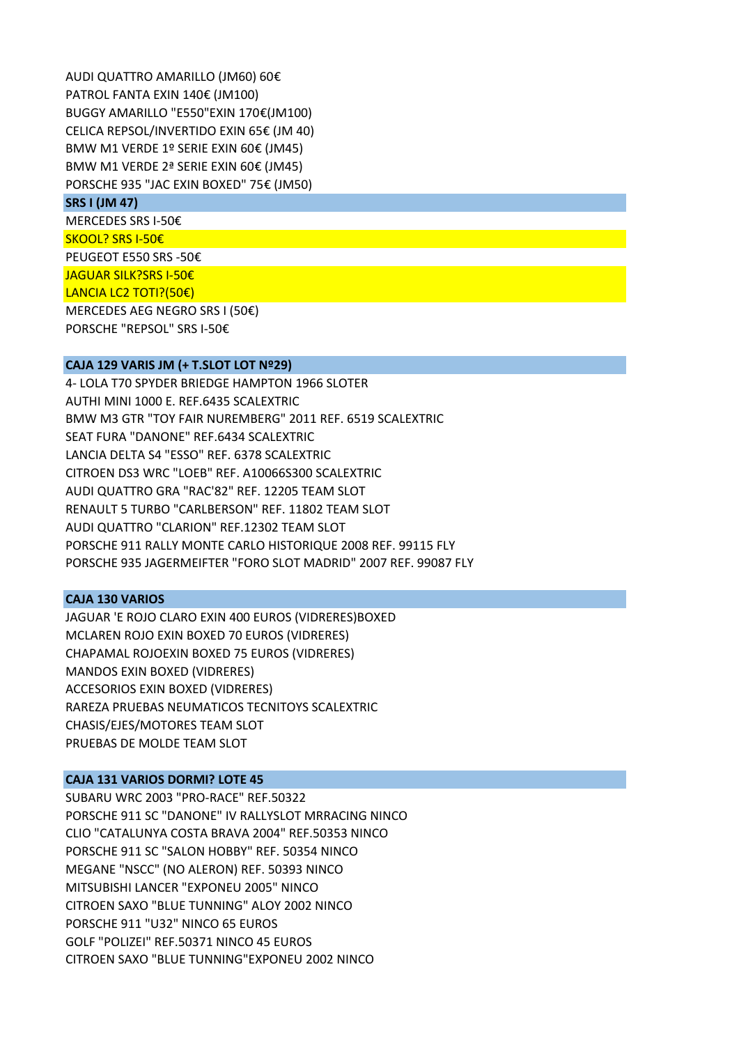AUDI QUATTRO AMARILLO (JM60) 60€ PATROL FANTA EXIN 140€ (JM100) BUGGY AMARILLO "E550"EXIN 170€(JM100) CELICA REPSOL/INVERTIDO EXIN 65€ (JM 40) BMW M1 VERDE 1º SERIE EXIN 60€ (JM45) BMW M1 VERDE 2ª SERIE EXIN 60€ (JM45) PORSCHE 935 "JAC EXIN BOXED" 75€ (JM50)

#### **SRS I (JM 47)**

MERCEDES SRS I‐50€ SKOOL? SRS I‐50€ PEUGEOT E550 SRS ‐50€ JAGUAR SILK?SRS I‐50€ LANCIA LC2 TOTI?(50€)

MERCEDES AEG NEGRO SRS I (50€) PORSCHE "REPSOL" SRS I‐50€

# **CAJA 129 VARIS JM (+ T.SLOT LOT Nº29)**

4‐ LOLA T70 SPYDER BRIEDGE HAMPTON 1966 SLOTER AUTHI MINI 1000 E. REF.6435 SCALEXTRIC BMW M3 GTR "TOY FAIR NUREMBERG" 2011 REF. 6519 SCALEXTRIC SEAT FURA "DANONE" REF.6434 SCALEXTRIC LANCIA DELTA S4 "ESSO" REF. 6378 SCALEXTRIC CITROEN DS3 WRC "LOEB" REF. A10066S300 SCALEXTRIC AUDI QUATTRO GRA "RAC'82" REF. 12205 TEAM SLOT RENAULT 5 TURBO "CARLBERSON" REF. 11802 TEAM SLOT AUDI QUATTRO "CLARION" REF.12302 TEAM SLOT PORSCHE 911 RALLY MONTE CARLO HISTORIQUE 2008 REF. 99115 FLY PORSCHE 935 JAGERMEIFTER "FORO SLOT MADRID" 2007 REF. 99087 FLY

#### **CAJA 130 VARIOS**

JAGUAR 'E ROJO CLARO EXIN 400 EUROS (VIDRERES)BOXED MCLAREN ROJO EXIN BOXED 70 EUROS (VIDRERES) CHAPAMAL ROJOEXIN BOXED 75 EUROS (VIDRERES) MANDOS EXIN BOXED (VIDRERES) ACCESORIOS EXIN BOXED (VIDRERES) RAREZA PRUEBAS NEUMATICOS TECNITOYS SCALEXTRIC CHASIS/EJES/MOTORES TEAM SLOT PRUEBAS DE MOLDE TEAM SLOT

## **CAJA 131 VARIOS DORMI? LOTE 45**

SUBARU WRC 2003 "PRO‐RACE" REF.50322 PORSCHE 911 SC "DANONE" IV RALLYSLOT MRRACING NINCO CLIO "CATALUNYA COSTA BRAVA 2004" REF.50353 NINCO PORSCHE 911 SC "SALON HOBBY" REF. 50354 NINCO MEGANE "NSCC" (NO ALERON) REF. 50393 NINCO MITSUBISHI LANCER "EXPONEU 2005" NINCO CITROEN SAXO "BLUE TUNNING" ALOY 2002 NINCO PORSCHE 911 "U32" NINCO 65 EUROS GOLF "POLIZEI" REF.50371 NINCO 45 EUROS CITROEN SAXO "BLUE TUNNING"EXPONEU 2002 NINCO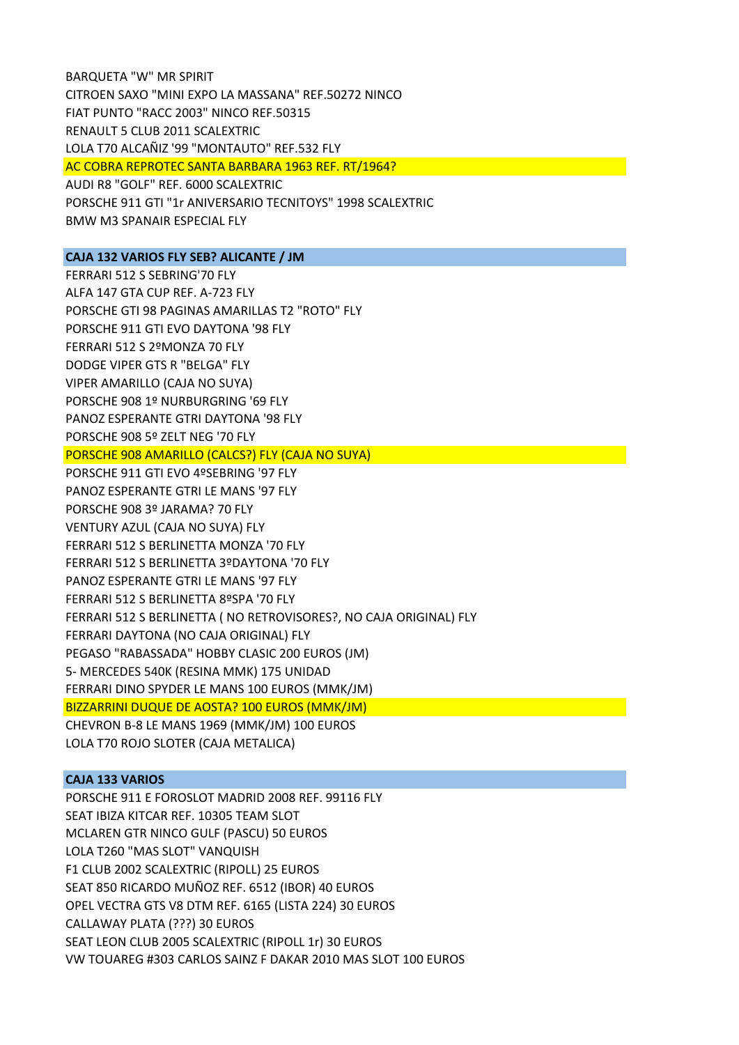BARQUETA "W" MR SPIRIT CITROEN SAXO "MINI EXPO LA MASSANA" REF.50272 NINCO FIAT PUNTO "RACC 2003" NINCO REF.50315 RENAULT 5 CLUB 2011 SCALEXTRIC LOLA T70 ALCAÑIZ '99 "MONTAUTO" REF.532 FLY AC COBRA REPROTEC SANTA BARBARA 1963 REF. RT/1964? AUDI R8 "GOLF" REF. 6000 SCALEXTRIC PORSCHE 911 GTI "1r ANIVERSARIO TECNITOYS" 1998 SCALEXTRIC BMW M3 SPANAIR ESPECIAL FLY

# **CAJA 132 VARIOS FLY SEB? ALICANTE / JM**

FERRARI 512 S SEBRING'70 FLY ALFA 147 GTA CUP REF. A‐723 FLY PORSCHE GTI 98 PAGINAS AMARILLAS T2 "ROTO" FLY PORSCHE 911 GTI EVO DAYTONA '98 FLY FERRARI 512 S 2ºMONZA 70 FLY DODGE VIPER GTS R "BELGA" FLY VIPER AMARILLO (CAJA NO SUYA) PORSCHE 908 1º NURBURGRING '69 FLY PANOZ ESPERANTE GTRI DAYTONA '98 FLY PORSCHE 908 5º ZELT NEG '70 FLY PORSCHE 908 AMARILLO (CALCS?) FLY (CAJA NO SUYA) PORSCHE 911 GTI EVO 4ºSEBRING '97 FLY PANOZ ESPERANTE GTRI LE MANS '97 FLY PORSCHE 908 3º JARAMA? 70 FLY VENTURY AZUL (CAJA NO SUYA) FLY FERRARI 512 S BERLINETTA MONZA '70 FLY FERRARI 512 S BERLINETTA 3ºDAYTONA '70 FLY PANOZ ESPERANTE GTRI LE MANS '97 FLY FERRARI 512 S BERLINETTA 8ºSPA '70 FLY FERRARI 512 S BERLINETTA ( NO RETROVISORES?, NO CAJA ORIGINAL) FLY FERRARI DAYTONA (NO CAJA ORIGINAL) FLY PEGASO "RABASSADA" HOBBY CLASIC 200 EUROS (JM) 5‐ MERCEDES 540K (RESINA MMK) 175 UNIDAD FERRARI DINO SPYDER LE MANS 100 EUROS (MMK/JM) BIZZARRINI DUQUE DE AOSTA? 100 EUROS (MMK/JM) CHEVRON B‐8 LE MANS 1969 (MMK/JM) 100 EUROS LOLA T70 ROJO SLOTER (CAJA METALICA)

## **CAJA 133 VARIOS**

PORSCHE 911 E FOROSLOT MADRID 2008 REF. 99116 FLY SEAT IBIZA KITCAR REF. 10305 TEAM SLOT MCLAREN GTR NINCO GULF (PASCU) 50 EUROS LOLA T260 "MAS SLOT" VANQUISH F1 CLUB 2002 SCALEXTRIC (RIPOLL) 25 EUROS SEAT 850 RICARDO MUÑOZ REF. 6512 (IBOR) 40 EUROS OPEL VECTRA GTS V8 DTM REF. 6165 (LISTA 224) 30 EUROS CALLAWAY PLATA (???) 30 EUROS SEAT LEON CLUB 2005 SCALEXTRIC (RIPOLL 1r) 30 EUROS VW TOUAREG #303 CARLOS SAINZ F DAKAR 2010 MAS SLOT 100 EUROS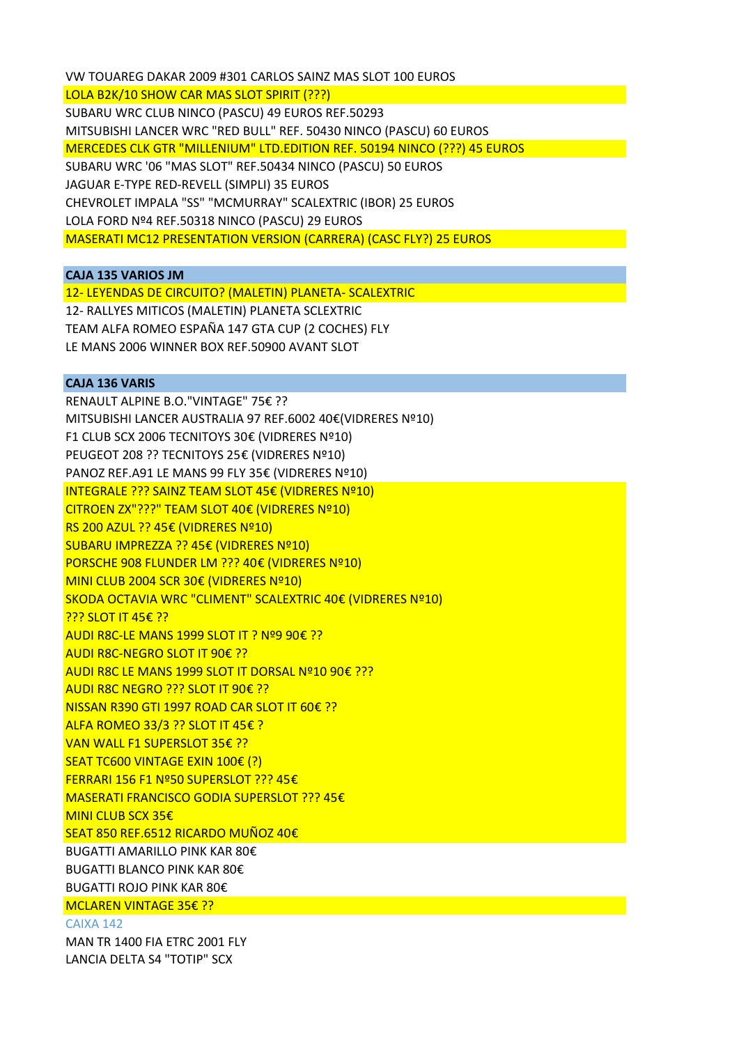VW TOUAREG DAKAR 2009 #301 CARLOS SAINZ MAS SLOT 100 EUROS LOLA B2K/10 SHOW CAR MAS SLOT SPIRIT (???) SUBARU WRC CLUB NINCO (PASCU) 49 EUROS REF.50293 MITSUBISHI LANCER WRC "RED BULL" REF. 50430 NINCO (PASCU) 60 EUROS MERCEDES CLK GTR "MILLENIUM" LTD.EDITION REF. 50194 NINCO (???) 45 EUROS SUBARU WRC '06 "MAS SLOT" REF.50434 NINCO (PASCU) 50 EUROS JAGUAR E‐TYPE RED‐REVELL (SIMPLI) 35 EUROS CHEVROLET IMPALA "SS" "MCMURRAY" SCALEXTRIC (IBOR) 25 EUROS LOLA FORD Nº4 REF.50318 NINCO (PASCU) 29 EUROS MASERATI MC12 PRESENTATION VERSION (CARRERA) (CASC FLY?) 25 EUROS

## **CAJA 135 VARIOS JM**

12‐ LEYENDAS DE CIRCUITO? (MALETIN) PLANETA‐ SCALEXTRIC 12‐ RALLYES MITICOS (MALETIN) PLANETA SCLEXTRIC TEAM ALFA ROMEO ESPAÑA 147 GTA CUP (2 COCHES) FLY LE MANS 2006 WINNER BOX REF.50900 AVANT SLOT

# **CAJA 136 VARIS**

RENAULT ALPINE B.O."VINTAGE" 75€ ?? MITSUBISHI LANCER AUSTRALIA 97 REF.6002 40€(VIDRERES Nº10) F1 CLUB SCX 2006 TECNITOYS 30€ (VIDRERES Nº10) PEUGEOT 208 ?? TECNITOYS 25€ (VIDRERES Nº10) PANOZ REF.A91 LE MANS 99 FLY 35€ (VIDRERES Nº10) INTEGRALE ??? SAINZ TEAM SLOT 45€ (VIDRERES Nº10) CITROEN ZX"???" TEAM SLOT 40€ (VIDRERES Nº10) RS 200 AZUL ?? 45€ (VIDRERES Nº10) SUBARU IMPREZZA ?? 45€ (VIDRERES Nº10) PORSCHE 908 FLUNDER LM ??? 40€ (VIDRERES Nº10) MINI CLUB 2004 SCR 30€ (VIDRERES Nº10) SKODA OCTAVIA WRC "CLIMENT" SCALEXTRIC 40€ (VIDRERES Nº10) **??? SLOT IT 45€ ??** AUDI R8C‐LE MANS 1999 SLOT IT ? Nº9 90€ ?? AUDI R8C‐NEGRO SLOT IT 90€ ?? AUDI R8C LE MANS 1999 SLOT IT DORSAL Nº10 90€ ??? AUDI R8C NEGRO ??? SLOT IT 90€ ?? NISSAN R390 GTI 1997 ROAD CAR SLOT IT 60€ ?? ALFA ROMEO 33/3 ?? SLOT IT 45€ ? VAN WALL F1 SUPERSLOT 35€ ?? SEAT TC600 VINTAGE EXIN 100€ (?) FERRARI 156 F1 Nº50 SUPERSLOT ??? 45€ MASERATI FRANCISCO GODIA SUPERSLOT ??? 45€ MINI CLUB SCX 35€ SEAT 850 REF.6512 RICARDO MUÑOZ 40€ BUGATTI AMARILLO PINK KAR 80€ BUGATTI BLANCO PINK KAR 80€

BUGATTI ROJO PINK KAR 80€

#### MCLAREN VINTAGE 35€ ??

CAIXA 142

MAN TR 1400 FIA ETRC 2001 FLY LANCIA DELTA S4 "TOTIP" SCX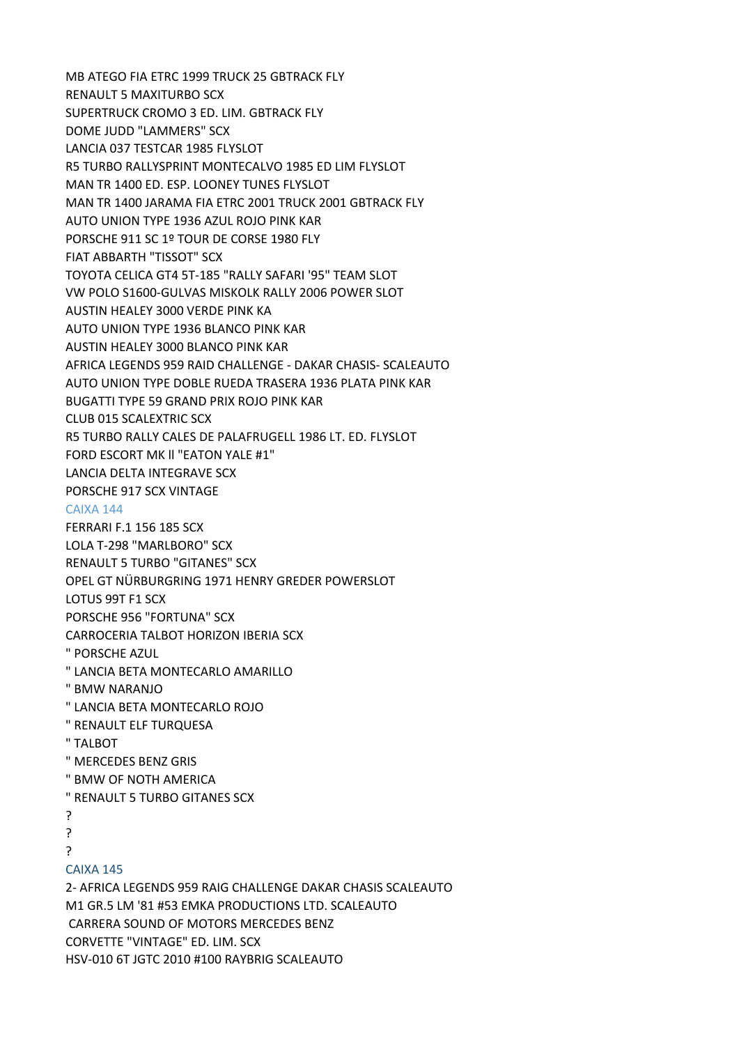MB ATEGO FIA ETRC 1999 TRUCK 25 GBTRACK FLY RENAULT 5 MAXITURBO SCX SUPERTRUCK CROMO 3 ED. LIM. GBTRACK FLY DOME JUDD "LAMMERS" SCX LANCIA 037 TESTCAR 1985 FLYSLOT R5 TURBO RALLYSPRINT MONTECALVO 1985 ED LIM FLYSLOT MAN TR 1400 ED. ESP. LOONEY TUNES FLYSLOT MAN TR 1400 JARAMA FIA ETRC 2001 TRUCK 2001 GBTRACK FLY AUTO UNION TYPE 1936 AZUL ROJO PINK KAR PORSCHE 911 SC 1º TOUR DE CORSE 1980 FLY FIAT ABBARTH "TISSOT" SCX TOYOTA CELICA GT4 5T‐185 "RALLY SAFARI '95" TEAM SLOT VW POLO S1600‐GULVAS MISKOLK RALLY 2006 POWER SLOT AUSTIN HEALEY 3000 VERDE PINK KA AUTO UNION TYPE 1936 BLANCO PINK KAR AUSTIN HEALEY 3000 BLANCO PINK KAR AFRICA LEGENDS 959 RAID CHALLENGE ‐ DAKAR CHASIS‐ SCALEAUTO AUTO UNION TYPE DOBLE RUEDA TRASERA 1936 PLATA PINK KAR BUGATTI TYPE 59 GRAND PRIX ROJO PINK KAR CLUB 015 SCALEXTRIC SCX R5 TURBO RALLY CALES DE PALAFRUGELL 1986 LT. ED. FLYSLOT FORD ESCORT MK ll "EATON YALE #1" LANCIA DELTA INTEGRAVE SCX PORSCHE 917 SCX VINTAGE CAIXA 144 FERRARI F.1 156 185 SCX LOLA T‐298 "MARLBORO" SCX RENAULT 5 TURBO "GITANES" SCX OPEL GT NÜRBURGRING 1971 HENRY GREDER POWERSLOT LOTUS 99T F1 SCX PORSCHE 956 "FORTUNA" SCX CARROCERIA TALBOT HORIZON IBERIA SCX " PORSCHE AZUL " LANCIA BETA MONTECARLO AMARILLO " BMW NARANJO " LANCIA BETA MONTECARLO ROJO " RENAULT ELF TURQUESA " TALBOT " MERCEDES BENZ GRIS " BMW OF NOTH AMERICA " RENAULT 5 TURBO GITANES SCX ? ? ? CAIXA 145 2‐ AFRICA LEGENDS 959 RAIG CHALLENGE DAKAR CHASIS SCALEAUTO M1 GR.5 LM '81 #53 EMKA PRODUCTIONS LTD. SCALEAUTO CARRERA SOUND OF MOTORS MERCEDES BENZ CORVETTE "VINTAGE" ED. LIM. SCX

HSV‐010 6T JGTC 2010 #100 RAYBRIG SCALEAUTO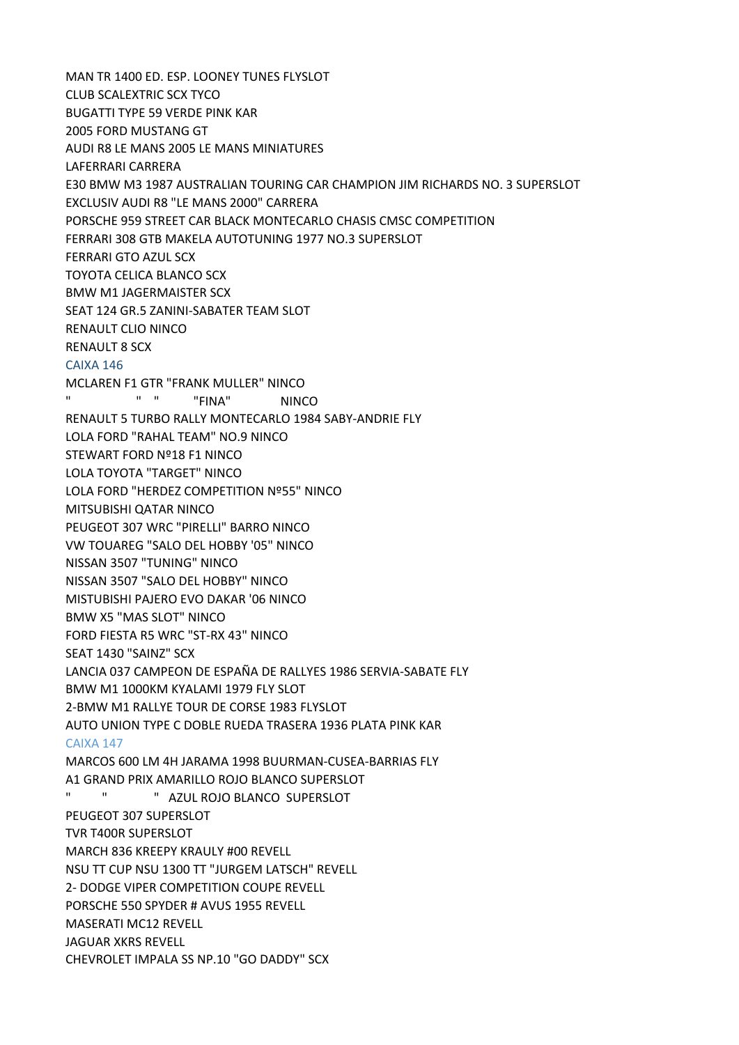MAN TR 1400 ED. ESP. LOONEY TUNES FLYSLOT CLUB SCALEXTRIC SCX TYCO BUGATTI TYPE 59 VERDE PINK KAR 2005 FORD MUSTANG GT AUDI R8 LE MANS 2005 LE MANS MINIATURES LAFERRARI CARRERA E30 BMW M3 1987 AUSTRALIAN TOURING CAR CHAMPION JIM RICHARDS NO. 3 SUPERSLOT EXCLUSIV AUDI R8 "LE MANS 2000" CARRERA PORSCHE 959 STREET CAR BLACK MONTECARLO CHASIS CMSC COMPETITION FERRARI 308 GTB MAKELA AUTOTUNING 1977 NO.3 SUPERSLOT FERRARI GTO AZUL SCX TOYOTA CELICA BLANCO SCX BMW M1 JAGERMAISTER SCX SEAT 124 GR.5 ZANINI‐SABATER TEAM SLOT RENAULT CLIO NINCO RENAULT 8 SCX CAIXA 146 MCLAREN F1 GTR "FRANK MULLER" NINCO " " " "FINA" NINCO RENAULT 5 TURBO RALLY MONTECARLO 1984 SABY‐ANDRIE FLY LOLA FORD "RAHAL TEAM" NO.9 NINCO STEWART FORD Nº18 F1 NINCO LOLA TOYOTA "TARGET" NINCO LOLA FORD "HERDEZ COMPETITION Nº55" NINCO MITSUBISHI QATAR NINCO PEUGEOT 307 WRC "PIRELLI" BARRO NINCO VW TOUAREG "SALO DEL HOBBY '05" NINCO NISSAN 3507 "TUNING" NINCO NISSAN 3507 "SALO DEL HOBBY" NINCO MISTUBISHI PAJERO EVO DAKAR '06 NINCO BMW X5 "MAS SLOT" NINCO FORD FIESTA R5 WRC "ST‐RX 43" NINCO SEAT 1430 "SAINZ" SCX LANCIA 037 CAMPEON DE ESPAÑA DE RALLYES 1986 SERVIA‐SABATE FLY BMW M1 1000KM KYALAMI 1979 FLY SLOT 2‐BMW M1 RALLYE TOUR DE CORSE 1983 FLYSLOT AUTO UNION TYPE C DOBLE RUEDA TRASERA 1936 PLATA PINK KAR CAIXA 147 MARCOS 600 LM 4H JARAMA 1998 BUURMAN‐CUSEA‐BARRIAS FLY A1 GRAND PRIX AMARILLO ROJO BLANCO SUPERSLOT " " " AZUL ROJO BLANCO SUPERSLOT PEUGEOT 307 SUPERSLOT TVR T400R SUPERSLOT MARCH 836 KREEPY KRAULY #00 REVELL NSU TT CUP NSU 1300 TT "JURGEM LATSCH" REVELL 2‐ DODGE VIPER COMPETITION COUPE REVELL PORSCHE 550 SPYDER # AVUS 1955 REVELL MASERATI MC12 REVELL JAGUAR XKRS REVELL CHEVROLET IMPALA SS NP.10 "GO DADDY" SCX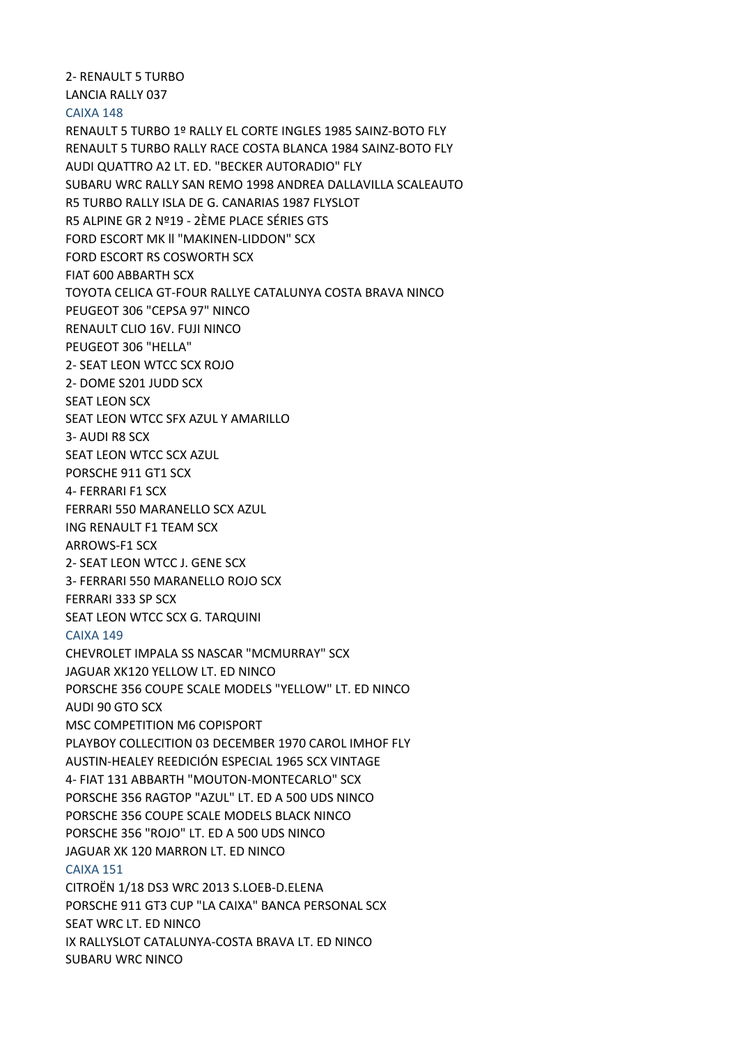2‐ RENAULT 5 TURBO LANCIA RALLY 037 CAIXA 148 RENAULT 5 TURBO 1º RALLY EL CORTE INGLES 1985 SAINZ‐BOTO FLY RENAULT 5 TURBO RALLY RACE COSTA BLANCA 1984 SAINZ‐BOTO FLY AUDI QUATTRO A2 LT. ED. "BECKER AUTORADIO" FLY SUBARU WRC RALLY SAN REMO 1998 ANDREA DALLAVILLA SCALEAUTO R5 TURBO RALLY ISLA DE G. CANARIAS 1987 FLYSLOT R5 ALPINE GR 2 Nº19 ‐ 2ÈME PLACE SÉRIES GTS FORD ESCORT MK ll "MAKINEN‐LIDDON" SCX FORD ESCORT RS COSWORTH SCX FIAT 600 ABBARTH SCX TOYOTA CELICA GT‐FOUR RALLYE CATALUNYA COSTA BRAVA NINCO PEUGEOT 306 "CEPSA 97" NINCO RENAULT CLIO 16V. FUJI NINCO PEUGEOT 306 "HELLA" 2‐ SEAT LEON WTCC SCX ROJO 2‐ DOME S201 JUDD SCX SEAT LEON SCX SEAT LEON WTCC SFX AZUL Y AMARILLO 3‐ AUDI R8 SCX SEAT LEON WTCC SCX AZUL PORSCHE 911 GT1 SCX 4‐ FERRARI F1 SCX FERRARI 550 MARANELLO SCX AZUL ING RENAULT F1 TEAM SCX ARROWS‐F1 SCX 2‐ SEAT LEON WTCC J. GENE SCX 3‐ FERRARI 550 MARANELLO ROJO SCX FERRARI 333 SP SCX SEAT LEON WTCC SCX G. TARQUINI CAIXA 149 CHEVROLET IMPALA SS NASCAR "MCMURRAY" SCX JAGUAR XK120 YELLOW LT. ED NINCO PORSCHE 356 COUPE SCALE MODELS "YELLOW" LT. ED NINCO AUDI 90 GTO SCX MSC COMPETITION M6 COPISPORT PLAYBOY COLLECITION 03 DECEMBER 1970 CAROL IMHOF FLY AUSTIN‐HEALEY REEDICIÓN ESPECIAL 1965 SCX VINTAGE 4‐ FIAT 131 ABBARTH "MOUTON‐MONTECARLO" SCX PORSCHE 356 RAGTOP "AZUL" LT. ED A 500 UDS NINCO PORSCHE 356 COUPE SCALE MODELS BLACK NINCO PORSCHE 356 "ROJO" LT. ED A 500 UDS NINCO JAGUAR XK 120 MARRON LT. ED NINCO CAIXA 151 CITROËN 1/18 DS3 WRC 2013 S.LOEB‐D.ELENA PORSCHE 911 GT3 CUP "LA CAIXA" BANCA PERSONAL SCX SEAT WRC LT. ED NINCO IX RALLYSLOT CATALUNYA‐COSTA BRAVA LT. ED NINCO

SUBARU WRC NINCO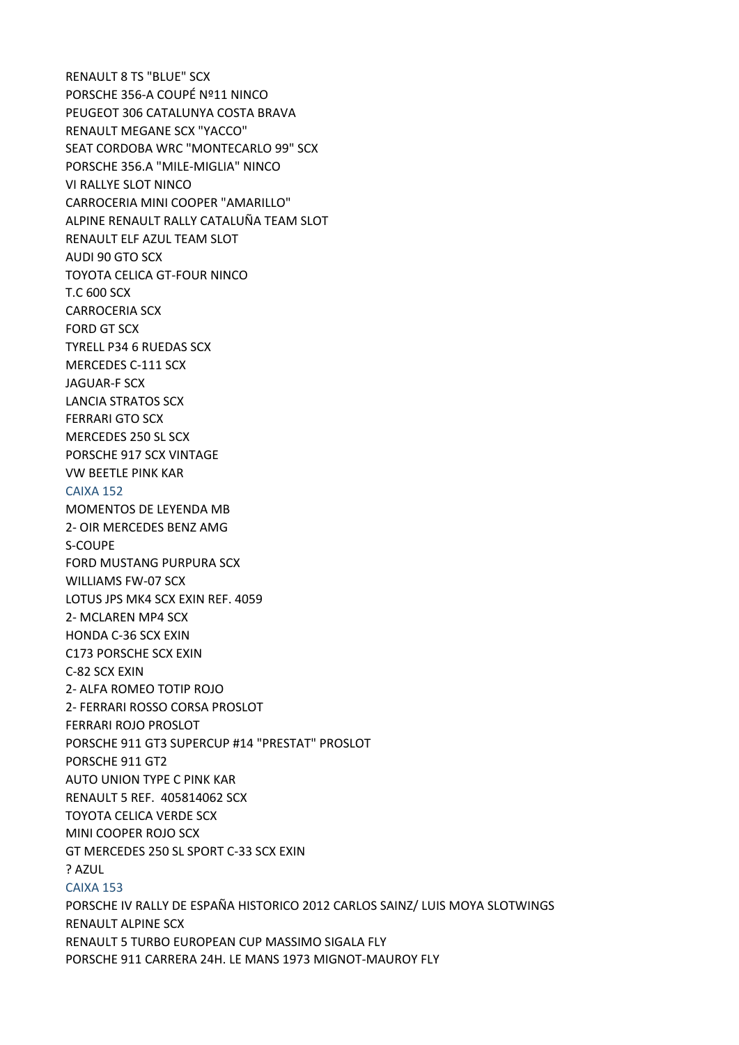RENAULT 8 TS "BLUE" SCX PORSCHE 356‐A COUPÉ Nº11 NINCO PEUGEOT 306 CATALUNYA COSTA BRAVA RENAULT MEGANE SCX "YACCO" SEAT CORDOBA WRC "MONTECARLO 99" SCX PORSCHE 356.A "MILE‐MIGLIA" NINCO VI RALLYE SLOT NINCO CARROCERIA MINI COOPER "AMARILLO" ALPINE RENAULT RALLY CATALUÑA TEAM SLOT RENAULT ELF AZUL TEAM SLOT AUDI 90 GTO SCX TOYOTA CELICA GT‐FOUR NINCO T.C 600 SCX CARROCERIA SCX FORD GT SCX TYRELL P34 6 RUEDAS SCX MERCEDES C‐111 SCX JAGUAR‐F SCX LANCIA STRATOS SCX FERRARI GTO SCX MERCEDES 250 SL SCX PORSCHE 917 SCX VINTAGE VW BEETLE PINK KAR CAIXA 152 MOMENTOS DE LEYENDA MB 2‐ OIR MERCEDES BENZ AMG S‐COUPE FORD MUSTANG PURPURA SCX WILLIAMS FW‐07 SCX LOTUS JPS MK4 SCX EXIN REF. 4059 2‐ MCLAREN MP4 SCX HONDA C‐36 SCX EXIN C173 PORSCHE SCX EXIN C‐82 SCX EXIN 2‐ ALFA ROMEO TOTIP ROJO 2‐ FERRARI ROSSO CORSA PROSLOT FERRARI ROJO PROSLOT PORSCHE 911 GT3 SUPERCUP #14 "PRESTAT" PROSLOT PORSCHE 911 GT2 AUTO UNION TYPE C PINK KAR RENAULT 5 REF. 405814062 SCX TOYOTA CELICA VERDE SCX MINI COOPER ROJO SCX GT MERCEDES 250 SL SPORT C‐33 SCX EXIN ? AZUL CAIXA 153 PORSCHE IV RALLY DE ESPAÑA HISTORICO 2012 CARLOS SAINZ/ LUIS MOYA SLOTWINGS RENAULT ALPINE SCX RENAULT 5 TURBO EUROPEAN CUP MASSIMO SIGALA FLY

PORSCHE 911 CARRERA 24H. LE MANS 1973 MIGNOT‐MAUROY FLY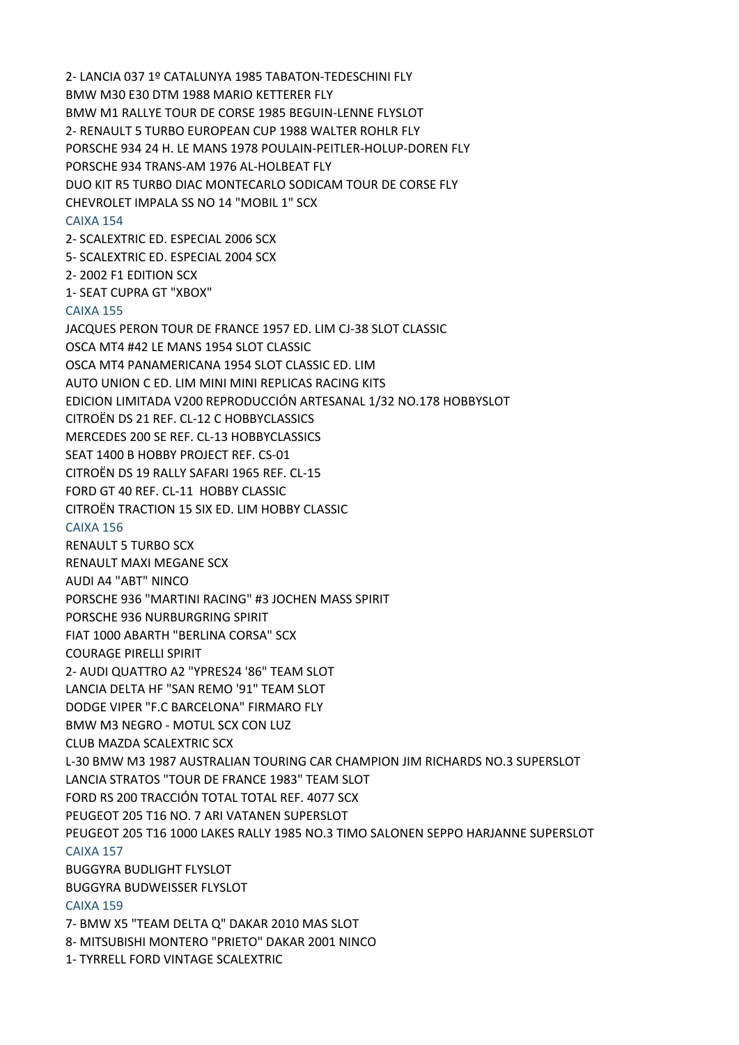2‐ LANCIA 037 1º CATALUNYA 1985 TABATON‐TEDESCHINI FLY BMW M30 E30 DTM 1988 MARIO KETTERER FLY BMW M1 RALLYE TOUR DE CORSE 1985 BEGUIN‐LENNE FLYSLOT 2‐ RENAULT 5 TURBO EUROPEAN CUP 1988 WALTER ROHLR FLY PORSCHE 934 24 H. LE MANS 1978 POULAIN‐PEITLER‐HOLUP‐DOREN FLY PORSCHE 934 TRANS‐AM 1976 AL‐HOLBEAT FLY DUO KIT R5 TURBO DIAC MONTECARLO SODICAM TOUR DE CORSE FLY CHEVROLET IMPALA SS NO 14 "MOBIL 1" SCX CAIXA 154 2‐ SCALEXTRIC ED. ESPECIAL 2006 SCX 5‐ SCALEXTRIC ED. ESPECIAL 2004 SCX 2‐ 2002 F1 EDITION SCX 1‐ SEAT CUPRA GT "XBOX" CAIXA 155 JACQUES PERON TOUR DE FRANCE 1957 ED. LIM CJ‐38 SLOT CLASSIC OSCA MT4 #42 LE MANS 1954 SLOT CLASSIC OSCA MT4 PANAMERICANA 1954 SLOT CLASSIC ED. LIM AUTO UNION C ED. LIM MINI MINI REPLICAS RACING KITS EDICION LIMITADA V200 REPRODUCCIÓN ARTESANAL 1/32 NO.178 HOBBYSLOT CITROËN DS 21 REF. CL‐12 C HOBBYCLASSICS MERCEDES 200 SE REF. CL‐13 HOBBYCLASSICS SEAT 1400 B HOBBY PROJECT REF. CS‐01 CITROËN DS 19 RALLY SAFARI 1965 REF. CL‐15 FORD GT 40 REF. CL‐11 HOBBY CLASSIC CITROËN TRACTION 15 SIX ED. LIM HOBBY CLASSIC CAIXA 156 RENAULT 5 TURBO SCX RENAULT MAXI MEGANE SCX AUDI A4 "ABT" NINCO PORSCHE 936 "MARTINI RACING" #3 JOCHEN MASS SPIRIT PORSCHE 936 NURBURGRING SPIRIT FIAT 1000 ABARTH "BERLINA CORSA" SCX COURAGE PIRELLI SPIRIT 2‐ AUDI QUATTRO A2 "YPRES24 '86" TEAM SLOT LANCIA DELTA HF "SAN REMO '91" TEAM SLOT DODGE VIPER "F.C BARCELONA" FIRMARO FLY BMW M3 NEGRO ‐ MOTUL SCX CON LUZ CLUB MAZDA SCALEXTRIC SCX L‐30 BMW M3 1987 AUSTRALIAN TOURING CAR CHAMPION JIM RICHARDS NO.3 SUPERSLOT LANCIA STRATOS "TOUR DE FRANCE 1983" TEAM SLOT FORD RS 200 TRACCIÓN TOTAL TOTAL REF. 4077 SCX PEUGEOT 205 T16 NO. 7 ARI VATANEN SUPERSLOT PEUGEOT 205 T16 1000 LAKES RALLY 1985 NO.3 TIMO SALONEN SEPPO HARJANNE SUPERSLOT CAIXA 157 BUGGYRA BUDLIGHT FLYSLOT BUGGYRA BUDWEISSER FLYSLOT CAIXA 159 7‐ BMW X5 "TEAM DELTA Q" DAKAR 2010 MAS SLOT 8‐ MITSUBISHI MONTERO "PRIETO" DAKAR 2001 NINCO

1‐ TYRRELL FORD VINTAGE SCALEXTRIC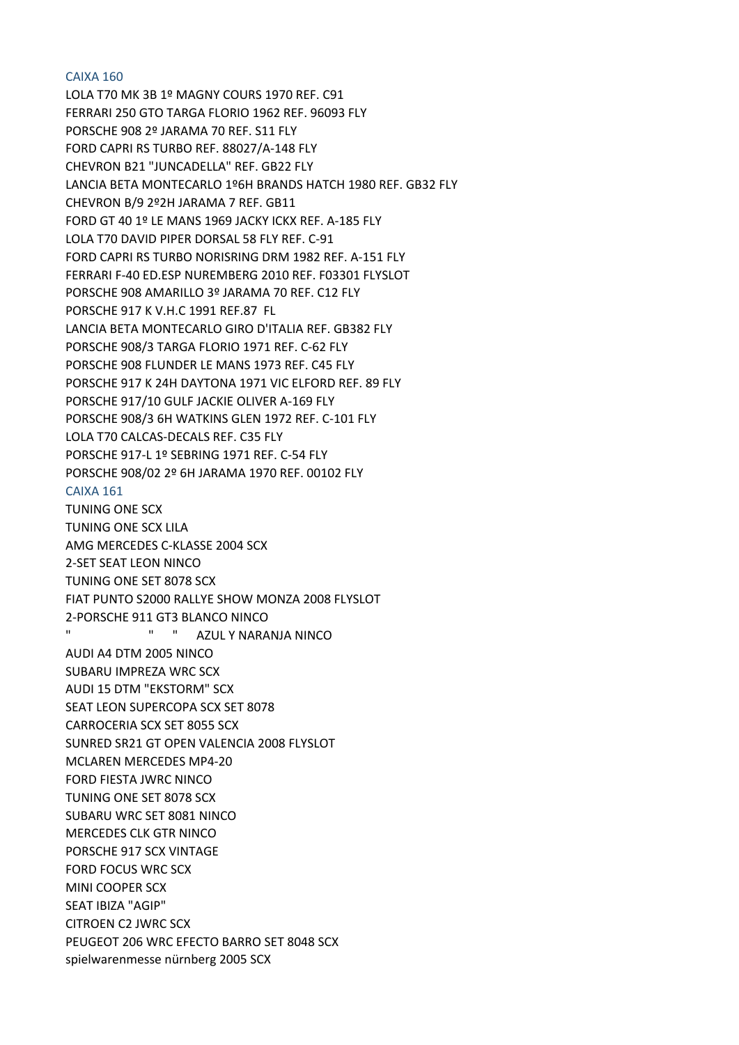### CAIXA 160

LOLA T70 MK 3B 1º MAGNY COURS 1970 REF. C91 FERRARI 250 GTO TARGA FLORIO 1962 REF. 96093 FLY PORSCHE 908 2º JARAMA 70 REF. S11 FLY FORD CAPRI RS TURBO REF. 88027/A‐148 FLY CHEVRON B21 "JUNCADELLA" REF. GB22 FLY LANCIA BETA MONTECARLO 1º6H BRANDS HATCH 1980 REF. GB32 FLY CHEVRON B/9 2º2H JARAMA 7 REF. GB11 FORD GT 40 1º LE MANS 1969 JACKY ICKX REF. A‐185 FLY LOLA T70 DAVID PIPER DORSAL 58 FLY REF. C‐91 FORD CAPRI RS TURBO NORISRING DRM 1982 REF. A‐151 FLY FERRARI F‐40 ED.ESP NUREMBERG 2010 REF. F03301 FLYSLOT PORSCHE 908 AMARILLO 3º JARAMA 70 REF. C12 FLY PORSCHE 917 K V.H.C 1991 REF.87 FL LANCIA BETA MONTECARLO GIRO D'ITALIA REF. GB382 FLY PORSCHE 908/3 TARGA FLORIO 1971 REF. C‐62 FLY PORSCHE 908 FLUNDER LE MANS 1973 REF. C45 FLY PORSCHE 917 K 24H DAYTONA 1971 VIC ELFORD REF. 89 FLY PORSCHE 917/10 GULF JACKIE OLIVER A‐169 FLY PORSCHE 908/3 6H WATKINS GLEN 1972 REF. C‐101 FLY LOLA T70 CALCAS‐DECALS REF. C35 FLY PORSCHE 917‐L 1º SEBRING 1971 REF. C‐54 FLY PORSCHE 908/02 2º 6H JARAMA 1970 REF. 00102 FLY CAIXA 161 TUNING ONE SCX TUNING ONE SCX LILA AMG MERCEDES C‐KLASSE 2004 SCX 2‐SET SEAT LEON NINCO TUNING ONE SET 8078 SCX FIAT PUNTO S2000 RALLYE SHOW MONZA 2008 FLYSLOT 2‐PORSCHE 911 GT3 BLANCO NINCO " " " AZUL Y NARANJA NINCO AUDI A4 DTM 2005 NINCO SUBARU IMPREZA WRC SCX AUDI 15 DTM "EKSTORM" SCX SEAT LEON SUPERCOPA SCX SET 8078 CARROCERIA SCX SET 8055 SCX SUNRED SR21 GT OPEN VALENCIA 2008 FLYSLOT MCLAREN MERCEDES MP4‐20 FORD FIESTA JWRC NINCO TUNING ONE SET 8078 SCX SUBARU WRC SET 8081 NINCO MERCEDES CLK GTR NINCO PORSCHE 917 SCX VINTAGE FORD FOCUS WRC SCX MINI COOPER SCX SEAT IBIZA "AGIP" CITROEN C2 JWRC SCX PEUGEOT 206 WRC EFECTO BARRO SET 8048 SCX spielwarenmesse nürnberg 2005 SCX